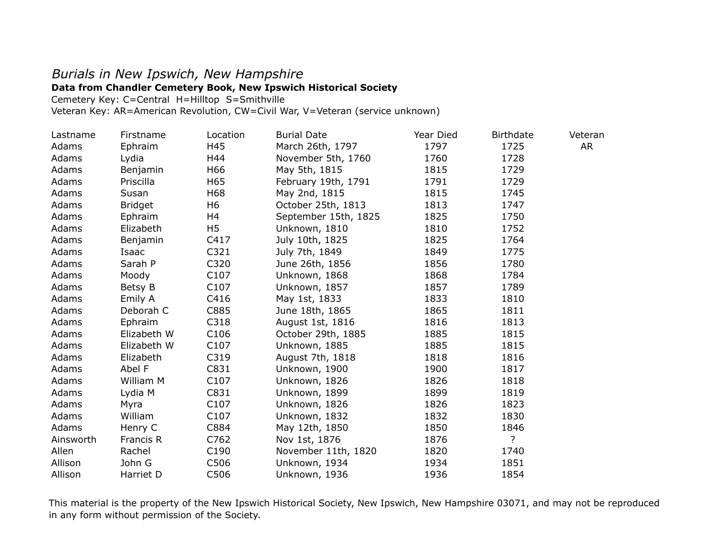## *Burials in New Ipswich, New Hampshire*

## **Data from Chandler Cemetery Book, New Ipswich Historical Society**

Cemetery Key: C=Central H=Hilltop S=Smithville

Veteran Key: AR=American Revolution, CW=Civil War, V=Veteran (service unknown)

| Lastname  | Firstname      | Location         | <b>Burial Date</b>   | Year Died | <b>Birthdate</b> | Veteran |
|-----------|----------------|------------------|----------------------|-----------|------------------|---------|
| Adams     | Ephraim        | H45              | March 26th, 1797     | 1797      | 1725             | AR      |
| Adams     | Lydia          | H44              | November 5th, 1760   | 1760      | 1728             |         |
| Adams     | Benjamin       | H66              | May 5th, 1815        | 1815      | 1729             |         |
| Adams     | Priscilla      | H65              | February 19th, 1791  | 1791      | 1729             |         |
| Adams     | Susan          | H68              | May 2nd, 1815        | 1815      | 1745             |         |
| Adams     | <b>Bridget</b> | H6               | October 25th, 1813   | 1813      | 1747             |         |
| Adams     | Ephraim        | H4               | September 15th, 1825 | 1825      | 1750             |         |
| Adams     | Elizabeth      | H <sub>5</sub>   | Unknown, 1810        | 1810      | 1752             |         |
| Adams     | Benjamin       | C417             | July 10th, 1825      | 1825      | 1764             |         |
| Adams     | Isaac          | C321             | July 7th, 1849       | 1849      | 1775             |         |
| Adams     | Sarah P        | C320             | June 26th, 1856      | 1856      | 1780             |         |
| Adams     | Moody          | C107             | Unknown, 1868        | 1868      | 1784             |         |
| Adams     | Betsy B        | C107             | Unknown, 1857        | 1857      | 1789             |         |
| Adams     | Emily A        | C416             | May 1st, 1833        | 1833      | 1810             |         |
| Adams     | Deborah C      | C885             | June 18th, 1865      | 1865      | 1811             |         |
| Adams     | Ephraim        | C318             | August 1st, 1816     | 1816      | 1813             |         |
| Adams     | Elizabeth W    | C <sub>106</sub> | October 29th, 1885   | 1885      | 1815             |         |
| Adams     | Elizabeth W    | C <sub>107</sub> | Unknown, 1885        | 1885      | 1815             |         |
| Adams     | Elizabeth      | C319             | August 7th, 1818     | 1818      | 1816             |         |
| Adams     | Abel F         | C831             | Unknown, 1900        | 1900      | 1817             |         |
| Adams     | William M      | C107             | Unknown, 1826        | 1826      | 1818             |         |
| Adams     | Lydia M        | C831             | Unknown, 1899        | 1899      | 1819             |         |
| Adams     | Myra           | C107             | Unknown, 1826        | 1826      | 1823             |         |
| Adams     | William        | C <sub>107</sub> | Unknown, 1832        | 1832      | 1830             |         |
| Adams     | Henry C        | C884             | May 12th, 1850       | 1850      | 1846             |         |
| Ainsworth | Francis R      | C762             | Nov 1st, 1876        | 1876      | ?                |         |
| Allen     | Rachel         | C <sub>190</sub> | November 11th, 1820  | 1820      | 1740             |         |
| Allison   | John G         | C506             | Unknown, 1934        | 1934      | 1851             |         |
| Allison   | Harriet D      | C506             | Unknown, 1936        | 1936      | 1854             |         |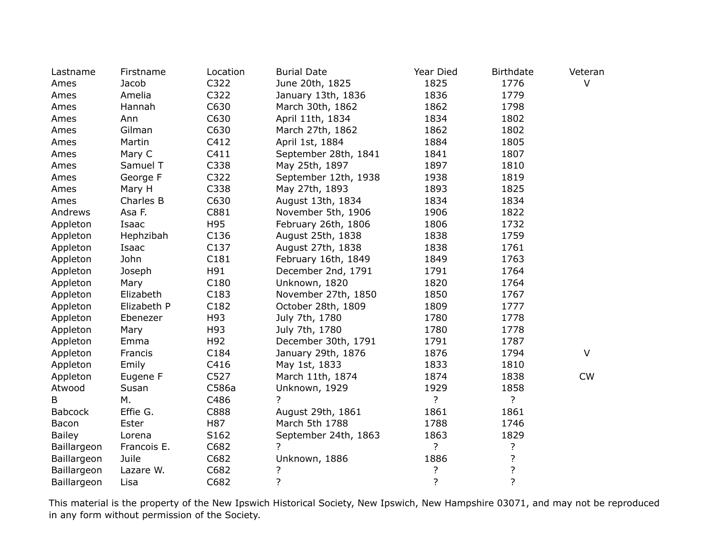| Lastname       | Firstname   | Location         | <b>Burial Date</b>   | Year Died      | <b>Birthdate</b>   | Veteran   |
|----------------|-------------|------------------|----------------------|----------------|--------------------|-----------|
| Ames           | Jacob       | C322             | June 20th, 1825      | 1825           | 1776               | $\vee$    |
| Ames           | Amelia      | C322             | January 13th, 1836   | 1836           | 1779               |           |
| Ames           | Hannah      | C630             | March 30th, 1862     | 1862           | 1798               |           |
| Ames           | Ann         | C630             | April 11th, 1834     | 1834           | 1802               |           |
| Ames           | Gilman      | C630             | March 27th, 1862     | 1862           | 1802               |           |
| Ames           | Martin      | C412             | April 1st, 1884      | 1884           | 1805               |           |
| Ames           | Mary C      | C411             | September 28th, 1841 | 1841           | 1807               |           |
| Ames           | Samuel T    | C338             | May 25th, 1897       | 1897           | 1810               |           |
| Ames           | George F    | C322             | September 12th, 1938 | 1938           | 1819               |           |
| Ames           | Mary H      | C338             | May 27th, 1893       | 1893           | 1825               |           |
| Ames           | Charles B   | C630             | August 13th, 1834    | 1834           | 1834               |           |
| Andrews        | Asa F.      | C881             | November 5th, 1906   | 1906           | 1822               |           |
| Appleton       | Isaac       | H95              | February 26th, 1806  | 1806           | 1732               |           |
| Appleton       | Hephzibah   | C136             | August 25th, 1838    | 1838           | 1759               |           |
| Appleton       | Isaac       | C137             | August 27th, 1838    | 1838           | 1761               |           |
| Appleton       | John        | C181             | February 16th, 1849  | 1849           | 1763               |           |
| Appleton       | Joseph      | H91              | December 2nd, 1791   | 1791           | 1764               |           |
| Appleton       | Mary        | C180             | Unknown, 1820        | 1820           | 1764               |           |
| Appleton       | Elizabeth   | C183             | November 27th, 1850  | 1850           | 1767               |           |
| Appleton       | Elizabeth P | C182             | October 28th, 1809   | 1809           | 1777               |           |
| Appleton       | Ebenezer    | H93              | July 7th, 1780       | 1780           | 1778               |           |
| Appleton       | Mary        | H93              | July 7th, 1780       | 1780           | 1778               |           |
| Appleton       | Emma        | H92              | December 30th, 1791  | 1791           | 1787               |           |
| Appleton       | Francis     | C184             | January 29th, 1876   | 1876           | 1794               | $\vee$    |
| Appleton       | Emily       | C416             | May 1st, 1833        | 1833           | 1810               |           |
| Appleton       | Eugene F    | C527             | March 11th, 1874     | 1874           | 1838               | <b>CW</b> |
| Atwood         | Susan       | C586a            | Unknown, 1929        | 1929           | 1858               |           |
| B              | М.          | C486             | ?                    | ?              | ?                  |           |
| <b>Babcock</b> | Effie G.    | C888             | August 29th, 1861    | 1861           | 1861               |           |
| Bacon          | Ester       | H87              | March 5th 1788       | 1788           | 1746               |           |
| <b>Bailey</b>  | Lorena      | S <sub>162</sub> | September 24th, 1863 | 1863           | 1829               |           |
| Baillargeon    | Francois E. | C682             | ?                    | ?              | ?                  |           |
| Baillargeon    | Juile       | C682             | Unknown, 1886        | 1886           | $\overline{\cdot}$ |           |
| Baillargeon    | Lazare W.   | C682             | ?                    | ?              | ?                  |           |
| Baillargeon    | Lisa        | C682             | $\overline{\cdot}$   | $\overline{?}$ | $\overline{?}$     |           |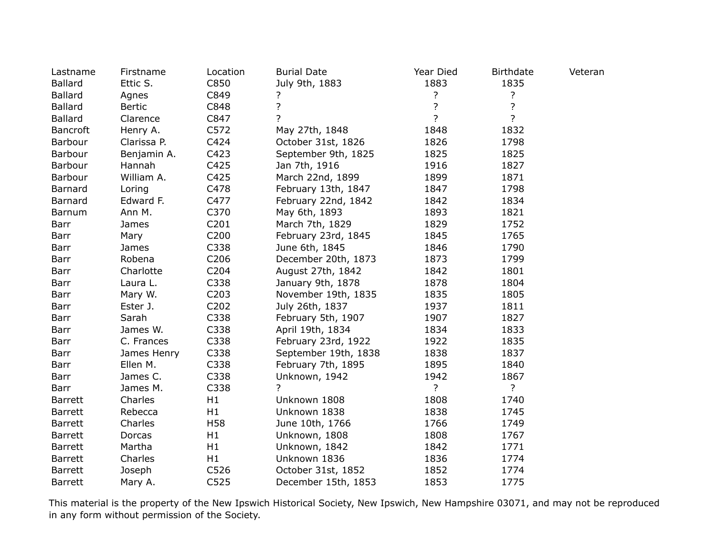| Lastname        | Firstname     | Location          | <b>Burial Date</b>   | Year Died          | <b>Birthdate</b> | Veteran |
|-----------------|---------------|-------------------|----------------------|--------------------|------------------|---------|
| <b>Ballard</b>  | Ettic S.      | C850              | July 9th, 1883       | 1883               | 1835             |         |
| <b>Ballard</b>  | Agnes         | C849              | ?                    | ?                  | ?                |         |
| <b>Ballard</b>  | <b>Bertic</b> | C848              | $\overline{?}$       | $\overline{\cdot}$ | $\overline{?}$   |         |
| <b>Ballard</b>  | Clarence      | C847              | $\overline{?}$       | $\overline{?}$     | $\overline{?}$   |         |
| <b>Bancroft</b> | Henry A.      | C572              | May 27th, 1848       | 1848               | 1832             |         |
| Barbour         | Clarissa P.   | C424              | October 31st, 1826   | 1826               | 1798             |         |
| Barbour         | Benjamin A.   | C423              | September 9th, 1825  | 1825               | 1825             |         |
| Barbour         | Hannah        | C425              | Jan 7th, 1916        | 1916               | 1827             |         |
| Barbour         | William A.    | C425              | March 22nd, 1899     | 1899               | 1871             |         |
| Barnard         | Loring        | C478              | February 13th, 1847  | 1847               | 1798             |         |
| Barnard         | Edward F.     | C477              | February 22nd, 1842  | 1842               | 1834             |         |
| Barnum          | Ann M.        | C370              | May 6th, 1893        | 1893               | 1821             |         |
| Barr            | James         | C201              | March 7th, 1829      | 1829               | 1752             |         |
| Barr            | Mary          | C <sub>200</sub>  | February 23rd, 1845  | 1845               | 1765             |         |
| Barr            | James         | C338              | June 6th, 1845       | 1846               | 1790             |         |
| Barr            | Robena        | C206              | December 20th, 1873  | 1873               | 1799             |         |
| Barr            | Charlotte     | C204              | August 27th, 1842    | 1842               | 1801             |         |
| Barr            | Laura L.      | C338              | January 9th, 1878    | 1878               | 1804             |         |
| Barr            | Mary W.       | C <sub>2</sub> 03 | November 19th, 1835  | 1835               | 1805             |         |
| Barr            | Ester J.      | C202              | July 26th, 1837      | 1937               | 1811             |         |
| Barr            | Sarah         | C338              | February 5th, 1907   | 1907               | 1827             |         |
| Barr            | James W.      | C338              | April 19th, 1834     | 1834               | 1833             |         |
| Barr            | C. Frances    | C338              | February 23rd, 1922  | 1922               | 1835             |         |
| Barr            | James Henry   | C338              | September 19th, 1838 | 1838               | 1837             |         |
| Barr            | Ellen M.      | C338              | February 7th, 1895   | 1895               | 1840             |         |
| Barr            | James C.      | C338              | Unknown, 1942        | 1942               | 1867             |         |
| Barr            | James M.      | C338              |                      | $\overline{?}$     | $\overline{?}$   |         |
| <b>Barrett</b>  | Charles       | H1                | Unknown 1808         | 1808               | 1740             |         |
| <b>Barrett</b>  | Rebecca       | H1                | Unknown 1838         | 1838               | 1745             |         |
| <b>Barrett</b>  | Charles       | H58               | June 10th, 1766      | 1766               | 1749             |         |
| <b>Barrett</b>  | Dorcas        | H1                | Unknown, 1808        | 1808               | 1767             |         |
| <b>Barrett</b>  | Martha        | H1                | Unknown, 1842        | 1842               | 1771             |         |
| <b>Barrett</b>  | Charles       | H1                | Unknown 1836         | 1836               | 1774             |         |
| <b>Barrett</b>  | Joseph        | C526              | October 31st, 1852   | 1852               | 1774             |         |
| Barrett         | Mary A.       | C525              | December 15th, 1853  | 1853               | 1775             |         |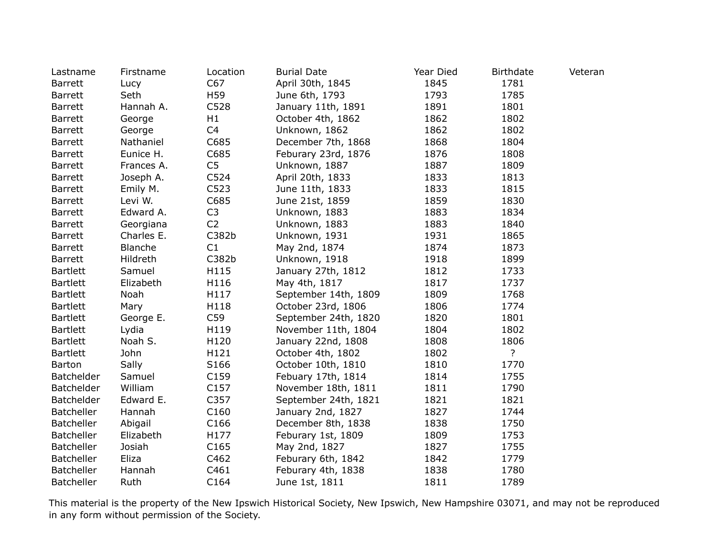| Lastname          | Firstname  | Location       | <b>Burial Date</b>   | Year Died | <b>Birthdate</b> | Veteran |
|-------------------|------------|----------------|----------------------|-----------|------------------|---------|
| <b>Barrett</b>    | Lucy       | C67            | April 30th, 1845     | 1845      | 1781             |         |
| <b>Barrett</b>    | Seth       | H59            | June 6th, 1793       | 1793      | 1785             |         |
| <b>Barrett</b>    | Hannah A.  | C528           | January 11th, 1891   | 1891      | 1801             |         |
| <b>Barrett</b>    | George     | H1             | October 4th, 1862    | 1862      | 1802             |         |
| <b>Barrett</b>    | George     | C4             | Unknown, 1862        | 1862      | 1802             |         |
| <b>Barrett</b>    | Nathaniel  | C685           | December 7th, 1868   | 1868      | 1804             |         |
| <b>Barrett</b>    | Eunice H.  | C685           | Feburary 23rd, 1876  | 1876      | 1808             |         |
| <b>Barrett</b>    | Frances A. | C <sub>5</sub> | Unknown, 1887        | 1887      | 1809             |         |
| <b>Barrett</b>    | Joseph A.  | C524           | April 20th, 1833     | 1833      | 1813             |         |
| <b>Barrett</b>    | Emily M.   | C523           | June 11th, 1833      | 1833      | 1815             |         |
| Barrett           | Levi W.    | C685           | June 21st, 1859      | 1859      | 1830             |         |
| Barrett           | Edward A.  | C <sub>3</sub> | Unknown, 1883        | 1883      | 1834             |         |
| <b>Barrett</b>    | Georgiana  | C <sub>2</sub> | Unknown, 1883        | 1883      | 1840             |         |
| <b>Barrett</b>    | Charles E. | C382b          | Unknown, 1931        | 1931      | 1865             |         |
| <b>Barrett</b>    | Blanche    | C1             | May 2nd, 1874        | 1874      | 1873             |         |
| <b>Barrett</b>    | Hildreth   | C382b          | Unknown, 1918        | 1918      | 1899             |         |
| <b>Bartlett</b>   | Samuel     | H115           | January 27th, 1812   | 1812      | 1733             |         |
| <b>Bartlett</b>   | Elizabeth  | H116           | May 4th, 1817        | 1817      | 1737             |         |
| <b>Bartlett</b>   | Noah       | H117           | September 14th, 1809 | 1809      | 1768             |         |
| <b>Bartlett</b>   | Mary       | H118           | October 23rd, 1806   | 1806      | 1774             |         |
| <b>Bartlett</b>   | George E.  | C59            | September 24th, 1820 | 1820      | 1801             |         |
| <b>Bartlett</b>   | Lydia      | H119           | November 11th, 1804  | 1804      | 1802             |         |
| <b>Bartlett</b>   | Noah S.    | H120           | January 22nd, 1808   | 1808      | 1806             |         |
| <b>Bartlett</b>   | John       | H121           | October 4th, 1802    | 1802      | $\overline{?}$   |         |
| Barton            | Sally      | S166           | October 10th, 1810   | 1810      | 1770             |         |
| Batchelder        | Samuel     | C159           | Febuary 17th, 1814   | 1814      | 1755             |         |
| Batchelder        | William    | C157           | November 18th, 1811  | 1811      | 1790             |         |
| Batchelder        | Edward E.  | C357           | September 24th, 1821 | 1821      | 1821             |         |
| <b>Batcheller</b> | Hannah     | C160           | January 2nd, 1827    | 1827      | 1744             |         |
| <b>Batcheller</b> | Abigail    | C166           | December 8th, 1838   | 1838      | 1750             |         |
| <b>Batcheller</b> | Elizabeth  | H177           | Feburary 1st, 1809   | 1809      | 1753             |         |
| <b>Batcheller</b> | Josiah     | C165           | May 2nd, 1827        | 1827      | 1755             |         |
| <b>Batcheller</b> | Eliza      | C462           | Feburary 6th, 1842   | 1842      | 1779             |         |
| <b>Batcheller</b> | Hannah     | C461           | Feburary 4th, 1838   | 1838      | 1780             |         |
| <b>Batcheller</b> | Ruth       | C164           | June 1st, 1811       | 1811      | 1789             |         |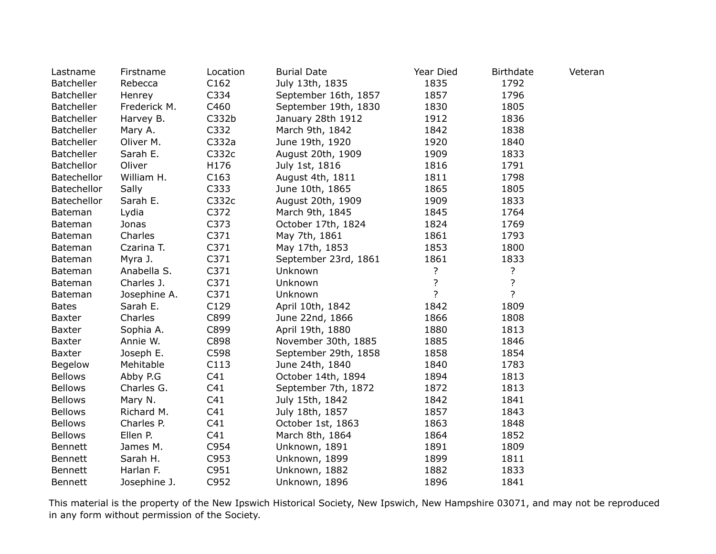| Lastname           | Firstname    | Location        | <b>Burial Date</b>   | Year Died      | <b>Birthdate</b>   | Veteran |
|--------------------|--------------|-----------------|----------------------|----------------|--------------------|---------|
| Batcheller         | Rebecca      | C162            | July 13th, 1835      | 1835           | 1792               |         |
| <b>Batcheller</b>  | Henrey       | C334            | September 16th, 1857 | 1857           | 1796               |         |
| Batcheller         | Frederick M. | C460            | September 19th, 1830 | 1830           | 1805               |         |
| <b>Batcheller</b>  | Harvey B.    | C332b           | January 28th 1912    | 1912           | 1836               |         |
| <b>Batcheller</b>  | Mary A.      | C332            | March 9th, 1842      | 1842           | 1838               |         |
| Batcheller         | Oliver M.    | C332a           | June 19th, 1920      | 1920           | 1840               |         |
| <b>Batcheller</b>  | Sarah E.     | C332c           | August 20th, 1909    | 1909           | 1833               |         |
| Batchellor         | Oliver       | H176            | July 1st, 1816       | 1816           | 1791               |         |
| <b>Batechellor</b> | William H.   | C163            | August 4th, 1811     | 1811           | 1798               |         |
| Batechellor        | Sally        | C333            | June 10th, 1865      | 1865           | 1805               |         |
| Batechellor        | Sarah E.     | C332c           | August 20th, 1909    | 1909           | 1833               |         |
| Bateman            | Lydia        | C372            | March 9th, 1845      | 1845           | 1764               |         |
| Bateman            | Jonas        | C373            | October 17th, 1824   | 1824           | 1769               |         |
| Bateman            | Charles      | C371            | May 7th, 1861        | 1861           | 1793               |         |
| Bateman            | Czarina T.   | C371            | May 17th, 1853       | 1853           | 1800               |         |
| Bateman            | Myra J.      | C371            | September 23rd, 1861 | 1861           | 1833               |         |
| Bateman            | Anabella S.  | C371            | Unknown              | ?              | ?                  |         |
| Bateman            | Charles J.   | C371            | Unknown              | ?              | $\overline{\cdot}$ |         |
| Bateman            | Josephine A. | C371            | Unknown              | $\overline{?}$ | $\overline{?}$     |         |
| <b>Bates</b>       | Sarah E.     | C129            | April 10th, 1842     | 1842           | 1809               |         |
| <b>Baxter</b>      | Charles      | C899            | June 22nd, 1866      | 1866           | 1808               |         |
| Baxter             | Sophia A.    | C899            | April 19th, 1880     | 1880           | 1813               |         |
| <b>Baxter</b>      | Annie W.     | C898            | November 30th, 1885  | 1885           | 1846               |         |
| Baxter             | Joseph E.    | C598            | September 29th, 1858 | 1858           | 1854               |         |
| Begelow            | Mehitable    | C113            | June 24th, 1840      | 1840           | 1783               |         |
| <b>Bellows</b>     | Abby P.G     | C41             | October 14th, 1894   | 1894           | 1813               |         |
| <b>Bellows</b>     | Charles G.   | C <sub>41</sub> | September 7th, 1872  | 1872           | 1813               |         |
| <b>Bellows</b>     | Mary N.      | C <sub>41</sub> | July 15th, 1842      | 1842           | 1841               |         |
| <b>Bellows</b>     | Richard M.   | C41             | July 18th, 1857      | 1857           | 1843               |         |
| <b>Bellows</b>     | Charles P.   | C <sub>41</sub> | October 1st, 1863    | 1863           | 1848               |         |
| <b>Bellows</b>     | Ellen P.     | C <sub>41</sub> | March 8th, 1864      | 1864           | 1852               |         |
| Bennett            | James M.     | C954            | Unknown, 1891        | 1891           | 1809               |         |
| Bennett            | Sarah H.     | C953            | Unknown, 1899        | 1899           | 1811               |         |
| Bennett            | Harlan F.    | C951            | Unknown, 1882        | 1882           | 1833               |         |
| <b>Bennett</b>     | Josephine J. | C952            | Unknown, 1896        | 1896           | 1841               |         |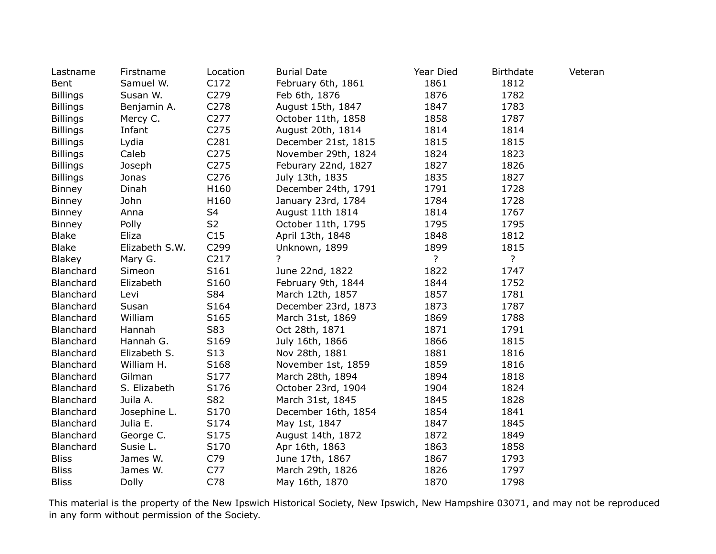| Lastname        | Firstname      | Location         | <b>Burial Date</b>  | Year Died | <b>Birthdate</b> | Veteran |
|-----------------|----------------|------------------|---------------------|-----------|------------------|---------|
| Bent            | Samuel W.      | C172             | February 6th, 1861  | 1861      | 1812             |         |
| <b>Billings</b> | Susan W.       | C279             | Feb 6th, 1876       | 1876      | 1782             |         |
| <b>Billings</b> | Benjamin A.    | C278             | August 15th, 1847   | 1847      | 1783             |         |
| <b>Billings</b> | Mercy C.       | C277             | October 11th, 1858  | 1858      | 1787             |         |
| <b>Billings</b> | Infant         | C <sub>275</sub> | August 20th, 1814   | 1814      | 1814             |         |
| <b>Billings</b> | Lydia          | C281             | December 21st, 1815 | 1815      | 1815             |         |
| <b>Billings</b> | Caleb          | C275             | November 29th, 1824 | 1824      | 1823             |         |
| <b>Billings</b> | Joseph         | C <sub>275</sub> | Feburary 22nd, 1827 | 1827      | 1826             |         |
| <b>Billings</b> | Jonas          | C276             | July 13th, 1835     | 1835      | 1827             |         |
| <b>Binney</b>   | Dinah          | H160             | December 24th, 1791 | 1791      | 1728             |         |
| <b>Binney</b>   | John           | H160             | January 23rd, 1784  | 1784      | 1728             |         |
| <b>Binney</b>   | Anna           | S <sub>4</sub>   | August 11th 1814    | 1814      | 1767             |         |
| <b>Binney</b>   | Polly          | S <sub>2</sub>   | October 11th, 1795  | 1795      | 1795             |         |
| <b>Blake</b>    | Eliza          | C15              | April 13th, 1848    | 1848      | 1812             |         |
| <b>Blake</b>    | Elizabeth S.W. | C299             | Unknown, 1899       | 1899      | 1815             |         |
| <b>Blakey</b>   | Mary G.        | C <sub>217</sub> | ?                   | ?         | ?                |         |
| Blanchard       | Simeon         | S161             | June 22nd, 1822     | 1822      | 1747             |         |
| Blanchard       | Elizabeth      | S160             | February 9th, 1844  | 1844      | 1752             |         |
| Blanchard       | Levi           | S84              | March 12th, 1857    | 1857      | 1781             |         |
| Blanchard       | Susan          | S164             | December 23rd, 1873 | 1873      | 1787             |         |
| Blanchard       | William        | S <sub>165</sub> | March 31st, 1869    | 1869      | 1788             |         |
| Blanchard       | Hannah         | S83              | Oct 28th, 1871      | 1871      | 1791             |         |
| Blanchard       | Hannah G.      | S <sub>169</sub> | July 16th, 1866     | 1866      | 1815             |         |
| Blanchard       | Elizabeth S.   | S13              | Nov 28th, 1881      | 1881      | 1816             |         |
| Blanchard       | William H.     | S168             | November 1st, 1859  | 1859      | 1816             |         |
| Blanchard       | Gilman         | S177             | March 28th, 1894    | 1894      | 1818             |         |
| Blanchard       | S. Elizabeth   | S176             | October 23rd, 1904  | 1904      | 1824             |         |
| Blanchard       | Juila A.       | S82              | March 31st, 1845    | 1845      | 1828             |         |
| Blanchard       | Josephine L.   | S170             | December 16th, 1854 | 1854      | 1841             |         |
| Blanchard       | Julia E.       | S174             | May 1st, 1847       | 1847      | 1845             |         |
| Blanchard       | George C.      | S175             | August 14th, 1872   | 1872      | 1849             |         |
| Blanchard       | Susie L.       | S170             | Apr 16th, 1863      | 1863      | 1858             |         |
| <b>Bliss</b>    | James W.       | C79              | June 17th, 1867     | 1867      | 1793             |         |
| <b>Bliss</b>    | James W.       | C77              | March 29th, 1826    | 1826      | 1797             |         |
| <b>Bliss</b>    | Dolly          | C78              | May 16th, 1870      | 1870      | 1798             |         |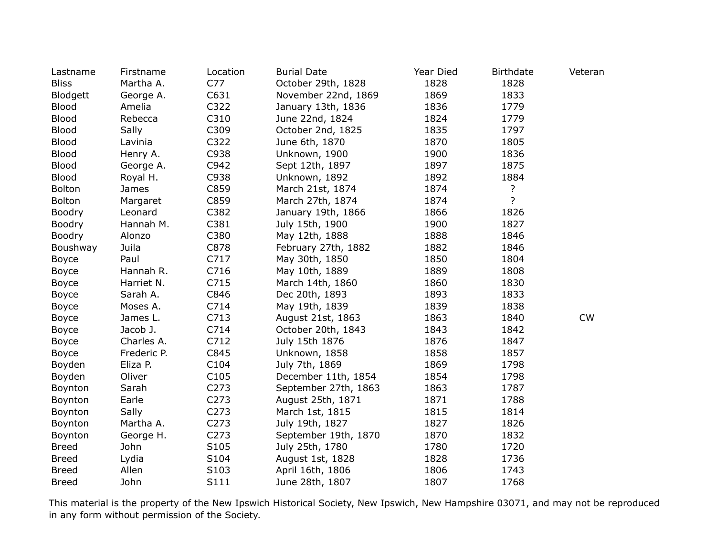| Lastname      | Firstname   | Location         | <b>Burial Date</b>   | Year Died | <b>Birthdate</b> | Veteran   |
|---------------|-------------|------------------|----------------------|-----------|------------------|-----------|
| <b>Bliss</b>  | Martha A.   | C77              | October 29th, 1828   | 1828      | 1828             |           |
| Blodgett      | George A.   | C631             | November 22nd, 1869  | 1869      | 1833             |           |
| <b>Blood</b>  | Amelia      | C322             | January 13th, 1836   | 1836      | 1779             |           |
| <b>Blood</b>  | Rebecca     | C310             | June 22nd, 1824      | 1824      | 1779             |           |
| <b>Blood</b>  | Sally       | C309             | October 2nd, 1825    | 1835      | 1797             |           |
| <b>Blood</b>  | Lavinia     | C322             | June 6th, 1870       | 1870      | 1805             |           |
| <b>Blood</b>  | Henry A.    | C938             | Unknown, 1900        | 1900      | 1836             |           |
| <b>Blood</b>  | George A.   | C942             | Sept 12th, 1897      | 1897      | 1875             |           |
| <b>Blood</b>  | Royal H.    | C938             | Unknown, 1892        | 1892      | 1884             |           |
| <b>Bolton</b> | James       | C859             | March 21st, 1874     | 1874      | ?                |           |
| <b>Bolton</b> | Margaret    | C859             | March 27th, 1874     | 1874      | $\overline{?}$   |           |
| Boodry        | Leonard     | C382             | January 19th, 1866   | 1866      | 1826             |           |
| <b>Boodry</b> | Hannah M.   | C381             | July 15th, 1900      | 1900      | 1827             |           |
| <b>Boodry</b> | Alonzo      | C380             | May 12th, 1888       | 1888      | 1846             |           |
| Boushway      | Juila       | C878             | February 27th, 1882  | 1882      | 1846             |           |
| <b>Boyce</b>  | Paul        | C717             | May 30th, 1850       | 1850      | 1804             |           |
| Boyce         | Hannah R.   | C716             | May 10th, 1889       | 1889      | 1808             |           |
| Boyce         | Harriet N.  | C715             | March 14th, 1860     | 1860      | 1830             |           |
| <b>Boyce</b>  | Sarah A.    | C846             | Dec 20th, 1893       | 1893      | 1833             |           |
| Boyce         | Moses A.    | C714             | May 19th, 1839       | 1839      | 1838             |           |
| Boyce         | James L.    | C713             | August 21st, 1863    | 1863      | 1840             | <b>CW</b> |
| Boyce         | Jacob J.    | C714             | October 20th, 1843   | 1843      | 1842             |           |
| Boyce         | Charles A.  | C712             | July 15th 1876       | 1876      | 1847             |           |
| Boyce         | Frederic P. | C845             | Unknown, 1858        | 1858      | 1857             |           |
| Boyden        | Eliza P.    | C104             | July 7th, 1869       | 1869      | 1798             |           |
| Boyden        | Oliver      | C <sub>105</sub> | December 11th, 1854  | 1854      | 1798             |           |
| Boynton       | Sarah       | C273             | September 27th, 1863 | 1863      | 1787             |           |
| Boynton       | Earle       | C273             | August 25th, 1871    | 1871      | 1788             |           |
| Boynton       | Sally       | C273             | March 1st, 1815      | 1815      | 1814             |           |
| Boynton       | Martha A.   | C <sub>273</sub> | July 19th, 1827      | 1827      | 1826             |           |
| Boynton       | George H.   | C273             | September 19th, 1870 | 1870      | 1832             |           |
| <b>Breed</b>  | John        | S105             | July 25th, 1780      | 1780      | 1720             |           |
| <b>Breed</b>  | Lydia       | S104             | August 1st, 1828     | 1828      | 1736             |           |
| <b>Breed</b>  | Allen       | S103             | April 16th, 1806     | 1806      | 1743             |           |
| <b>Breed</b>  | John        | S111             | June 28th, 1807      | 1807      | 1768             |           |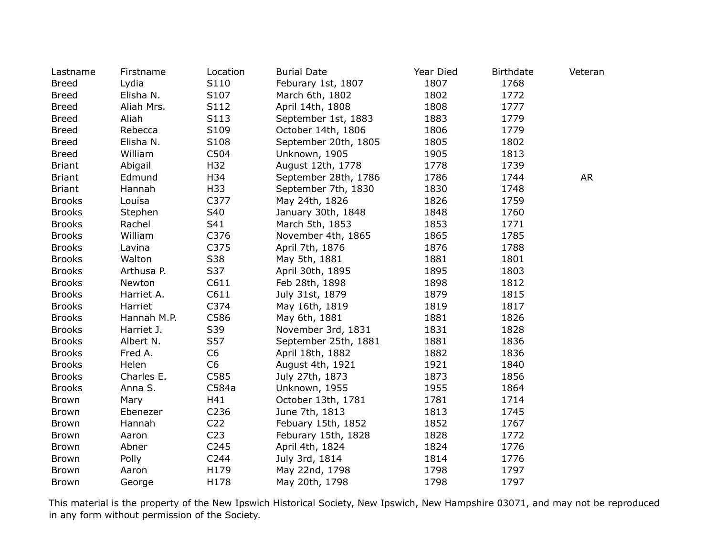| Lastname      | Firstname   | Location         | <b>Burial Date</b>   | Year Died | <b>Birthdate</b> | Veteran   |
|---------------|-------------|------------------|----------------------|-----------|------------------|-----------|
| <b>Breed</b>  | Lydia       | S110             | Feburary 1st, 1807   | 1807      | 1768             |           |
| <b>Breed</b>  | Elisha N.   | S107             | March 6th, 1802      | 1802      | 1772             |           |
| <b>Breed</b>  | Aliah Mrs.  | S112             | April 14th, 1808     | 1808      | 1777             |           |
| <b>Breed</b>  | Aliah       | S113             | September 1st, 1883  | 1883      | 1779             |           |
| <b>Breed</b>  | Rebecca     | S109             | October 14th, 1806   | 1806      | 1779             |           |
| <b>Breed</b>  | Elisha N.   | S108             | September 20th, 1805 | 1805      | 1802             |           |
| <b>Breed</b>  | William     | C504             | Unknown, 1905        | 1905      | 1813             |           |
| <b>Briant</b> | Abigail     | H32              | August 12th, 1778    | 1778      | 1739             |           |
| <b>Briant</b> | Edmund      | H34              | September 28th, 1786 | 1786      | 1744             | <b>AR</b> |
| <b>Briant</b> | Hannah      | H33              | September 7th, 1830  | 1830      | 1748             |           |
| <b>Brooks</b> | Louisa      | C377             | May 24th, 1826       | 1826      | 1759             |           |
| <b>Brooks</b> | Stephen     | S40              | January 30th, 1848   | 1848      | 1760             |           |
| <b>Brooks</b> | Rachel      | S41              | March 5th, 1853      | 1853      | 1771             |           |
| <b>Brooks</b> | William     | C376             | November 4th, 1865   | 1865      | 1785             |           |
| <b>Brooks</b> | Lavina      | C375             | April 7th, 1876      | 1876      | 1788             |           |
| <b>Brooks</b> | Walton      | S38              | May 5th, 1881        | 1881      | 1801             |           |
| <b>Brooks</b> | Arthusa P.  | S37              | April 30th, 1895     | 1895      | 1803             |           |
| <b>Brooks</b> | Newton      | C611             | Feb 28th, 1898       | 1898      | 1812             |           |
| <b>Brooks</b> | Harriet A.  | C611             | July 31st, 1879      | 1879      | 1815             |           |
| <b>Brooks</b> | Harriet     | C374             | May 16th, 1819       | 1819      | 1817             |           |
| <b>Brooks</b> | Hannah M.P. | C586             | May 6th, 1881        | 1881      | 1826             |           |
| <b>Brooks</b> | Harriet J.  | S39              | November 3rd, 1831   | 1831      | 1828             |           |
| <b>Brooks</b> | Albert N.   | S57              | September 25th, 1881 | 1881      | 1836             |           |
| <b>Brooks</b> | Fred A.     | C <sub>6</sub>   | April 18th, 1882     | 1882      | 1836             |           |
| <b>Brooks</b> | Helen       | C <sub>6</sub>   | August 4th, 1921     | 1921      | 1840             |           |
| <b>Brooks</b> | Charles E.  | C585             | July 27th, 1873      | 1873      | 1856             |           |
| <b>Brooks</b> | Anna S.     | C584a            | Unknown, 1955        | 1955      | 1864             |           |
| Brown         | Mary        | H41              | October 13th, 1781   | 1781      | 1714             |           |
| Brown         | Ebenezer    | C236             | June 7th, 1813       | 1813      | 1745             |           |
| Brown         | Hannah      | C <sub>22</sub>  | Febuary 15th, 1852   | 1852      | 1767             |           |
| <b>Brown</b>  | Aaron       | C <sub>23</sub>  | Feburary 15th, 1828  | 1828      | 1772             |           |
| <b>Brown</b>  | Abner       | C <sub>245</sub> | April 4th, 1824      | 1824      | 1776             |           |
| Brown         | Polly       | C244             | July 3rd, 1814       | 1814      | 1776             |           |
| <b>Brown</b>  | Aaron       | H179             | May 22nd, 1798       | 1798      | 1797             |           |
| Brown         | George      | H178             | May 20th, 1798       | 1798      | 1797             |           |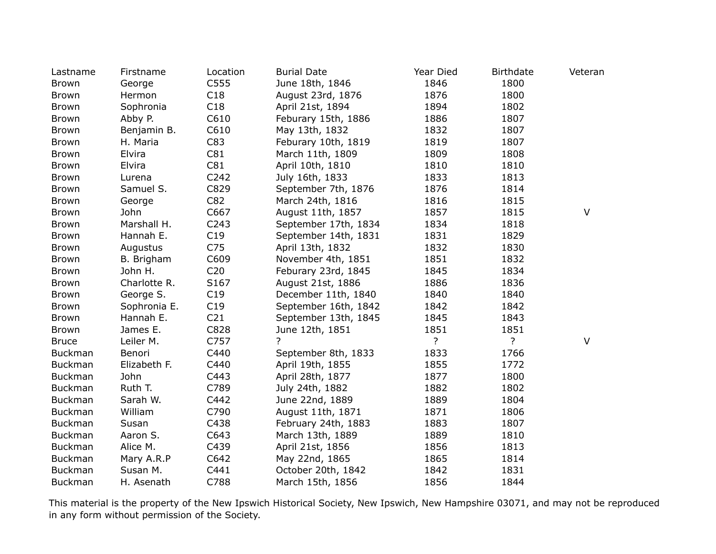| Lastname       | Firstname    | Location        | <b>Burial Date</b>   | Year Died      | <b>Birthdate</b> | Veteran |
|----------------|--------------|-----------------|----------------------|----------------|------------------|---------|
| <b>Brown</b>   | George       | C555            | June 18th, 1846      | 1846           | 1800             |         |
| Brown          | Hermon       | C18             | August 23rd, 1876    | 1876           | 1800             |         |
| <b>Brown</b>   | Sophronia    | C18             | April 21st, 1894     | 1894           | 1802             |         |
| Brown          | Abby P.      | C610            | Feburary 15th, 1886  | 1886           | 1807             |         |
| Brown          | Benjamin B.  | C610            | May 13th, 1832       | 1832           | 1807             |         |
| <b>Brown</b>   | H. Maria     | C83             | Feburary 10th, 1819  | 1819           | 1807             |         |
| <b>Brown</b>   | Elvira       | C81             | March 11th, 1809     | 1809           | 1808             |         |
| <b>Brown</b>   | Elvira       | C81             | April 10th, 1810     | 1810           | 1810             |         |
| Brown          | Lurena       | C242            | July 16th, 1833      | 1833           | 1813             |         |
| <b>Brown</b>   | Samuel S.    | C829            | September 7th, 1876  | 1876           | 1814             |         |
| <b>Brown</b>   | George       | C82             | March 24th, 1816     | 1816           | 1815             |         |
| <b>Brown</b>   | John         | C667            | August 11th, 1857    | 1857           | 1815             | $\vee$  |
| <b>Brown</b>   | Marshall H.  | C243            | September 17th, 1834 | 1834           | 1818             |         |
| <b>Brown</b>   | Hannah E.    | C19             | September 14th, 1831 | 1831           | 1829             |         |
| <b>Brown</b>   | Augustus     | C <sub>75</sub> | April 13th, 1832     | 1832           | 1830             |         |
| Brown          | B. Brigham   | C609            | November 4th, 1851   | 1851           | 1832             |         |
| Brown          | John H.      | C <sub>20</sub> | Feburary 23rd, 1845  | 1845           | 1834             |         |
| Brown          | Charlotte R. | S167            | August 21st, 1886    | 1886           | 1836             |         |
| <b>Brown</b>   | George S.    | C19             | December 11th, 1840  | 1840           | 1840             |         |
| Brown          | Sophronia E. | C19             | September 16th, 1842 | 1842           | 1842             |         |
| <b>Brown</b>   | Hannah E.    | C <sub>21</sub> | September 13th, 1845 | 1845           | 1843             |         |
| <b>Brown</b>   | James E.     | C828            | June 12th, 1851      | 1851           | 1851             |         |
| <b>Bruce</b>   | Leiler M.    | C757            | 2                    | $\overline{?}$ | $\overline{?}$   | $\vee$  |
| <b>Buckman</b> | Benori       | C440            | September 8th, 1833  | 1833           | 1766             |         |
| <b>Buckman</b> | Elizabeth F. | C440            | April 19th, 1855     | 1855           | 1772             |         |
| <b>Buckman</b> | John         | C443            | April 28th, 1877     | 1877           | 1800             |         |
| <b>Buckman</b> | Ruth T.      | C789            | July 24th, 1882      | 1882           | 1802             |         |
| <b>Buckman</b> | Sarah W.     | C442            | June 22nd, 1889      | 1889           | 1804             |         |
| Buckman        | William      | C790            | August 11th, 1871    | 1871           | 1806             |         |
| <b>Buckman</b> | Susan        | C438            | February 24th, 1883  | 1883           | 1807             |         |
| <b>Buckman</b> | Aaron S.     | C643            | March 13th, 1889     | 1889           | 1810             |         |
| <b>Buckman</b> | Alice M.     | C439            | April 21st, 1856     | 1856           | 1813             |         |
| <b>Buckman</b> | Mary A.R.P   | C642            | May 22nd, 1865       | 1865           | 1814             |         |
| <b>Buckman</b> | Susan M.     | C441            | October 20th, 1842   | 1842           | 1831             |         |
| <b>Buckman</b> | H. Asenath   | C788            | March 15th, 1856     | 1856           | 1844             |         |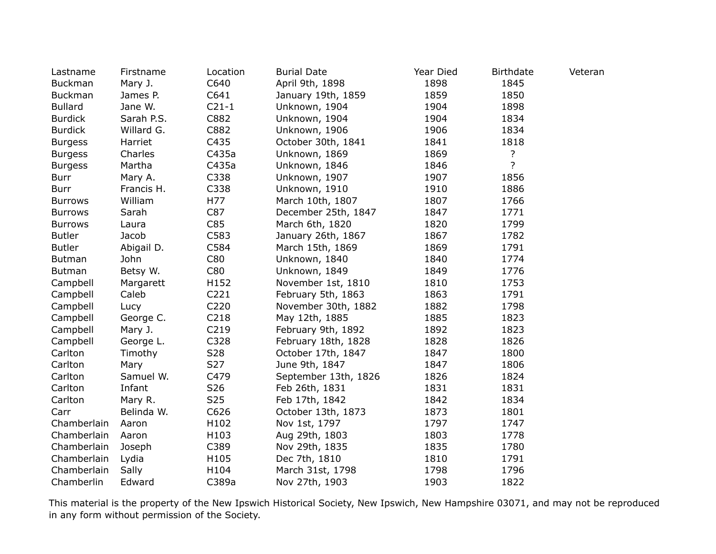| Lastname       | Firstname  | Location        | <b>Burial Date</b>   | Year Died | <b>Birthdate</b> | Veteran |
|----------------|------------|-----------------|----------------------|-----------|------------------|---------|
| <b>Buckman</b> | Mary J.    | C640            | April 9th, 1898      | 1898      | 1845             |         |
| <b>Buckman</b> | James P.   | C641            | January 19th, 1859   | 1859      | 1850             |         |
| <b>Bullard</b> | Jane W.    | $C21-1$         | Unknown, 1904        | 1904      | 1898             |         |
| <b>Burdick</b> | Sarah P.S. | C882            | Unknown, 1904        | 1904      | 1834             |         |
| <b>Burdick</b> | Willard G. | C882            | Unknown, 1906        | 1906      | 1834             |         |
| <b>Burgess</b> | Harriet    | C435            | October 30th, 1841   | 1841      | 1818             |         |
| <b>Burgess</b> | Charles    | C435a           | Unknown, 1869        | 1869      | ?                |         |
| <b>Burgess</b> | Martha     | C435a           | Unknown, 1846        | 1846      | $\overline{?}$   |         |
| <b>Burr</b>    | Mary A.    | C338            | Unknown, 1907        | 1907      | 1856             |         |
| <b>Burr</b>    | Francis H. | C338            | Unknown, 1910        | 1910      | 1886             |         |
| <b>Burrows</b> | William    | H77             | March 10th, 1807     | 1807      | 1766             |         |
| <b>Burrows</b> | Sarah      | C87             | December 25th, 1847  | 1847      | 1771             |         |
| <b>Burrows</b> | Laura      | C85             | March 6th, 1820      | 1820      | 1799             |         |
| <b>Butler</b>  | Jacob      | C583            | January 26th, 1867   | 1867      | 1782             |         |
| <b>Butler</b>  | Abigail D. | C584            | March 15th, 1869     | 1869      | 1791             |         |
| <b>Butman</b>  | John       | C80             | Unknown, 1840        | 1840      | 1774             |         |
| <b>Butman</b>  | Betsy W.   | C80             | Unknown, 1849        | 1849      | 1776             |         |
| Campbell       | Margarett  | H152            | November 1st, 1810   | 1810      | 1753             |         |
| Campbell       | Caleb      | C221            | February 5th, 1863   | 1863      | 1791             |         |
| Campbell       | Lucy       | C220            | November 30th, 1882  | 1882      | 1798             |         |
| Campbell       | George C.  | C218            | May 12th, 1885       | 1885      | 1823             |         |
| Campbell       | Mary J.    | C219            | February 9th, 1892   | 1892      | 1823             |         |
| Campbell       | George L.  | C328            | February 18th, 1828  | 1828      | 1826             |         |
| Carlton        | Timothy    | S28             | October 17th, 1847   | 1847      | 1800             |         |
| Carlton        | Mary       | S27             | June 9th, 1847       | 1847      | 1806             |         |
| Carlton        | Samuel W.  | C479            | September 13th, 1826 | 1826      | 1824             |         |
| Carlton        | Infant     | S <sub>26</sub> | Feb 26th, 1831       | 1831      | 1831             |         |
| Carlton        | Mary R.    | S <sub>25</sub> | Feb 17th, 1842       | 1842      | 1834             |         |
| Carr           | Belinda W. | C626            | October 13th, 1873   | 1873      | 1801             |         |
| Chamberlain    | Aaron      | H102            | Nov 1st, 1797        | 1797      | 1747             |         |
| Chamberlain    | Aaron      | H103            | Aug 29th, 1803       | 1803      | 1778             |         |
| Chamberlain    | Joseph     | C389            | Nov 29th, 1835       | 1835      | 1780             |         |
| Chamberlain    | Lydia      | H105            | Dec 7th, 1810        | 1810      | 1791             |         |
| Chamberlain    | Sally      | H104            | March 31st, 1798     | 1798      | 1796             |         |
| Chamberlin     | Edward     | C389a           | Nov 27th, 1903       | 1903      | 1822             |         |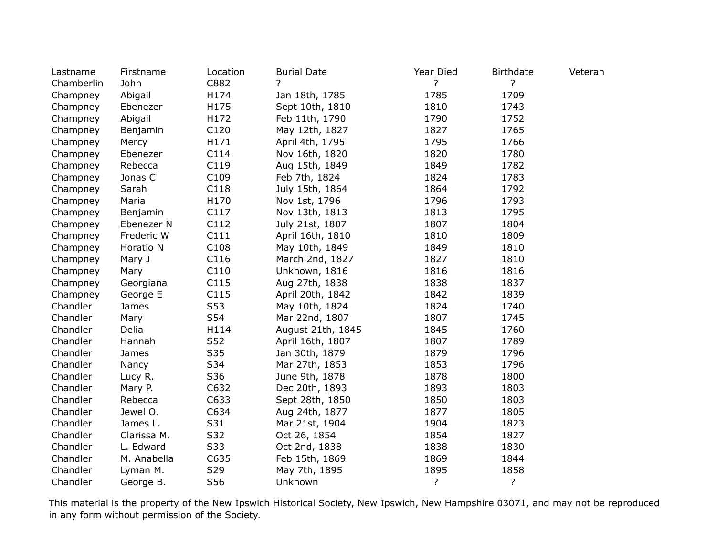| Lastname   | Firstname   | Location | <b>Burial Date</b> | Year Died      | <b>Birthdate</b> | Veteran |
|------------|-------------|----------|--------------------|----------------|------------------|---------|
| Chamberlin | John        | C882     | 7                  | $\overline{?}$ | ?                |         |
| Champney   | Abigail     | H174     | Jan 18th, 1785     | 1785           | 1709             |         |
| Champney   | Ebenezer    | H175     | Sept 10th, 1810    | 1810           | 1743             |         |
| Champney   | Abigail     | H172     | Feb 11th, 1790     | 1790           | 1752             |         |
| Champney   | Benjamin    | C120     | May 12th, 1827     | 1827           | 1765             |         |
| Champney   | Mercy       | H171     | April 4th, 1795    | 1795           | 1766             |         |
| Champney   | Ebenezer    | C114     | Nov 16th, 1820     | 1820           | 1780             |         |
| Champney   | Rebecca     | C119     | Aug 15th, 1849     | 1849           | 1782             |         |
| Champney   | Jonas C     | C109     | Feb 7th, 1824      | 1824           | 1783             |         |
| Champney   | Sarah       | C118     | July 15th, 1864    | 1864           | 1792             |         |
| Champney   | Maria       | H170     | Nov 1st, 1796      | 1796           | 1793             |         |
| Champney   | Benjamin    | C117     | Nov 13th, 1813     | 1813           | 1795             |         |
| Champney   | Ebenezer N  | C112     | July 21st, 1807    | 1807           | 1804             |         |
| Champney   | Frederic W  | C111     | April 16th, 1810   | 1810           | 1809             |         |
| Champney   | Horatio N   | C108     | May 10th, 1849     | 1849           | 1810             |         |
| Champney   | Mary J      | C116     | March 2nd, 1827    | 1827           | 1810             |         |
| Champney   | Mary        | C110     | Unknown, 1816      | 1816           | 1816             |         |
| Champney   | Georgiana   | C115     | Aug 27th, 1838     | 1838           | 1837             |         |
| Champney   | George E    | C115     | April 20th, 1842   | 1842           | 1839             |         |
| Chandler   | James       | S53      | May 10th, 1824     | 1824           | 1740             |         |
| Chandler   | Mary        | S54      | Mar 22nd, 1807     | 1807           | 1745             |         |
| Chandler   | Delia       | H114     | August 21th, 1845  | 1845           | 1760             |         |
| Chandler   | Hannah      | S52      | April 16th, 1807   | 1807           | 1789             |         |
| Chandler   | James       | S35      | Jan 30th, 1879     | 1879           | 1796             |         |
| Chandler   | Nancy       | S34      | Mar 27th, 1853     | 1853           | 1796             |         |
| Chandler   | Lucy R.     | S36      | June 9th, 1878     | 1878           | 1800             |         |
| Chandler   | Mary P.     | C632     | Dec 20th, 1893     | 1893           | 1803             |         |
| Chandler   | Rebecca     | C633     | Sept 28th, 1850    | 1850           | 1803             |         |
| Chandler   | Jewel O.    | C634     | Aug 24th, 1877     | 1877           | 1805             |         |
| Chandler   | James L.    | S31      | Mar 21st, 1904     | 1904           | 1823             |         |
| Chandler   | Clarissa M. | S32      | Oct 26, 1854       | 1854           | 1827             |         |
| Chandler   | L. Edward   | S33      | Oct 2nd, 1838      | 1838           | 1830             |         |
| Chandler   | M. Anabella | C635     | Feb 15th, 1869     | 1869           | 1844             |         |
| Chandler   | Lyman M.    | S29      | May 7th, 1895      | 1895           | 1858             |         |
| Chandler   | George B.   | S56      | Unknown            | $\overline{?}$ | ?                |         |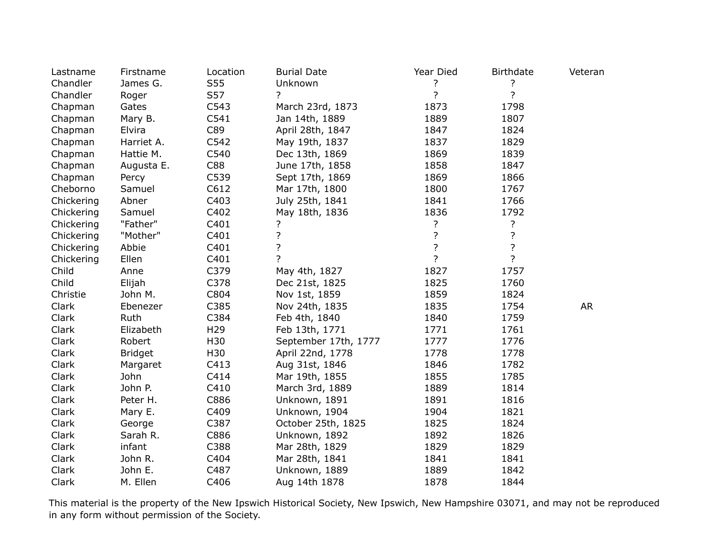| Lastname   | Firstname      | Location        | <b>Burial Date</b>   | Year Died      | <b>Birthdate</b>   | Veteran   |
|------------|----------------|-----------------|----------------------|----------------|--------------------|-----------|
| Chandler   | James G.       | S55             | Unknown              | ?              | ?                  |           |
| Chandler   | Roger          | S57             | ?                    | $\overline{?}$ | $\overline{?}$     |           |
| Chapman    | Gates          | C543            | March 23rd, 1873     | 1873           | 1798               |           |
| Chapman    | Mary B.        | C541            | Jan 14th, 1889       | 1889           | 1807               |           |
| Chapman    | Elvira         | C89             | April 28th, 1847     | 1847           | 1824               |           |
| Chapman    | Harriet A.     | C542            | May 19th, 1837       | 1837           | 1829               |           |
| Chapman    | Hattie M.      | C540            | Dec 13th, 1869       | 1869           | 1839               |           |
| Chapman    | Augusta E.     | C88             | June 17th, 1858      | 1858           | 1847               |           |
| Chapman    | Percy          | C539            | Sept 17th, 1869      | 1869           | 1866               |           |
| Cheborno   | Samuel         | C612            | Mar 17th, 1800       | 1800           | 1767               |           |
| Chickering | Abner          | C403            | July 25th, 1841      | 1841           | 1766               |           |
| Chickering | Samuel         | C402            | May 18th, 1836       | 1836           | 1792               |           |
| Chickering | "Father"       | C401            | ?                    | ?              | ?                  |           |
| Chickering | "Mother"       | C401            | ?                    | ?              | $\overline{\cdot}$ |           |
| Chickering | Abbie          | C401            | $\overline{?}$       | ?              | $\overline{?}$     |           |
| Chickering | Ellen          | C401            | $\overline{?}$       | $\overline{?}$ | $\overline{?}$     |           |
| Child      | Anne           | C379            | May 4th, 1827        | 1827           | 1757               |           |
| Child      | Elijah         | C378            | Dec 21st, 1825       | 1825           | 1760               |           |
| Christie   | John M.        | C804            | Nov 1st, 1859        | 1859           | 1824               |           |
| Clark      | Ebenezer       | C385            | Nov 24th, 1835       | 1835           | 1754               | <b>AR</b> |
| Clark      | Ruth           | C384            | Feb 4th, 1840        | 1840           | 1759               |           |
| Clark      | Elizabeth      | H <sub>29</sub> | Feb 13th, 1771       | 1771           | 1761               |           |
| Clark      | Robert         | H30             | September 17th, 1777 | 1777           | 1776               |           |
| Clark      | <b>Bridget</b> | H30             | April 22nd, 1778     | 1778           | 1778               |           |
| Clark      | Margaret       | C413            | Aug 31st, 1846       | 1846           | 1782               |           |
| Clark      | John           | C414            | Mar 19th, 1855       | 1855           | 1785               |           |
| Clark      | John P.        | C410            | March 3rd, 1889      | 1889           | 1814               |           |
| Clark      | Peter H.       | C886            | Unknown, 1891        | 1891           | 1816               |           |
| Clark      | Mary E.        | C409            | Unknown, 1904        | 1904           | 1821               |           |
| Clark      | George         | C387            | October 25th, 1825   | 1825           | 1824               |           |
| Clark      | Sarah R.       | C886            | Unknown, 1892        | 1892           | 1826               |           |
| Clark      | infant         | C388            | Mar 28th, 1829       | 1829           | 1829               |           |
| Clark      | John R.        | C404            | Mar 28th, 1841       | 1841           | 1841               |           |
| Clark      | John E.        | C487            | Unknown, 1889        | 1889           | 1842               |           |
| Clark      | M. Ellen       | C406            | Aug 14th 1878        | 1878           | 1844               |           |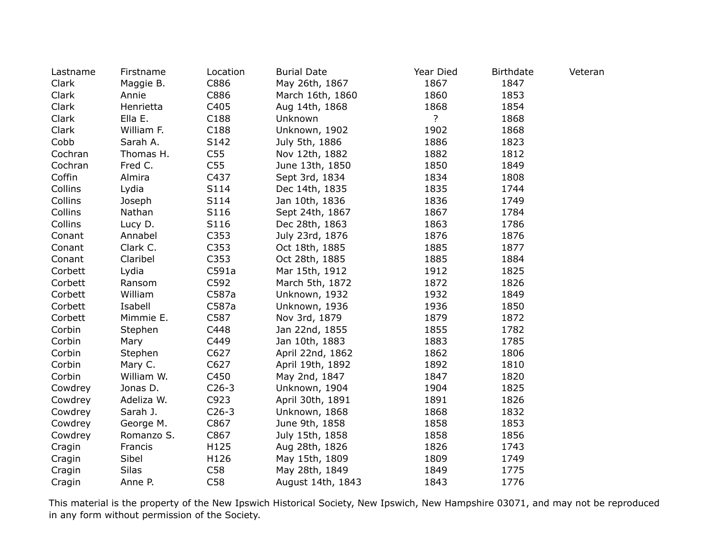| Lastname | Firstname    | Location        | <b>Burial Date</b> | Year Died      | <b>Birthdate</b> | Veteran |
|----------|--------------|-----------------|--------------------|----------------|------------------|---------|
| Clark    | Maggie B.    | C886            | May 26th, 1867     | 1867           | 1847             |         |
| Clark    | Annie        | C886            | March 16th, 1860   | 1860           | 1853             |         |
| Clark    | Henrietta    | C405            | Aug 14th, 1868     | 1868           | 1854             |         |
| Clark    | Ella E.      | C188            | Unknown            | $\overline{?}$ | 1868             |         |
| Clark    | William F.   | C188            | Unknown, 1902      | 1902           | 1868             |         |
| Cobb     | Sarah A.     | S142            | July 5th, 1886     | 1886           | 1823             |         |
| Cochran  | Thomas H.    | C <sub>55</sub> | Nov 12th, 1882     | 1882           | 1812             |         |
| Cochran  | Fred C.      | C <sub>55</sub> | June 13th, 1850    | 1850           | 1849             |         |
| Coffin   | Almira       | C437            | Sept 3rd, 1834     | 1834           | 1808             |         |
| Collins  | Lydia        | S114            | Dec 14th, 1835     | 1835           | 1744             |         |
| Collins  | Joseph       | S114            | Jan 10th, 1836     | 1836           | 1749             |         |
| Collins  | Nathan       | S116            | Sept 24th, 1867    | 1867           | 1784             |         |
| Collins  | Lucy D.      | S116            | Dec 28th, 1863     | 1863           | 1786             |         |
| Conant   | Annabel      | C353            | July 23rd, 1876    | 1876           | 1876             |         |
| Conant   | Clark C.     | C353            | Oct 18th, 1885     | 1885           | 1877             |         |
| Conant   | Claribel     | C353            | Oct 28th, 1885     | 1885           | 1884             |         |
| Corbett  | Lydia        | C591a           | Mar 15th, 1912     | 1912           | 1825             |         |
| Corbett  | Ransom       | C592            | March 5th, 1872    | 1872           | 1826             |         |
| Corbett  | William      | C587a           | Unknown, 1932      | 1932           | 1849             |         |
| Corbett  | Isabell      | C587a           | Unknown, 1936      | 1936           | 1850             |         |
| Corbett  | Mimmie E.    | C587            | Nov 3rd, 1879      | 1879           | 1872             |         |
| Corbin   | Stephen      | C448            | Jan 22nd, 1855     | 1855           | 1782             |         |
| Corbin   | Mary         | C449            | Jan 10th, 1883     | 1883           | 1785             |         |
| Corbin   | Stephen      | C627            | April 22nd, 1862   | 1862           | 1806             |         |
| Corbin   | Mary C.      | C627            | April 19th, 1892   | 1892           | 1810             |         |
| Corbin   | William W.   | C450            | May 2nd, 1847      | 1847           | 1820             |         |
| Cowdrey  | Jonas D.     | $C26-3$         | Unknown, 1904      | 1904           | 1825             |         |
| Cowdrey  | Adeliza W.   | C923            | April 30th, 1891   | 1891           | 1826             |         |
| Cowdrey  | Sarah J.     | $C26-3$         | Unknown, 1868      | 1868           | 1832             |         |
| Cowdrey  | George M.    | C867            | June 9th, 1858     | 1858           | 1853             |         |
| Cowdrey  | Romanzo S.   | C867            | July 15th, 1858    | 1858           | 1856             |         |
| Cragin   | Francis      | H125            | Aug 28th, 1826     | 1826           | 1743             |         |
| Cragin   | Sibel        | H126            | May 15th, 1809     | 1809           | 1749             |         |
| Cragin   | <b>Silas</b> | C58             | May 28th, 1849     | 1849           | 1775             |         |
| Cragin   | Anne P.      | C58             | August 14th, 1843  | 1843           | 1776             |         |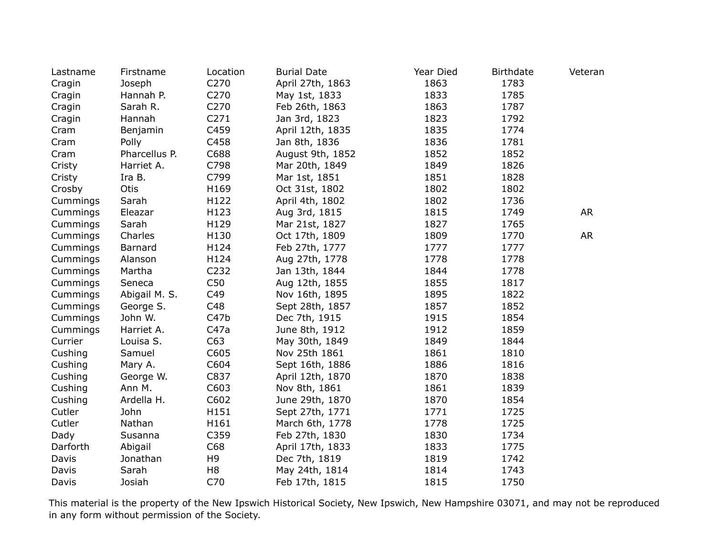| Lastname | Firstname     | Location         | <b>Burial Date</b> | Year Died | <b>Birthdate</b> | Veteran   |
|----------|---------------|------------------|--------------------|-----------|------------------|-----------|
| Cragin   | Joseph        | C270             | April 27th, 1863   | 1863      | 1783             |           |
| Cragin   | Hannah P.     | C270             | May 1st, 1833      | 1833      | 1785             |           |
| Cragin   | Sarah R.      | C270             | Feb 26th, 1863     | 1863      | 1787             |           |
| Cragin   | Hannah        | C <sub>271</sub> | Jan 3rd, 1823      | 1823      | 1792             |           |
| Cram     | Benjamin      | C459             | April 12th, 1835   | 1835      | 1774             |           |
| Cram     | Polly         | C458             | Jan 8th, 1836      | 1836      | 1781             |           |
| Cram     | Pharcellus P. | C688             | August 9th, 1852   | 1852      | 1852             |           |
| Cristy   | Harriet A.    | C798             | Mar 20th, 1849     | 1849      | 1826             |           |
| Cristy   | Ira B.        | C799             | Mar 1st, 1851      | 1851      | 1828             |           |
| Crosby   | <b>Otis</b>   | H169             | Oct 31st, 1802     | 1802      | 1802             |           |
| Cummings | Sarah         | H122             | April 4th, 1802    | 1802      | 1736             |           |
| Cummings | Eleazar       | H123             | Aug 3rd, 1815      | 1815      | 1749             | <b>AR</b> |
| Cummings | Sarah         | H129             | Mar 21st, 1827     | 1827      | 1765             |           |
| Cummings | Charles       | H130             | Oct 17th, 1809     | 1809      | 1770             | <b>AR</b> |
| Cummings | Barnard       | H124             | Feb 27th, 1777     | 1777      | 1777             |           |
| Cummings | Alanson       | H124             | Aug 27th, 1778     | 1778      | 1778             |           |
| Cummings | Martha        | C232             | Jan 13th, 1844     | 1844      | 1778             |           |
| Cummings | Seneca        | C50              | Aug 12th, 1855     | 1855      | 1817             |           |
| Cummings | Abigail M. S. | C49              | Nov 16th, 1895     | 1895      | 1822             |           |
| Cummings | George S.     | C48              | Sept 28th, 1857    | 1857      | 1852             |           |
| Cummings | John W.       | C47b             | Dec 7th, 1915      | 1915      | 1854             |           |
| Cummings | Harriet A.    | C47a             | June 8th, 1912     | 1912      | 1859             |           |
| Currier  | Louisa S.     | C63              | May 30th, 1849     | 1849      | 1844             |           |
| Cushing  | Samuel        | C605             | Nov 25th 1861      | 1861      | 1810             |           |
| Cushing  | Mary A.       | C604             | Sept 16th, 1886    | 1886      | 1816             |           |
| Cushing  | George W.     | C837             | April 12th, 1870   | 1870      | 1838             |           |
| Cushing  | Ann M.        | C603             | Nov 8th, 1861      | 1861      | 1839             |           |
| Cushing  | Ardella H.    | C602             | June 29th, 1870    | 1870      | 1854             |           |
| Cutler   | John          | H151             | Sept 27th, 1771    | 1771      | 1725             |           |
| Cutler   | Nathan        | H161             | March 6th, 1778    | 1778      | 1725             |           |
| Dady     | Susanna       | C359             | Feb 27th, 1830     | 1830      | 1734             |           |
| Darforth | Abigail       | C68              | April 17th, 1833   | 1833      | 1775             |           |
| Davis    | Jonathan      | H <sub>9</sub>   | Dec 7th, 1819      | 1819      | 1742             |           |
| Davis    | Sarah         | H <sub>8</sub>   | May 24th, 1814     | 1814      | 1743             |           |
| Davis    | Josiah        | C70              | Feb 17th, 1815     | 1815      | 1750             |           |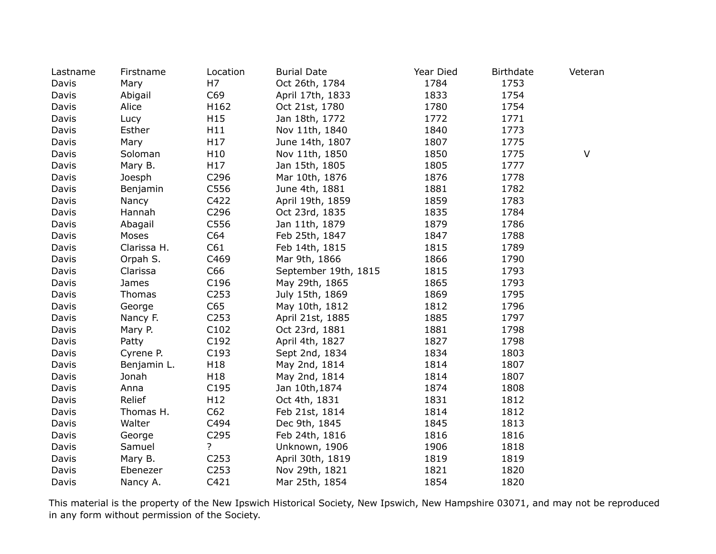| Lastname | Firstname   | Location         | <b>Burial Date</b>   | Year Died | <b>Birthdate</b> | Veteran |
|----------|-------------|------------------|----------------------|-----------|------------------|---------|
| Davis    | Mary        | H7               | Oct 26th, 1784       | 1784      | 1753             |         |
| Davis    | Abigail     | C69              | April 17th, 1833     | 1833      | 1754             |         |
| Davis    | Alice       | H162             | Oct 21st, 1780       | 1780      | 1754             |         |
| Davis    | Lucy        | H15              | Jan 18th, 1772       | 1772      | 1771             |         |
| Davis    | Esther      | H11              | Nov 11th, 1840       | 1840      | 1773             |         |
| Davis    | Mary        | H17              | June 14th, 1807      | 1807      | 1775             |         |
| Davis    | Soloman     | H10              | Nov 11th, 1850       | 1850      | 1775             | V       |
| Davis    | Mary B.     | H17              | Jan 15th, 1805       | 1805      | 1777             |         |
| Davis    | Joesph      | C296             | Mar 10th, 1876       | 1876      | 1778             |         |
| Davis    | Benjamin    | C556             | June 4th, 1881       | 1881      | 1782             |         |
| Davis    | Nancy       | C422             | April 19th, 1859     | 1859      | 1783             |         |
| Davis    | Hannah      | C296             | Oct 23rd, 1835       | 1835      | 1784             |         |
| Davis    | Abagail     | C556             | Jan 11th, 1879       | 1879      | 1786             |         |
| Davis    | Moses       | C64              | Feb 25th, 1847       | 1847      | 1788             |         |
| Davis    | Clarissa H. | C61              | Feb 14th, 1815       | 1815      | 1789             |         |
| Davis    | Orpah S.    | C469             | Mar 9th, 1866        | 1866      | 1790             |         |
| Davis    | Clarissa    | C66              | September 19th, 1815 | 1815      | 1793             |         |
| Davis    | James       | C196             | May 29th, 1865       | 1865      | 1793             |         |
| Davis    | Thomas      | C <sub>253</sub> | July 15th, 1869      | 1869      | 1795             |         |
| Davis    | George      | C65              | May 10th, 1812       | 1812      | 1796             |         |
| Davis    | Nancy F.    | C253             | April 21st, 1885     | 1885      | 1797             |         |
| Davis    | Mary P.     | C102             | Oct 23rd, 1881       | 1881      | 1798             |         |
| Davis    | Patty       | C192             | April 4th, 1827      | 1827      | 1798             |         |
| Davis    | Cyrene P.   | C193             | Sept 2nd, 1834       | 1834      | 1803             |         |
| Davis    | Benjamin L. | H18              | May 2nd, 1814        | 1814      | 1807             |         |
| Davis    | Jonah       | H18              | May 2nd, 1814        | 1814      | 1807             |         |
| Davis    | Anna        | C195             | Jan 10th, 1874       | 1874      | 1808             |         |
| Davis    | Relief      | H12              | Oct 4th, 1831        | 1831      | 1812             |         |
| Davis    | Thomas H.   | C62              | Feb 21st, 1814       | 1814      | 1812             |         |
| Davis    | Walter      | C494             | Dec 9th, 1845        | 1845      | 1813             |         |
| Davis    | George      | C295             | Feb 24th, 1816       | 1816      | 1816             |         |
| Davis    | Samuel      | $\overline{?}$   | Unknown, 1906        | 1906      | 1818             |         |
| Davis    | Mary B.     | C <sub>253</sub> | April 30th, 1819     | 1819      | 1819             |         |
| Davis    | Ebenezer    | C <sub>253</sub> | Nov 29th, 1821       | 1821      | 1820             |         |
| Davis    | Nancy A.    | C421             | Mar 25th, 1854       | 1854      | 1820             |         |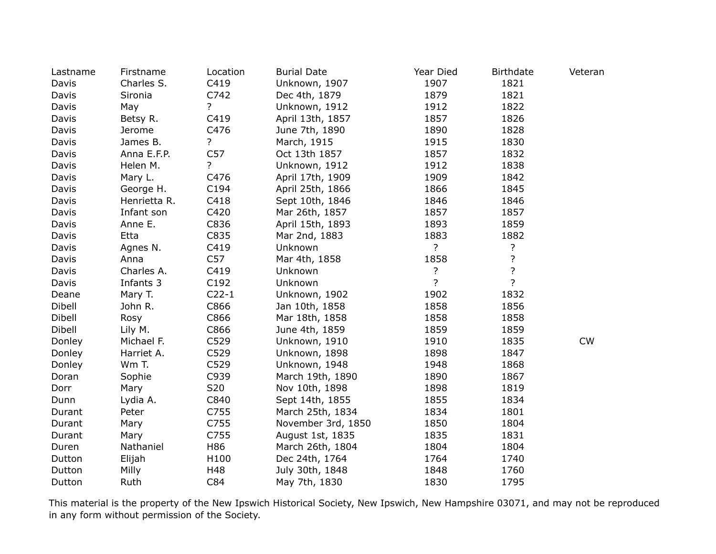| Lastname | Firstname    | Location         | <b>Burial Date</b> | Year Died      | <b>Birthdate</b> | Veteran |
|----------|--------------|------------------|--------------------|----------------|------------------|---------|
| Davis    | Charles S.   | C419             | Unknown, 1907      | 1907           | 1821             |         |
| Davis    | Sironia      | C742             | Dec 4th, 1879      | 1879           | 1821             |         |
| Davis    | May          | ?                | Unknown, 1912      | 1912           | 1822             |         |
| Davis    | Betsy R.     | C419             | April 13th, 1857   | 1857           | 1826             |         |
| Davis    | Jerome       | C476             | June 7th, 1890     | 1890           | 1828             |         |
| Davis    | James B.     | ?                | March, 1915        | 1915           | 1830             |         |
| Davis    | Anna E.F.P.  | C57              | Oct 13th 1857      | 1857           | 1832             |         |
| Davis    | Helen M.     | $\overline{?}$   | Unknown, 1912      | 1912           | 1838             |         |
| Davis    | Mary L.      | C476             | April 17th, 1909   | 1909           | 1842             |         |
| Davis    | George H.    | C194             | April 25th, 1866   | 1866           | 1845             |         |
| Davis    | Henrietta R. | C418             | Sept 10th, 1846    | 1846           | 1846             |         |
| Davis    | Infant son   | C420             | Mar 26th, 1857     | 1857           | 1857             |         |
| Davis    | Anne E.      | C836             | April 15th, 1893   | 1893           | 1859             |         |
| Davis    | Etta         | C835             | Mar 2nd, 1883      | 1883           | 1882             |         |
| Davis    | Agnes N.     | C419             | Unknown            | ?              | ?                |         |
| Davis    | Anna         | C57              | Mar 4th, 1858      | 1858           | $\overline{?}$   |         |
| Davis    | Charles A.   | C419             | Unknown            | ?              | $\overline{?}$   |         |
| Davis    | Infants 3    | C <sub>192</sub> | Unknown            | $\overline{?}$ | $\overline{?}$   |         |
| Deane    | Mary T.      | $C22-1$          | Unknown, 1902      | 1902           | 1832             |         |
| Dibell   | John R.      | C866             | Jan 10th, 1858     | 1858           | 1856             |         |
| Dibell   | Rosy         | C866             | Mar 18th, 1858     | 1858           | 1858             |         |
| Dibell   | Lily M.      | C866             | June 4th, 1859     | 1859           | 1859             |         |
| Donley   | Michael F.   | C529             | Unknown, 1910      | 1910           | 1835             | CW      |
| Donley   | Harriet A.   | C529             | Unknown, 1898      | 1898           | 1847             |         |
| Donley   | Wm T.        | C529             | Unknown, 1948      | 1948           | 1868             |         |
| Doran    | Sophie       | C939             | March 19th, 1890   | 1890           | 1867             |         |
| Dorr     | Mary         | S20              | Nov 10th, 1898     | 1898           | 1819             |         |
| Dunn     | Lydia A.     | C840             | Sept 14th, 1855    | 1855           | 1834             |         |
| Durant   | Peter        | C755             | March 25th, 1834   | 1834           | 1801             |         |
| Durant   | Mary         | C755             | November 3rd, 1850 | 1850           | 1804             |         |
| Durant   | Mary         | C755             | August 1st, 1835   | 1835           | 1831             |         |
| Duren    | Nathaniel    | H86              | March 26th, 1804   | 1804           | 1804             |         |
| Dutton   | Elijah       | H100             | Dec 24th, 1764     | 1764           | 1740             |         |
| Dutton   | Milly        | H48              | July 30th, 1848    | 1848           | 1760             |         |
| Dutton   | Ruth         | C84              | May 7th, 1830      | 1830           | 1795             |         |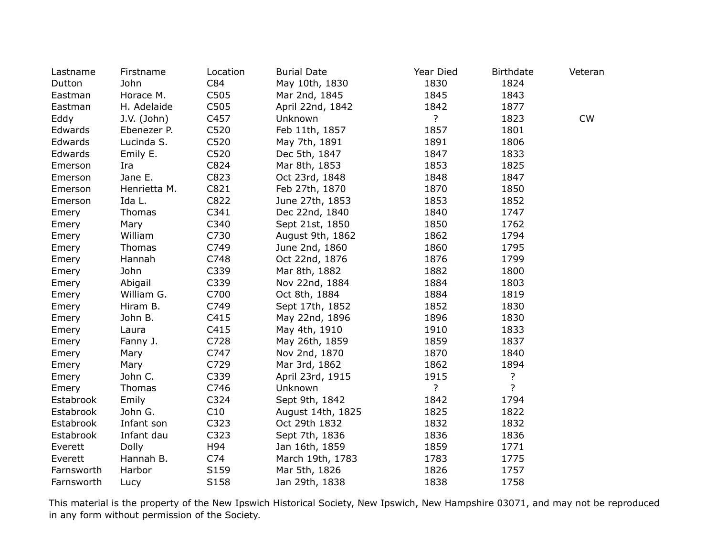| Lastname   | Firstname    | Location | <b>Burial Date</b> | Year Died      | <b>Birthdate</b> | Veteran   |
|------------|--------------|----------|--------------------|----------------|------------------|-----------|
| Dutton     | John         | C84      | May 10th, 1830     | 1830           | 1824             |           |
| Eastman    | Horace M.    | C505     | Mar 2nd, 1845      | 1845           | 1843             |           |
| Eastman    | H. Adelaide  | C505     | April 22nd, 1842   | 1842           | 1877             |           |
| Eddy       | J.V. (John)  | C457     | Unknown            | $\overline{?}$ | 1823             | <b>CW</b> |
| Edwards    | Ebenezer P.  | C520     | Feb 11th, 1857     | 1857           | 1801             |           |
| Edwards    | Lucinda S.   | C520     | May 7th, 1891      | 1891           | 1806             |           |
| Edwards    | Emily E.     | C520     | Dec 5th, 1847      | 1847           | 1833             |           |
| Emerson    | Ira          | C824     | Mar 8th, 1853      | 1853           | 1825             |           |
| Emerson    | Jane E.      | C823     | Oct 23rd, 1848     | 1848           | 1847             |           |
| Emerson    | Henrietta M. | C821     | Feb 27th, 1870     | 1870           | 1850             |           |
| Emerson    | Ida L.       | C822     | June 27th, 1853    | 1853           | 1852             |           |
| Emery      | Thomas       | C341     | Dec 22nd, 1840     | 1840           | 1747             |           |
| Emery      | Mary         | C340     | Sept 21st, 1850    | 1850           | 1762             |           |
| Emery      | William      | C730     | August 9th, 1862   | 1862           | 1794             |           |
| Emery      | Thomas       | C749     | June 2nd, 1860     | 1860           | 1795             |           |
| Emery      | Hannah       | C748     | Oct 22nd, 1876     | 1876           | 1799             |           |
| Emery      | John         | C339     | Mar 8th, 1882      | 1882           | 1800             |           |
| Emery      | Abigail      | C339     | Nov 22nd, 1884     | 1884           | 1803             |           |
| Emery      | William G.   | C700     | Oct 8th, 1884      | 1884           | 1819             |           |
| Emery      | Hiram B.     | C749     | Sept 17th, 1852    | 1852           | 1830             |           |
| Emery      | John B.      | C415     | May 22nd, 1896     | 1896           | 1830             |           |
| Emery      | Laura        | C415     | May 4th, 1910      | 1910           | 1833             |           |
| Emery      | Fanny J.     | C728     | May 26th, 1859     | 1859           | 1837             |           |
| Emery      | Mary         | C747     | Nov 2nd, 1870      | 1870           | 1840             |           |
| Emery      | Mary         | C729     | Mar 3rd, 1862      | 1862           | 1894             |           |
| Emery      | John C.      | C339     | April 23rd, 1915   | 1915           | ?                |           |
| Emery      | Thomas       | C746     | Unknown            | $\overline{?}$ | $\overline{?}$   |           |
| Estabrook  | Emily        | C324     | Sept 9th, 1842     | 1842           | 1794             |           |
| Estabrook  | John G.      | C10      | August 14th, 1825  | 1825           | 1822             |           |
| Estabrook  | Infant son   | C323     | Oct 29th 1832      | 1832           | 1832             |           |
| Estabrook  | Infant dau   | C323     | Sept 7th, 1836     | 1836           | 1836             |           |
| Everett    | Dolly        | H94      | Jan 16th, 1859     | 1859           | 1771             |           |
| Everett    | Hannah B.    | C74      | March 19th, 1783   | 1783           | 1775             |           |
| Farnsworth | Harbor       | S159     | Mar 5th, 1826      | 1826           | 1757             |           |
| Farnsworth | Lucy         | S158     | Jan 29th, 1838     | 1838           | 1758             |           |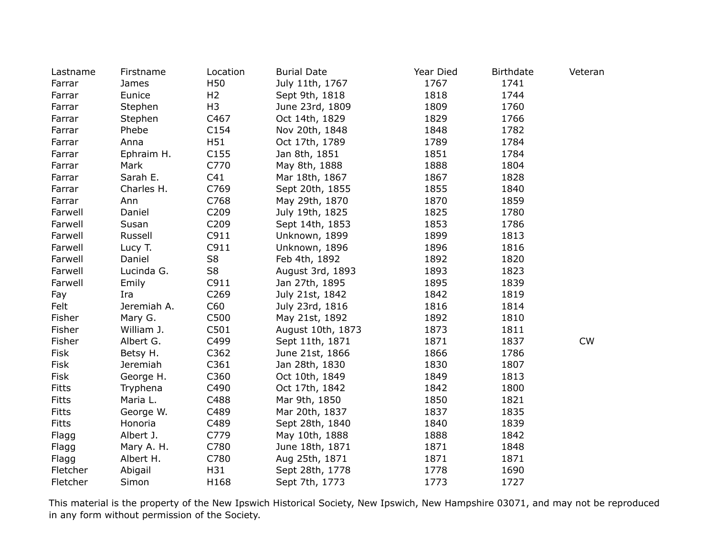| Lastname     | Firstname   | Location         | <b>Burial Date</b> | Year Died | <b>Birthdate</b> | Veteran |
|--------------|-------------|------------------|--------------------|-----------|------------------|---------|
| Farrar       | James       | H50              | July 11th, 1767    | 1767      | 1741             |         |
| Farrar       | Eunice      | H <sub>2</sub>   | Sept 9th, 1818     | 1818      | 1744             |         |
| Farrar       | Stephen     | H <sub>3</sub>   | June 23rd, 1809    | 1809      | 1760             |         |
| Farrar       | Stephen     | C467             | Oct 14th, 1829     | 1829      | 1766             |         |
| Farrar       | Phebe       | C154             | Nov 20th, 1848     | 1848      | 1782             |         |
| Farrar       | Anna        | H51              | Oct 17th, 1789     | 1789      | 1784             |         |
| Farrar       | Ephraim H.  | C <sub>155</sub> | Jan 8th, 1851      | 1851      | 1784             |         |
| Farrar       | Mark        | C770             | May 8th, 1888      | 1888      | 1804             |         |
| Farrar       | Sarah E.    | C41              | Mar 18th, 1867     | 1867      | 1828             |         |
| Farrar       | Charles H.  | C769             | Sept 20th, 1855    | 1855      | 1840             |         |
| Farrar       | Ann         | C768             | May 29th, 1870     | 1870      | 1859             |         |
| Farwell      | Daniel      | C209             | July 19th, 1825    | 1825      | 1780             |         |
| Farwell      | Susan       | C209             | Sept 14th, 1853    | 1853      | 1786             |         |
| Farwell      | Russell     | C911             | Unknown, 1899      | 1899      | 1813             |         |
| Farwell      | Lucy T.     | C911             | Unknown, 1896      | 1896      | 1816             |         |
| Farwell      | Daniel      | S8               | Feb 4th, 1892      | 1892      | 1820             |         |
| Farwell      | Lucinda G.  | S8               | August 3rd, 1893   | 1893      | 1823             |         |
| Farwell      | Emily       | C911             | Jan 27th, 1895     | 1895      | 1839             |         |
| Fay          | Ira         | C <sub>269</sub> | July 21st, 1842    | 1842      | 1819             |         |
| Felt         | Jeremiah A. | C60              | July 23rd, 1816    | 1816      | 1814             |         |
| Fisher       | Mary G.     | C500             | May 21st, 1892     | 1892      | 1810             |         |
| Fisher       | William J.  | C501             | August 10th, 1873  | 1873      | 1811             |         |
| Fisher       | Albert G.   | C499             | Sept 11th, 1871    | 1871      | 1837             | CW      |
| Fisk         | Betsy H.    | C362             | June 21st, 1866    | 1866      | 1786             |         |
| Fisk         | Jeremiah    | C361             | Jan 28th, 1830     | 1830      | 1807             |         |
| Fisk         | George H.   | C360             | Oct 10th, 1849     | 1849      | 1813             |         |
| <b>Fitts</b> | Tryphena    | C490             | Oct 17th, 1842     | 1842      | 1800             |         |
| <b>Fitts</b> | Maria L.    | C488             | Mar 9th, 1850      | 1850      | 1821             |         |
| <b>Fitts</b> | George W.   | C489             | Mar 20th, 1837     | 1837      | 1835             |         |
| <b>Fitts</b> | Honoria     | C489             | Sept 28th, 1840    | 1840      | 1839             |         |
| Flagg        | Albert J.   | C779             | May 10th, 1888     | 1888      | 1842             |         |
| Flagg        | Mary A. H.  | C780             | June 18th, 1871    | 1871      | 1848             |         |
| Flagg        | Albert H.   | C780             | Aug 25th, 1871     | 1871      | 1871             |         |
| Fletcher     | Abigail     | H31              | Sept 28th, 1778    | 1778      | 1690             |         |
| Fletcher     | Simon       | H168             | Sept 7th, 1773     | 1773      | 1727             |         |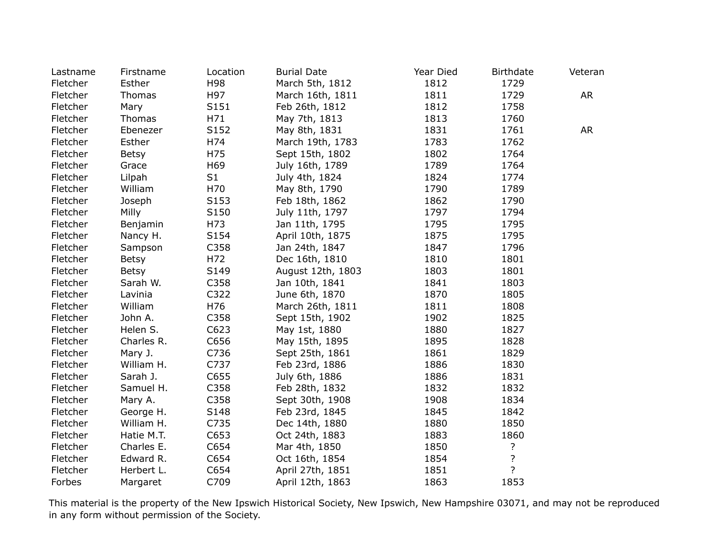| Lastname | Firstname    | Location        | <b>Burial Date</b> | Year Died | <b>Birthdate</b> | Veteran |
|----------|--------------|-----------------|--------------------|-----------|------------------|---------|
| Fletcher | Esther       | H98             | March 5th, 1812    | 1812      | 1729             |         |
| Fletcher | Thomas       | H97             | March 16th, 1811   | 1811      | 1729             | AR      |
| Fletcher | Mary         | S151            | Feb 26th, 1812     | 1812      | 1758             |         |
| Fletcher | Thomas       | H71             | May 7th, 1813      | 1813      | 1760             |         |
| Fletcher | Ebenezer     | S152            | May 8th, 1831      | 1831      | 1761             | AR      |
| Fletcher | Esther       | H74             | March 19th, 1783   | 1783      | 1762             |         |
| Fletcher | <b>Betsy</b> | H75             | Sept 15th, 1802    | 1802      | 1764             |         |
| Fletcher | Grace        | H <sub>69</sub> | July 16th, 1789    | 1789      | 1764             |         |
| Fletcher | Lilpah       | S <sub>1</sub>  | July 4th, 1824     | 1824      | 1774             |         |
| Fletcher | William      | H70             | May 8th, 1790      | 1790      | 1789             |         |
| Fletcher | Joseph       | S153            | Feb 18th, 1862     | 1862      | 1790             |         |
| Fletcher | Milly        | S150            | July 11th, 1797    | 1797      | 1794             |         |
| Fletcher | Benjamin     | H73             | Jan 11th, 1795     | 1795      | 1795             |         |
| Fletcher | Nancy H.     | S154            | April 10th, 1875   | 1875      | 1795             |         |
| Fletcher | Sampson      | C358            | Jan 24th, 1847     | 1847      | 1796             |         |
| Fletcher | <b>Betsy</b> | H72             | Dec 16th, 1810     | 1810      | 1801             |         |
| Fletcher | <b>Betsy</b> | S149            | August 12th, 1803  | 1803      | 1801             |         |
| Fletcher | Sarah W.     | C358            | Jan 10th, 1841     | 1841      | 1803             |         |
| Fletcher | Lavinia      | C322            | June 6th, 1870     | 1870      | 1805             |         |
| Fletcher | William      | H76             | March 26th, 1811   | 1811      | 1808             |         |
| Fletcher | John A.      | C358            | Sept 15th, 1902    | 1902      | 1825             |         |
| Fletcher | Helen S.     | C623            | May 1st, 1880      | 1880      | 1827             |         |
| Fletcher | Charles R.   | C656            | May 15th, 1895     | 1895      | 1828             |         |
| Fletcher | Mary J.      | C736            | Sept 25th, 1861    | 1861      | 1829             |         |
| Fletcher | William H.   | C737            | Feb 23rd, 1886     | 1886      | 1830             |         |
| Fletcher | Sarah J.     | C655            | July 6th, 1886     | 1886      | 1831             |         |
| Fletcher | Samuel H.    | C358            | Feb 28th, 1832     | 1832      | 1832             |         |
| Fletcher | Mary A.      | C358            | Sept 30th, 1908    | 1908      | 1834             |         |
| Fletcher | George H.    | S148            | Feb 23rd, 1845     | 1845      | 1842             |         |
| Fletcher | William H.   | C735            | Dec 14th, 1880     | 1880      | 1850             |         |
| Fletcher | Hatie M.T.   | C653            | Oct 24th, 1883     | 1883      | 1860             |         |
| Fletcher | Charles E.   | C654            | Mar 4th, 1850      | 1850      | ?                |         |
| Fletcher | Edward R.    | C654            | Oct 16th, 1854     | 1854      | ?                |         |
| Fletcher | Herbert L.   | C654            | April 27th, 1851   | 1851      | $\overline{?}$   |         |
| Forbes   | Margaret     | C709            | April 12th, 1863   | 1863      | 1853             |         |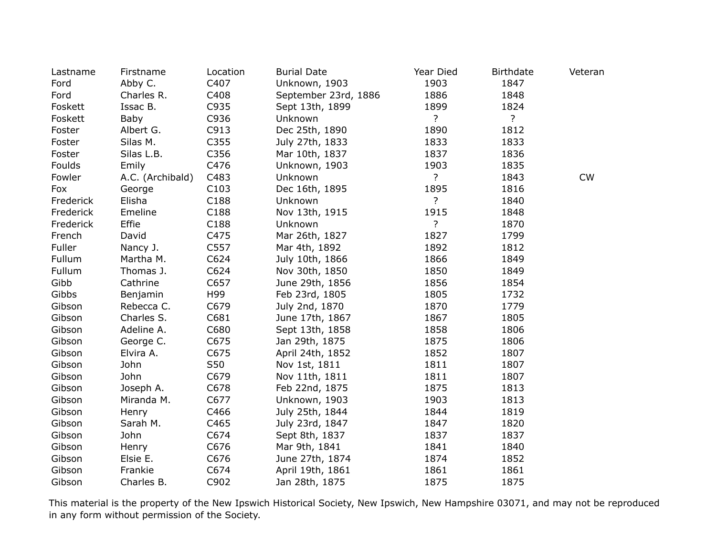| Lastname  | Firstname        | Location | <b>Burial Date</b>   | Year Died      | <b>Birthdate</b> | Veteran   |
|-----------|------------------|----------|----------------------|----------------|------------------|-----------|
| Ford      | Abby C.          | C407     | Unknown, 1903        | 1903           | 1847             |           |
| Ford      | Charles R.       | C408     | September 23rd, 1886 | 1886           | 1848             |           |
| Foskett   | Issac B.         | C935     | Sept 13th, 1899      | 1899           | 1824             |           |
| Foskett   | Baby             | C936     | Unknown              | $\overline{?}$ | $\overline{?}$   |           |
| Foster    | Albert G.        | C913     | Dec 25th, 1890       | 1890           | 1812             |           |
| Foster    | Silas M.         | C355     | July 27th, 1833      | 1833           | 1833             |           |
| Foster    | Silas L.B.       | C356     | Mar 10th, 1837       | 1837           | 1836             |           |
| Foulds    | Emily            | C476     | Unknown, 1903        | 1903           | 1835             |           |
| Fowler    | A.C. (Archibald) | C483     | Unknown              | $\overline{?}$ | 1843             | <b>CW</b> |
| Fox       | George           | C103     | Dec 16th, 1895       | 1895           | 1816             |           |
| Frederick | Elisha           | C188     | Unknown              | $\overline{?}$ | 1840             |           |
| Frederick | Emeline          | C188     | Nov 13th, 1915       | 1915           | 1848             |           |
| Frederick | Effie            | C188     | Unknown              | ?              | 1870             |           |
| French    | David            | C475     | Mar 26th, 1827       | 1827           | 1799             |           |
| Fuller    | Nancy J.         | C557     | Mar 4th, 1892        | 1892           | 1812             |           |
| Fullum    | Martha M.        | C624     | July 10th, 1866      | 1866           | 1849             |           |
| Fullum    | Thomas J.        | C624     | Nov 30th, 1850       | 1850           | 1849             |           |
| Gibb      | Cathrine         | C657     | June 29th, 1856      | 1856           | 1854             |           |
| Gibbs     | Benjamin         | H99      | Feb 23rd, 1805       | 1805           | 1732             |           |
| Gibson    | Rebecca C.       | C679     | July 2nd, 1870       | 1870           | 1779             |           |
| Gibson    | Charles S.       | C681     | June 17th, 1867      | 1867           | 1805             |           |
| Gibson    | Adeline A.       | C680     | Sept 13th, 1858      | 1858           | 1806             |           |
| Gibson    | George C.        | C675     | Jan 29th, 1875       | 1875           | 1806             |           |
| Gibson    | Elvira A.        | C675     | April 24th, 1852     | 1852           | 1807             |           |
| Gibson    | John             | S50      | Nov 1st, 1811        | 1811           | 1807             |           |
| Gibson    | John             | C679     | Nov 11th, 1811       | 1811           | 1807             |           |
| Gibson    | Joseph A.        | C678     | Feb 22nd, 1875       | 1875           | 1813             |           |
| Gibson    | Miranda M.       | C677     | Unknown, 1903        | 1903           | 1813             |           |
| Gibson    | Henry            | C466     | July 25th, 1844      | 1844           | 1819             |           |
| Gibson    | Sarah M.         | C465     | July 23rd, 1847      | 1847           | 1820             |           |
| Gibson    | John             | C674     | Sept 8th, 1837       | 1837           | 1837             |           |
| Gibson    | Henry            | C676     | Mar 9th, 1841        | 1841           | 1840             |           |
| Gibson    | Elsie E.         | C676     | June 27th, 1874      | 1874           | 1852             |           |
| Gibson    | Frankie          | C674     | April 19th, 1861     | 1861           | 1861             |           |
| Gibson    | Charles B.       | C902     | Jan 28th, 1875       | 1875           | 1875             |           |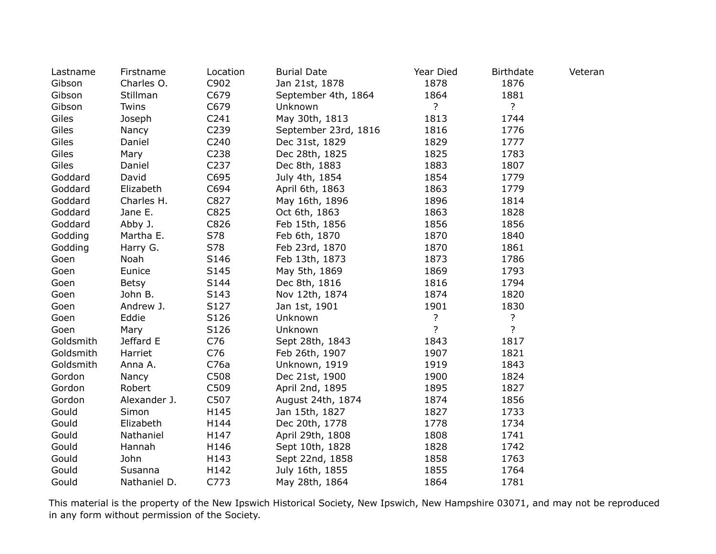| Lastname  | Firstname    | Location         | <b>Burial Date</b>   | Year Died      | <b>Birthdate</b> | Veteran |
|-----------|--------------|------------------|----------------------|----------------|------------------|---------|
| Gibson    | Charles O.   | C902             | Jan 21st, 1878       | 1878           | 1876             |         |
| Gibson    | Stillman     | C679             | September 4th, 1864  | 1864           | 1881             |         |
| Gibson    | Twins        | C679             | Unknown              | $\overline{?}$ | $\overline{?}$   |         |
| Giles     | Joseph       | C <sub>241</sub> | May 30th, 1813       | 1813           | 1744             |         |
| Giles     | Nancy        | C <sub>239</sub> | September 23rd, 1816 | 1816           | 1776             |         |
| Giles     | Daniel       | C240             | Dec 31st, 1829       | 1829           | 1777             |         |
| Giles     | Mary         | C <sub>238</sub> | Dec 28th, 1825       | 1825           | 1783             |         |
| Giles     | Daniel       | C237             | Dec 8th, 1883        | 1883           | 1807             |         |
| Goddard   | David        | C695             | July 4th, 1854       | 1854           | 1779             |         |
| Goddard   | Elizabeth    | C694             | April 6th, 1863      | 1863           | 1779             |         |
| Goddard   | Charles H.   | C827             | May 16th, 1896       | 1896           | 1814             |         |
| Goddard   | Jane E.      | C825             | Oct 6th, 1863        | 1863           | 1828             |         |
| Goddard   | Abby J.      | C826             | Feb 15th, 1856       | 1856           | 1856             |         |
| Godding   | Martha E.    | S78              | Feb 6th, 1870        | 1870           | 1840             |         |
| Godding   | Harry G.     | S78              | Feb 23rd, 1870       | 1870           | 1861             |         |
| Goen      | Noah         | S146             | Feb 13th, 1873       | 1873           | 1786             |         |
| Goen      | Eunice       | S145             | May 5th, 1869        | 1869           | 1793             |         |
| Goen      | <b>Betsy</b> | S144             | Dec 8th, 1816        | 1816           | 1794             |         |
| Goen      | John B.      | S143             | Nov 12th, 1874       | 1874           | 1820             |         |
| Goen      | Andrew J.    | S127             | Jan 1st, 1901        | 1901           | 1830             |         |
| Goen      | Eddie        | S126             | Unknown              | $\overline{?}$ | $\overline{?}$   |         |
| Goen      | Mary         | S126             | Unknown              | $\overline{?}$ | $\overline{?}$   |         |
| Goldsmith | Jeffard E    | C76              | Sept 28th, 1843      | 1843           | 1817             |         |
| Goldsmith | Harriet      | C76              | Feb 26th, 1907       | 1907           | 1821             |         |
| Goldsmith | Anna A.      | C76a             | Unknown, 1919        | 1919           | 1843             |         |
| Gordon    | Nancy        | C508             | Dec 21st, 1900       | 1900           | 1824             |         |
| Gordon    | Robert       | C509             | April 2nd, 1895      | 1895           | 1827             |         |
| Gordon    | Alexander J. | C507             | August 24th, 1874    | 1874           | 1856             |         |
| Gould     | Simon        | H145             | Jan 15th, 1827       | 1827           | 1733             |         |
| Gould     | Elizabeth    | H144             | Dec 20th, 1778       | 1778           | 1734             |         |
| Gould     | Nathaniel    | H147             | April 29th, 1808     | 1808           | 1741             |         |
| Gould     | Hannah       | H146             | Sept 10th, 1828      | 1828           | 1742             |         |
| Gould     | John         | H143             | Sept 22nd, 1858      | 1858           | 1763             |         |
| Gould     | Susanna      | H142             | July 16th, 1855      | 1855           | 1764             |         |
| Gould     | Nathaniel D. | C773             | May 28th, 1864       | 1864           | 1781             |         |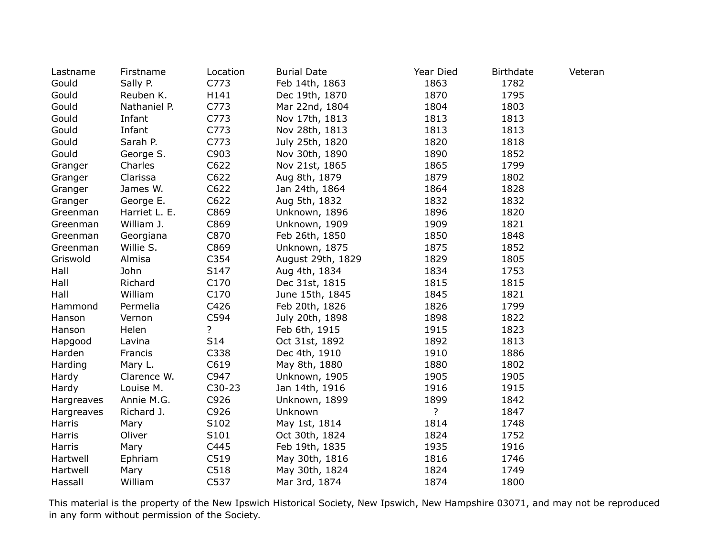| Lastname   | Firstname     | Location       | <b>Burial Date</b> | Year Died | <b>Birthdate</b> | Veteran |
|------------|---------------|----------------|--------------------|-----------|------------------|---------|
| Gould      | Sally P.      | C773           | Feb 14th, 1863     | 1863      | 1782             |         |
| Gould      | Reuben K.     | H141           | Dec 19th, 1870     | 1870      | 1795             |         |
| Gould      | Nathaniel P.  | C773           | Mar 22nd, 1804     | 1804      | 1803             |         |
| Gould      | Infant        | C773           | Nov 17th, 1813     | 1813      | 1813             |         |
| Gould      | Infant        | C773           | Nov 28th, 1813     | 1813      | 1813             |         |
| Gould      | Sarah P.      | C773           | July 25th, 1820    | 1820      | 1818             |         |
| Gould      | George S.     | C903           | Nov 30th, 1890     | 1890      | 1852             |         |
| Granger    | Charles       | C622           | Nov 21st, 1865     | 1865      | 1799             |         |
| Granger    | Clarissa      | C622           | Aug 8th, 1879      | 1879      | 1802             |         |
| Granger    | James W.      | C622           | Jan 24th, 1864     | 1864      | 1828             |         |
| Granger    | George E.     | C622           | Aug 5th, 1832      | 1832      | 1832             |         |
| Greenman   | Harriet L. E. | C869           | Unknown, 1896      | 1896      | 1820             |         |
| Greenman   | William J.    | C869           | Unknown, 1909      | 1909      | 1821             |         |
| Greenman   | Georgiana     | C870           | Feb 26th, 1850     | 1850      | 1848             |         |
| Greenman   | Willie S.     | C869           | Unknown, 1875      | 1875      | 1852             |         |
| Griswold   | Almisa        | C354           | August 29th, 1829  | 1829      | 1805             |         |
| Hall       | John          | S147           | Aug 4th, 1834      | 1834      | 1753             |         |
| Hall       | Richard       | C170           | Dec 31st, 1815     | 1815      | 1815             |         |
| Hall       | William       | C170           | June 15th, 1845    | 1845      | 1821             |         |
| Hammond    | Permelia      | C426           | Feb 20th, 1826     | 1826      | 1799             |         |
| Hanson     | Vernon        | C594           | July 20th, 1898    | 1898      | 1822             |         |
| Hanson     | Helen         | $\overline{?}$ | Feb 6th, 1915      | 1915      | 1823             |         |
| Hapgood    | Lavina        | S14            | Oct 31st, 1892     | 1892      | 1813             |         |
| Harden     | Francis       | C338           | Dec 4th, 1910      | 1910      | 1886             |         |
| Harding    | Mary L.       | C619           | May 8th, 1880      | 1880      | 1802             |         |
| Hardy      | Clarence W.   | C947           | Unknown, 1905      | 1905      | 1905             |         |
| Hardy      | Louise M.     | $C30-23$       | Jan 14th, 1916     | 1916      | 1915             |         |
| Hargreaves | Annie M.G.    | C926           | Unknown, 1899      | 1899      | 1842             |         |
| Hargreaves | Richard J.    | C926           | Unknown            | ?         | 1847             |         |
| Harris     | Mary          | S102           | May 1st, 1814      | 1814      | 1748             |         |
| Harris     | Oliver        | S101           | Oct 30th, 1824     | 1824      | 1752             |         |
| Harris     | Mary          | C445           | Feb 19th, 1835     | 1935      | 1916             |         |
| Hartwell   | Ephriam       | C519           | May 30th, 1816     | 1816      | 1746             |         |
| Hartwell   | Mary          | C518           | May 30th, 1824     | 1824      | 1749             |         |
| Hassall    | William       | C537           | Mar 3rd, 1874      | 1874      | 1800             |         |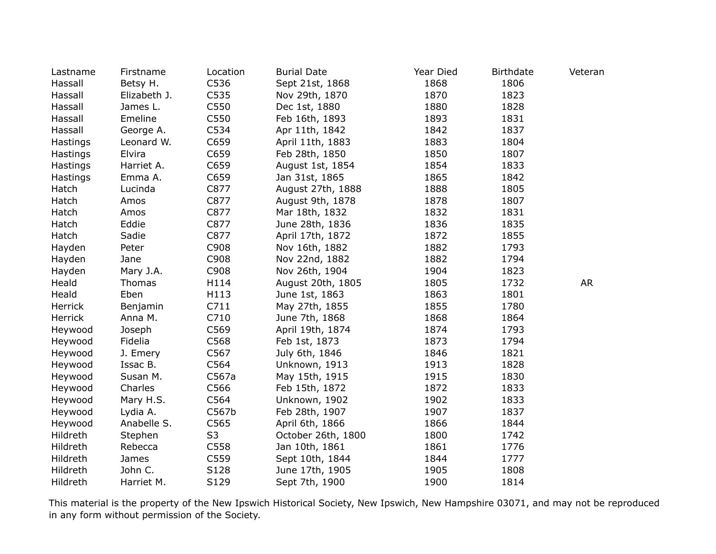| Lastname | Firstname    | Location       | <b>Burial Date</b> | Year Died | <b>Birthdate</b> | Veteran   |
|----------|--------------|----------------|--------------------|-----------|------------------|-----------|
| Hassall  | Betsy H.     | C536           | Sept 21st, 1868    | 1868      | 1806             |           |
| Hassall  | Elizabeth J. | C535           | Nov 29th, 1870     | 1870      | 1823             |           |
| Hassall  | James L.     | C550           | Dec 1st, 1880      | 1880      | 1828             |           |
| Hassall  | Emeline      | C550           | Feb 16th, 1893     | 1893      | 1831             |           |
| Hassall  | George A.    | C534           | Apr 11th, 1842     | 1842      | 1837             |           |
| Hastings | Leonard W.   | C659           | April 11th, 1883   | 1883      | 1804             |           |
| Hastings | Elvira       | C659           | Feb 28th, 1850     | 1850      | 1807             |           |
| Hastings | Harriet A.   | C659           | August 1st, 1854   | 1854      | 1833             |           |
| Hastings | Emma A.      | C659           | Jan 31st, 1865     | 1865      | 1842             |           |
| Hatch    | Lucinda      | C877           | August 27th, 1888  | 1888      | 1805             |           |
| Hatch    | Amos         | C877           | August 9th, 1878   | 1878      | 1807             |           |
| Hatch    | Amos         | C877           | Mar 18th, 1832     | 1832      | 1831             |           |
| Hatch    | Eddie        | C877           | June 28th, 1836    | 1836      | 1835             |           |
| Hatch    | Sadie        | C877           | April 17th, 1872   | 1872      | 1855             |           |
| Hayden   | Peter        | C908           | Nov 16th, 1882     | 1882      | 1793             |           |
| Hayden   | Jane         | C908           | Nov 22nd, 1882     | 1882      | 1794             |           |
| Hayden   | Mary J.A.    | C908           | Nov 26th, 1904     | 1904      | 1823             |           |
| Heald    | Thomas       | H114           | August 20th, 1805  | 1805      | 1732             | <b>AR</b> |
| Heald    | Eben         | H113           | June 1st, 1863     | 1863      | 1801             |           |
| Herrick  | Benjamin     | C711           | May 27th, 1855     | 1855      | 1780             |           |
| Herrick  | Anna M.      | C710           | June 7th, 1868     | 1868      | 1864             |           |
| Heywood  | Joseph       | C569           | April 19th, 1874   | 1874      | 1793             |           |
| Heywood  | Fidelia      | C568           | Feb 1st, 1873      | 1873      | 1794             |           |
| Heywood  | J. Emery     | C567           | July 6th, 1846     | 1846      | 1821             |           |
| Heywood  | Issac B.     | C564           | Unknown, 1913      | 1913      | 1828             |           |
| Heywood  | Susan M.     | C567a          | May 15th, 1915     | 1915      | 1830             |           |
| Heywood  | Charles      | C566           | Feb 15th, 1872     | 1872      | 1833             |           |
| Heywood  | Mary H.S.    | C564           | Unknown, 1902      | 1902      | 1833             |           |
| Heywood  | Lydia A.     | C567b          | Feb 28th, 1907     | 1907      | 1837             |           |
| Heywood  | Anabelle S.  | C565           | April 6th, 1866    | 1866      | 1844             |           |
| Hildreth | Stephen      | S <sub>3</sub> | October 26th, 1800 | 1800      | 1742             |           |
| Hildreth | Rebecca      | C558           | Jan 10th, 1861     | 1861      | 1776             |           |
| Hildreth | James        | C559           | Sept 10th, 1844    | 1844      | 1777             |           |
| Hildreth | John C.      | S128           | June 17th, 1905    | 1905      | 1808             |           |
| Hildreth | Harriet M.   | S129           | Sept 7th, 1900     | 1900      | 1814             |           |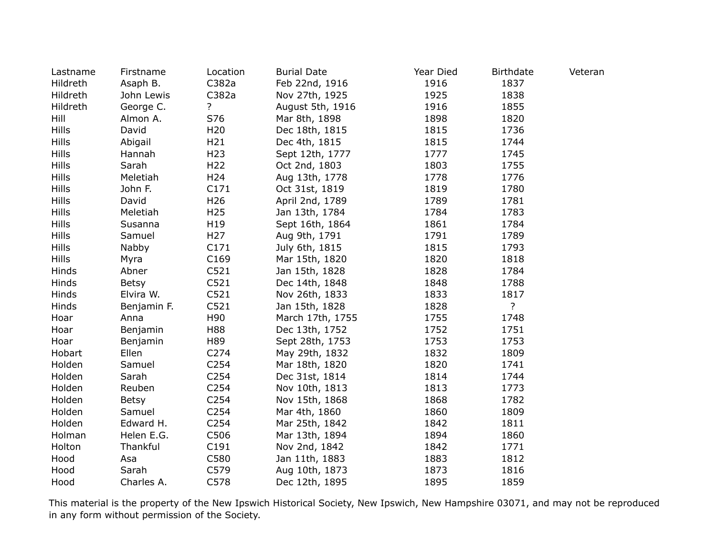| Lastname     | Firstname    | Location         | <b>Burial Date</b> | Year Died | <b>Birthdate</b> | Veteran |
|--------------|--------------|------------------|--------------------|-----------|------------------|---------|
| Hildreth     | Asaph B.     | C382a            | Feb 22nd, 1916     | 1916      | 1837             |         |
| Hildreth     | John Lewis   | C382a            | Nov 27th, 1925     | 1925      | 1838             |         |
| Hildreth     | George C.    | ?                | August 5th, 1916   | 1916      | 1855             |         |
| Hill         | Almon A.     | S76              | Mar 8th, 1898      | 1898      | 1820             |         |
| <b>Hills</b> | David        | H <sub>20</sub>  | Dec 18th, 1815     | 1815      | 1736             |         |
| <b>Hills</b> | Abigail      | H <sub>21</sub>  | Dec 4th, 1815      | 1815      | 1744             |         |
| <b>Hills</b> | Hannah       | H <sub>23</sub>  | Sept 12th, 1777    | 1777      | 1745             |         |
| <b>Hills</b> | Sarah        | H <sub>22</sub>  | Oct 2nd, 1803      | 1803      | 1755             |         |
| <b>Hills</b> | Meletiah     | H <sub>24</sub>  | Aug 13th, 1778     | 1778      | 1776             |         |
| <b>Hills</b> | John F.      | C171             | Oct 31st, 1819     | 1819      | 1780             |         |
| <b>Hills</b> | David        | H <sub>26</sub>  | April 2nd, 1789    | 1789      | 1781             |         |
| <b>Hills</b> | Meletiah     | H <sub>25</sub>  | Jan 13th, 1784     | 1784      | 1783             |         |
| <b>Hills</b> | Susanna      | H19              | Sept 16th, 1864    | 1861      | 1784             |         |
| <b>Hills</b> | Samuel       | H <sub>27</sub>  | Aug 9th, 1791      | 1791      | 1789             |         |
| <b>Hills</b> | Nabby        | C171             | July 6th, 1815     | 1815      | 1793             |         |
| <b>Hills</b> | Myra         | C169             | Mar 15th, 1820     | 1820      | 1818             |         |
| Hinds        | Abner        | C521             | Jan 15th, 1828     | 1828      | 1784             |         |
| Hinds        | <b>Betsy</b> | C521             | Dec 14th, 1848     | 1848      | 1788             |         |
| Hinds        | Elvira W.    | C521             | Nov 26th, 1833     | 1833      | 1817             |         |
| Hinds        | Benjamin F.  | C521             | Jan 15th, 1828     | 1828      | $\overline{?}$   |         |
| Hoar         | Anna         | H90              | March 17th, 1755   | 1755      | 1748             |         |
| Hoar         | Benjamin     | H88              | Dec 13th, 1752     | 1752      | 1751             |         |
| Hoar         | Benjamin     | H89              | Sept 28th, 1753    | 1753      | 1753             |         |
| Hobart       | Ellen        | C274             | May 29th, 1832     | 1832      | 1809             |         |
| Holden       | Samuel       | C254             | Mar 18th, 1820     | 1820      | 1741             |         |
| Holden       | Sarah        | C254             | Dec 31st, 1814     | 1814      | 1744             |         |
| Holden       | Reuben       | C <sub>254</sub> | Nov 10th, 1813     | 1813      | 1773             |         |
| Holden       | <b>Betsy</b> | C254             | Nov 15th, 1868     | 1868      | 1782             |         |
| Holden       | Samuel       | C254             | Mar 4th, 1860      | 1860      | 1809             |         |
| Holden       | Edward H.    | C <sub>254</sub> | Mar 25th, 1842     | 1842      | 1811             |         |
| Holman       | Helen E.G.   | C506             | Mar 13th, 1894     | 1894      | 1860             |         |
| Holton       | Thankful     | C191             | Nov 2nd, 1842      | 1842      | 1771             |         |
| Hood         | Asa          | C580             | Jan 11th, 1883     | 1883      | 1812             |         |
| Hood         | Sarah        | C579             | Aug 10th, 1873     | 1873      | 1816             |         |
| Hood         | Charles A.   | C578             | Dec 12th, 1895     | 1895      | 1859             |         |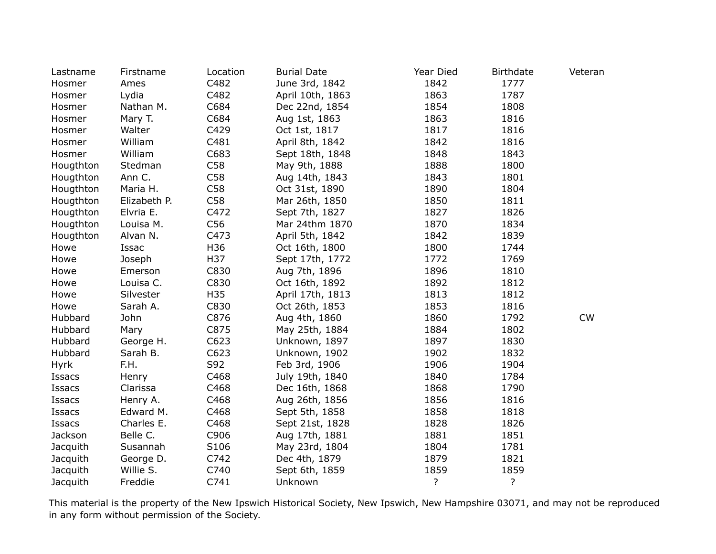| Lastname    | Firstname    | Location | <b>Burial Date</b> | Year Died | <b>Birthdate</b> | Veteran   |
|-------------|--------------|----------|--------------------|-----------|------------------|-----------|
| Hosmer      | Ames         | C482     | June 3rd, 1842     | 1842      | 1777             |           |
| Hosmer      | Lydia        | C482     | April 10th, 1863   | 1863      | 1787             |           |
| Hosmer      | Nathan M.    | C684     | Dec 22nd, 1854     | 1854      | 1808             |           |
| Hosmer      | Mary T.      | C684     | Aug 1st, 1863      | 1863      | 1816             |           |
| Hosmer      | Walter       | C429     | Oct 1st, 1817      | 1817      | 1816             |           |
| Hosmer      | William      | C481     | April 8th, 1842    | 1842      | 1816             |           |
| Hosmer      | William      | C683     | Sept 18th, 1848    | 1848      | 1843             |           |
| Hougthton   | Stedman      | C58      | May 9th, 1888      | 1888      | 1800             |           |
| Hougthton   | Ann C.       | C58      | Aug 14th, 1843     | 1843      | 1801             |           |
| Hougthton   | Maria H.     | C58      | Oct 31st, 1890     | 1890      | 1804             |           |
| Hougthton   | Elizabeth P. | C58      | Mar 26th, 1850     | 1850      | 1811             |           |
| Hougthton   | Elvria E.    | C472     | Sept 7th, 1827     | 1827      | 1826             |           |
| Hougthton   | Louisa M.    | C56      | Mar 24thm 1870     | 1870      | 1834             |           |
| Hougthton   | Alvan N.     | C473     | April 5th, 1842    | 1842      | 1839             |           |
| Howe        | Issac        | H36      | Oct 16th, 1800     | 1800      | 1744             |           |
| Howe        | Joseph       | H37      | Sept 17th, 1772    | 1772      | 1769             |           |
| Howe        | Emerson      | C830     | Aug 7th, 1896      | 1896      | 1810             |           |
| Howe        | Louisa C.    | C830     | Oct 16th, 1892     | 1892      | 1812             |           |
| Howe        | Silvester    | H35      | April 17th, 1813   | 1813      | 1812             |           |
| Howe        | Sarah A.     | C830     | Oct 26th, 1853     | 1853      | 1816             |           |
| Hubbard     | John         | C876     | Aug 4th, 1860      | 1860      | 1792             | <b>CW</b> |
| Hubbard     | Mary         | C875     | May 25th, 1884     | 1884      | 1802             |           |
| Hubbard     | George H.    | C623     | Unknown, 1897      | 1897      | 1830             |           |
| Hubbard     | Sarah B.     | C623     | Unknown, 1902      | 1902      | 1832             |           |
| <b>Hyrk</b> | F.H.         | S92      | Feb 3rd, 1906      | 1906      | 1904             |           |
| Issacs      | Henry        | C468     | July 19th, 1840    | 1840      | 1784             |           |
| Issacs      | Clarissa     | C468     | Dec 16th, 1868     | 1868      | 1790             |           |
| Issacs      | Henry A.     | C468     | Aug 26th, 1856     | 1856      | 1816             |           |
| Issacs      | Edward M.    | C468     | Sept 5th, 1858     | 1858      | 1818             |           |
| Issacs      | Charles E.   | C468     | Sept 21st, 1828    | 1828      | 1826             |           |
| Jackson     | Belle C.     | C906     | Aug 17th, 1881     | 1881      | 1851             |           |
| Jacquith    | Susannah     | S106     | May 23rd, 1804     | 1804      | 1781             |           |
| Jacquith    | George D.    | C742     | Dec 4th, 1879      | 1879      | 1821             |           |
| Jacquith    | Willie S.    | C740     | Sept 6th, 1859     | 1859      | 1859             |           |
| Jacquith    | Freddie      | C741     | Unknown            | ?         | ?                |           |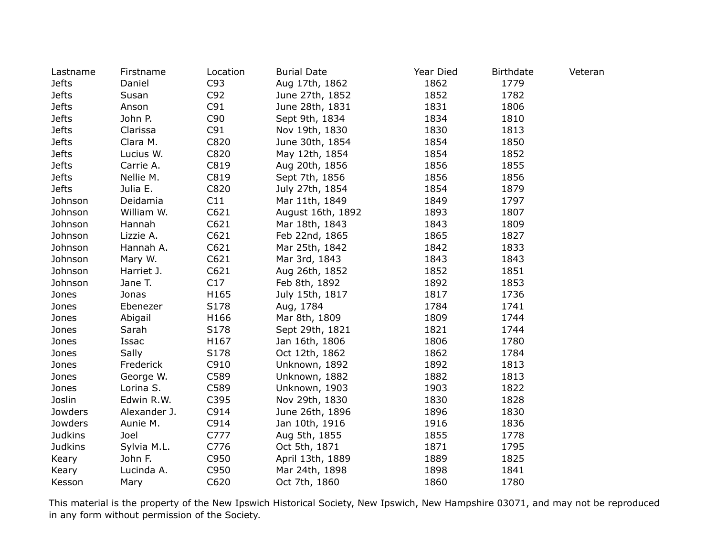| Lastname       | Firstname    | Location | <b>Burial Date</b> | Year Died | <b>Birthdate</b> | Veteran |
|----------------|--------------|----------|--------------------|-----------|------------------|---------|
| <b>Jefts</b>   | Daniel       | C93      | Aug 17th, 1862     | 1862      | 1779             |         |
| <b>Jefts</b>   | Susan        | C92      | June 27th, 1852    | 1852      | 1782             |         |
| <b>Jefts</b>   | Anson        | C91      | June 28th, 1831    | 1831      | 1806             |         |
| <b>Jefts</b>   | John P.      | C90      | Sept 9th, 1834     | 1834      | 1810             |         |
| <b>Jefts</b>   | Clarissa     | C91      | Nov 19th, 1830     | 1830      | 1813             |         |
| <b>Jefts</b>   | Clara M.     | C820     | June 30th, 1854    | 1854      | 1850             |         |
| <b>Jefts</b>   | Lucius W.    | C820     | May 12th, 1854     | 1854      | 1852             |         |
| <b>Jefts</b>   | Carrie A.    | C819     | Aug 20th, 1856     | 1856      | 1855             |         |
| <b>Jefts</b>   | Nellie M.    | C819     | Sept 7th, 1856     | 1856      | 1856             |         |
| <b>Jefts</b>   | Julia E.     | C820     | July 27th, 1854    | 1854      | 1879             |         |
| Johnson        | Deidamia     | C11      | Mar 11th, 1849     | 1849      | 1797             |         |
| Johnson        | William W.   | C621     | August 16th, 1892  | 1893      | 1807             |         |
| Johnson        | Hannah       | C621     | Mar 18th, 1843     | 1843      | 1809             |         |
| Johnson        | Lizzie A.    | C621     | Feb 22nd, 1865     | 1865      | 1827             |         |
| Johnson        | Hannah A.    | C621     | Mar 25th, 1842     | 1842      | 1833             |         |
| Johnson        | Mary W.      | C621     | Mar 3rd, 1843      | 1843      | 1843             |         |
| Johnson        | Harriet J.   | C621     | Aug 26th, 1852     | 1852      | 1851             |         |
| Johnson        | Jane T.      | C17      | Feb 8th, 1892      | 1892      | 1853             |         |
| Jones          | Jonas        | H165     | July 15th, 1817    | 1817      | 1736             |         |
| Jones          | Ebenezer     | S178     | Aug, 1784          | 1784      | 1741             |         |
| Jones          | Abigail      | H166     | Mar 8th, 1809      | 1809      | 1744             |         |
| Jones          | Sarah        | S178     | Sept 29th, 1821    | 1821      | 1744             |         |
| Jones          | Issac        | H167     | Jan 16th, 1806     | 1806      | 1780             |         |
| Jones          | Sally        | S178     | Oct 12th, 1862     | 1862      | 1784             |         |
| Jones          | Frederick    | C910     | Unknown, 1892      | 1892      | 1813             |         |
| Jones          | George W.    | C589     | Unknown, 1882      | 1882      | 1813             |         |
| Jones          | Lorina S.    | C589     | Unknown, 1903      | 1903      | 1822             |         |
| Joslin         | Edwin R.W.   | C395     | Nov 29th, 1830     | 1830      | 1828             |         |
| Jowders        | Alexander J. | C914     | June 26th, 1896    | 1896      | 1830             |         |
| Jowders        | Aunie M.     | C914     | Jan 10th, 1916     | 1916      | 1836             |         |
| <b>Judkins</b> | Joel         | C777     | Aug 5th, 1855      | 1855      | 1778             |         |
| <b>Judkins</b> | Sylvia M.L.  | C776     | Oct 5th, 1871      | 1871      | 1795             |         |
| Keary          | John F.      | C950     | April 13th, 1889   | 1889      | 1825             |         |
| Keary          | Lucinda A.   | C950     | Mar 24th, 1898     | 1898      | 1841             |         |
| Kesson         | Mary         | C620     | Oct 7th, 1860      | 1860      | 1780             |         |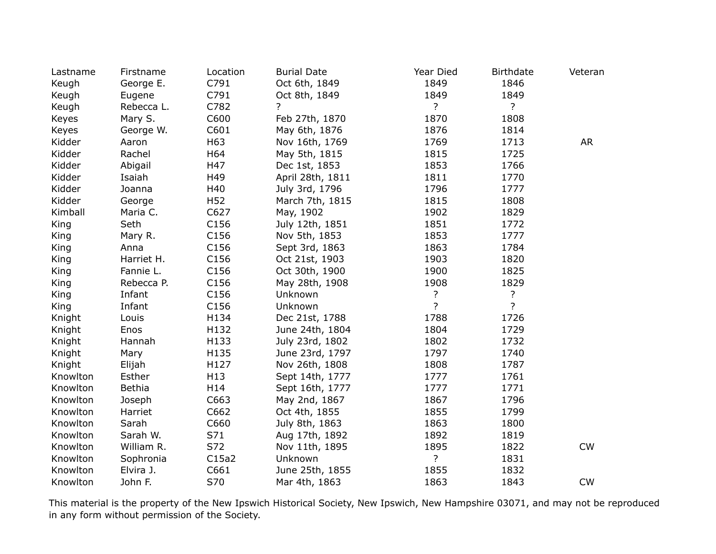| Lastname | Firstname  | Location         | <b>Burial Date</b> | Year Died      | <b>Birthdate</b> | Veteran   |
|----------|------------|------------------|--------------------|----------------|------------------|-----------|
| Keugh    | George E.  | C791             | Oct 6th, 1849      | 1849           | 1846             |           |
| Keugh    | Eugene     | C791             | Oct 8th, 1849      | 1849           | 1849             |           |
| Keugh    | Rebecca L. | C782             | 2                  | ?              | ?                |           |
| Keyes    | Mary S.    | C600             | Feb 27th, 1870     | 1870           | 1808             |           |
| Keyes    | George W.  | C601             | May 6th, 1876      | 1876           | 1814             |           |
| Kidder   | Aaron      | H63              | Nov 16th, 1769     | 1769           | 1713             | <b>AR</b> |
| Kidder   | Rachel     | H64              | May 5th, 1815      | 1815           | 1725             |           |
| Kidder   | Abigail    | H47              | Dec 1st, 1853      | 1853           | 1766             |           |
| Kidder   | Isaiah     | H49              | April 28th, 1811   | 1811           | 1770             |           |
| Kidder   | Joanna     | H40              | July 3rd, 1796     | 1796           | 1777             |           |
| Kidder   | George     | H <sub>52</sub>  | March 7th, 1815    | 1815           | 1808             |           |
| Kimball  | Maria C.   | C627             | May, 1902          | 1902           | 1829             |           |
| King     | Seth       | C156             | July 12th, 1851    | 1851           | 1772             |           |
| King     | Mary R.    | C156             | Nov 5th, 1853      | 1853           | 1777             |           |
| King     | Anna       | C <sub>156</sub> | Sept 3rd, 1863     | 1863           | 1784             |           |
| King     | Harriet H. | C156             | Oct 21st, 1903     | 1903           | 1820             |           |
| King     | Fannie L.  | C156             | Oct 30th, 1900     | 1900           | 1825             |           |
| King     | Rebecca P. | C <sub>156</sub> | May 28th, 1908     | 1908           | 1829             |           |
| King     | Infant     | C156             | Unknown            | ?              | ?                |           |
| King     | Infant     | C156             | Unknown            | $\overline{?}$ | $\overline{?}$   |           |
| Knight   | Louis      | H134             | Dec 21st, 1788     | 1788           | 1726             |           |
| Knight   | Enos       | H132             | June 24th, 1804    | 1804           | 1729             |           |
| Knight   | Hannah     | H133             | July 23rd, 1802    | 1802           | 1732             |           |
| Knight   | Mary       | H135             | June 23rd, 1797    | 1797           | 1740             |           |
| Knight   | Elijah     | H127             | Nov 26th, 1808     | 1808           | 1787             |           |
| Knowlton | Esther     | H13              | Sept 14th, 1777    | 1777           | 1761             |           |
| Knowlton | Bethia     | H14              | Sept 16th, 1777    | 1777           | 1771             |           |
| Knowlton | Joseph     | C663             | May 2nd, 1867      | 1867           | 1796             |           |
| Knowlton | Harriet    | C662             | Oct 4th, 1855      | 1855           | 1799             |           |
| Knowlton | Sarah      | C660             | July 8th, 1863     | 1863           | 1800             |           |
| Knowlton | Sarah W.   | S71              | Aug 17th, 1892     | 1892           | 1819             |           |
| Knowlton | William R. | S72              | Nov 11th, 1895     | 1895           | 1822             | CW        |
| Knowlton | Sophronia  | C15a2            | Unknown            | ?              | 1831             |           |
| Knowlton | Elvira J.  | C661             | June 25th, 1855    | 1855           | 1832             |           |
| Knowlton | John F.    | S70              | Mar 4th, 1863      | 1863           | 1843             | CW        |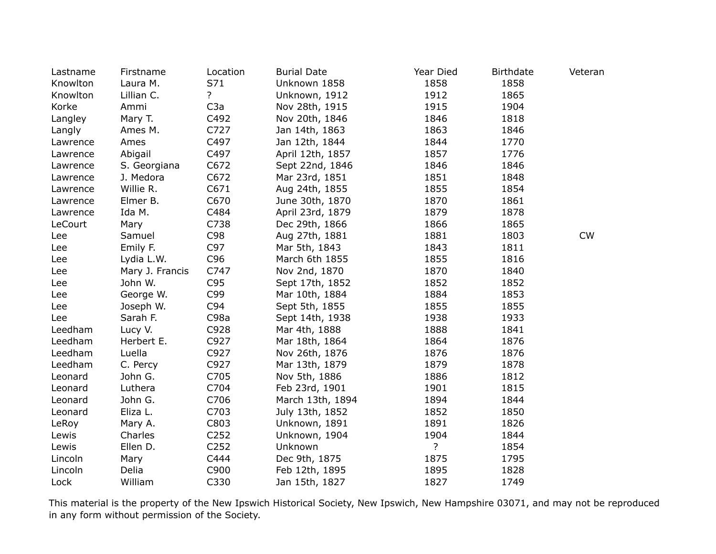| Lastname | Firstname       | Location         | <b>Burial Date</b> | Year Died | <b>Birthdate</b> | Veteran |
|----------|-----------------|------------------|--------------------|-----------|------------------|---------|
| Knowlton | Laura M.        | S71              | Unknown 1858       | 1858      | 1858             |         |
| Knowlton | Lillian C.      | $\ddot{?}$       | Unknown, 1912      | 1912      | 1865             |         |
| Korke    | Ammi            | C3a              | Nov 28th, 1915     | 1915      | 1904             |         |
| Langley  | Mary T.         | C492             | Nov 20th, 1846     | 1846      | 1818             |         |
| Langly   | Ames M.         | C727             | Jan 14th, 1863     | 1863      | 1846             |         |
| Lawrence | Ames            | C497             | Jan 12th, 1844     | 1844      | 1770             |         |
| Lawrence | Abigail         | C497             | April 12th, 1857   | 1857      | 1776             |         |
| Lawrence | S. Georgiana    | C672             | Sept 22nd, 1846    | 1846      | 1846             |         |
| Lawrence | J. Medora       | C672             | Mar 23rd, 1851     | 1851      | 1848             |         |
| Lawrence | Willie R.       | C671             | Aug 24th, 1855     | 1855      | 1854             |         |
| Lawrence | Elmer B.        | C670             | June 30th, 1870    | 1870      | 1861             |         |
| Lawrence | Ida M.          | C484             | April 23rd, 1879   | 1879      | 1878             |         |
| LeCourt  | Mary            | C738             | Dec 29th, 1866     | 1866      | 1865             |         |
| Lee      | Samuel          | C98              | Aug 27th, 1881     | 1881      | 1803             | CW      |
| Lee      | Emily F.        | C97              | Mar 5th, 1843      | 1843      | 1811             |         |
| Lee      | Lydia L.W.      | C96              | March 6th 1855     | 1855      | 1816             |         |
| Lee      | Mary J. Francis | C747             | Nov 2nd, 1870      | 1870      | 1840             |         |
| Lee      | John W.         | C95              | Sept 17th, 1852    | 1852      | 1852             |         |
| Lee      | George W.       | C99              | Mar 10th, 1884     | 1884      | 1853             |         |
| Lee      | Joseph W.       | C94              | Sept 5th, 1855     | 1855      | 1855             |         |
| Lee      | Sarah F.        | C98a             | Sept 14th, 1938    | 1938      | 1933             |         |
| Leedham  | Lucy V.         | C928             | Mar 4th, 1888      | 1888      | 1841             |         |
| Leedham  | Herbert E.      | C927             | Mar 18th, 1864     | 1864      | 1876             |         |
| Leedham  | Luella          | C927             | Nov 26th, 1876     | 1876      | 1876             |         |
| Leedham  | C. Percy        | C927             | Mar 13th, 1879     | 1879      | 1878             |         |
| Leonard  | John G.         | C705             | Nov 5th, 1886      | 1886      | 1812             |         |
| Leonard  | Luthera         | C704             | Feb 23rd, 1901     | 1901      | 1815             |         |
| Leonard  | John G.         | C706             | March 13th, 1894   | 1894      | 1844             |         |
| Leonard  | Eliza L.        | C703             | July 13th, 1852    | 1852      | 1850             |         |
| LeRoy    | Mary A.         | C803             | Unknown, 1891      | 1891      | 1826             |         |
| Lewis    | Charles         | C252             | Unknown, 1904      | 1904      | 1844             |         |
| Lewis    | Ellen D.        | C <sub>252</sub> | Unknown            | ?         | 1854             |         |
| Lincoln  | Mary            | C444             | Dec 9th, 1875      | 1875      | 1795             |         |
| Lincoln  | Delia           | C900             | Feb 12th, 1895     | 1895      | 1828             |         |
| Lock     | William         | C330             | Jan 15th, 1827     | 1827      | 1749             |         |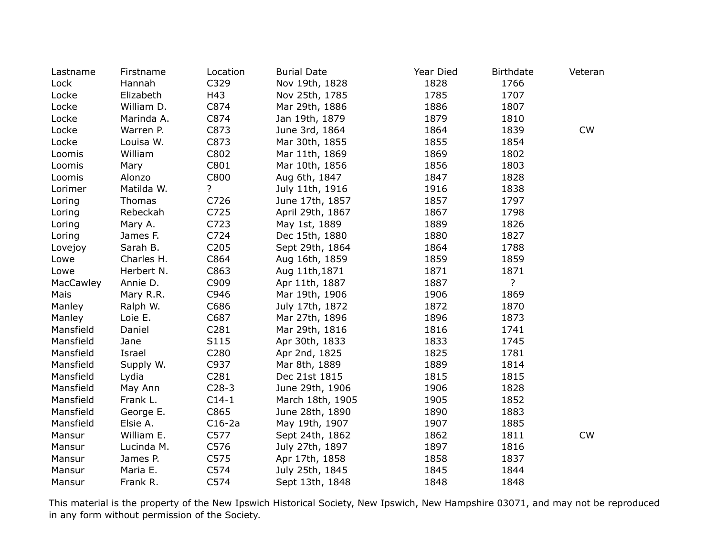| Lastname  | Firstname  | Location | <b>Burial Date</b> | Year Died | <b>Birthdate</b> | Veteran   |
|-----------|------------|----------|--------------------|-----------|------------------|-----------|
| Lock      | Hannah     | C329     | Nov 19th, 1828     | 1828      | 1766             |           |
| Locke     | Elizabeth  | H43      | Nov 25th, 1785     | 1785      | 1707             |           |
| Locke     | William D. | C874     | Mar 29th, 1886     | 1886      | 1807             |           |
| Locke     | Marinda A. | C874     | Jan 19th, 1879     | 1879      | 1810             |           |
| Locke     | Warren P.  | C873     | June 3rd, 1864     | 1864      | 1839             | CW        |
| Locke     | Louisa W.  | C873     | Mar 30th, 1855     | 1855      | 1854             |           |
| Loomis    | William    | C802     | Mar 11th, 1869     | 1869      | 1802             |           |
| Loomis    | Mary       | C801     | Mar 10th, 1856     | 1856      | 1803             |           |
| Loomis    | Alonzo     | C800     | Aug 6th, 1847      | 1847      | 1828             |           |
| Lorimer   | Matilda W. | ?        | July 11th, 1916    | 1916      | 1838             |           |
| Loring    | Thomas     | C726     | June 17th, 1857    | 1857      | 1797             |           |
| Loring    | Rebeckah   | C725     | April 29th, 1867   | 1867      | 1798             |           |
| Loring    | Mary A.    | C723     | May 1st, 1889      | 1889      | 1826             |           |
| Loring    | James F.   | C724     | Dec 15th, 1880     | 1880      | 1827             |           |
| Lovejoy   | Sarah B.   | C205     | Sept 29th, 1864    | 1864      | 1788             |           |
| Lowe      | Charles H. | C864     | Aug 16th, 1859     | 1859      | 1859             |           |
| Lowe      | Herbert N. | C863     | Aug 11th, 1871     | 1871      | 1871             |           |
| MacCawley | Annie D.   | C909     | Apr 11th, 1887     | 1887      | ?                |           |
| Mais      | Mary R.R.  | C946     | Mar 19th, 1906     | 1906      | 1869             |           |
| Manley    | Ralph W.   | C686     | July 17th, 1872    | 1872      | 1870             |           |
| Manley    | Loie E.    | C687     | Mar 27th, 1896     | 1896      | 1873             |           |
| Mansfield | Daniel     | C281     | Mar 29th, 1816     | 1816      | 1741             |           |
| Mansfield | Jane       | S115     | Apr 30th, 1833     | 1833      | 1745             |           |
| Mansfield | Israel     | C280     | Apr 2nd, 1825      | 1825      | 1781             |           |
| Mansfield | Supply W.  | C937     | Mar 8th, 1889      | 1889      | 1814             |           |
| Mansfield | Lydia      | C281     | Dec 21st 1815      | 1815      | 1815             |           |
| Mansfield | May Ann    | $C28-3$  | June 29th, 1906    | 1906      | 1828             |           |
| Mansfield | Frank L.   | $C14-1$  | March 18th, 1905   | 1905      | 1852             |           |
| Mansfield | George E.  | C865     | June 28th, 1890    | 1890      | 1883             |           |
| Mansfield | Elsie A.   | $C16-2a$ | May 19th, 1907     | 1907      | 1885             |           |
| Mansur    | William E. | C577     | Sept 24th, 1862    | 1862      | 1811             | <b>CW</b> |
| Mansur    | Lucinda M. | C576     | July 27th, 1897    | 1897      | 1816             |           |
| Mansur    | James P.   | C575     | Apr 17th, 1858     | 1858      | 1837             |           |
| Mansur    | Maria E.   | C574     | July 25th, 1845    | 1845      | 1844             |           |
| Mansur    | Frank R.   | C574     | Sept 13th, 1848    | 1848      | 1848             |           |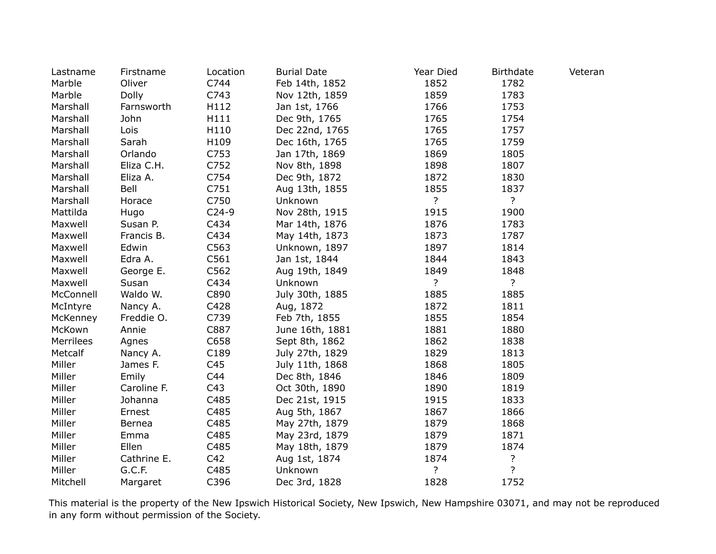| Lastname  | Firstname   | Location | <b>Burial Date</b> | Year Died      | <b>Birthdate</b> | Veteran |
|-----------|-------------|----------|--------------------|----------------|------------------|---------|
| Marble    | Oliver      | C744     | Feb 14th, 1852     | 1852           | 1782             |         |
| Marble    | Dolly       | C743     | Nov 12th, 1859     | 1859           | 1783             |         |
| Marshall  | Farnsworth  | H112     | Jan 1st, 1766      | 1766           | 1753             |         |
| Marshall  | John        | H111     | Dec 9th, 1765      | 1765           | 1754             |         |
| Marshall  | Lois        | H110     | Dec 22nd, 1765     | 1765           | 1757             |         |
| Marshall  | Sarah       | H109     | Dec 16th, 1765     | 1765           | 1759             |         |
| Marshall  | Orlando     | C753     | Jan 17th, 1869     | 1869           | 1805             |         |
| Marshall  | Eliza C.H.  | C752     | Nov 8th, 1898      | 1898           | 1807             |         |
| Marshall  | Eliza A.    | C754     | Dec 9th, 1872      | 1872           | 1830             |         |
| Marshall  | Bell        | C751     | Aug 13th, 1855     | 1855           | 1837             |         |
| Marshall  | Horace      | C750     | Unknown            | $\overline{?}$ | $\overline{?}$   |         |
| Mattilda  | Hugo        | $C24-9$  | Nov 28th, 1915     | 1915           | 1900             |         |
| Maxwell   | Susan P.    | C434     | Mar 14th, 1876     | 1876           | 1783             |         |
| Maxwell   | Francis B.  | C434     | May 14th, 1873     | 1873           | 1787             |         |
| Maxwell   | Edwin       | C563     | Unknown, 1897      | 1897           | 1814             |         |
| Maxwell   | Edra A.     | C561     | Jan 1st, 1844      | 1844           | 1843             |         |
| Maxwell   | George E.   | C562     | Aug 19th, 1849     | 1849           | 1848             |         |
| Maxwell   | Susan       | C434     | Unknown            | ?              | ?                |         |
| McConnell | Waldo W.    | C890     | July 30th, 1885    | 1885           | 1885             |         |
| McIntyre  | Nancy A.    | C428     | Aug, 1872          | 1872           | 1811             |         |
| McKenney  | Freddie O.  | C739     | Feb 7th, 1855      | 1855           | 1854             |         |
| McKown    | Annie       | C887     | June 16th, 1881    | 1881           | 1880             |         |
| Merrilees | Agnes       | C658     | Sept 8th, 1862     | 1862           | 1838             |         |
| Metcalf   | Nancy A.    | C189     | July 27th, 1829    | 1829           | 1813             |         |
| Miller    | James F.    | C45      | July 11th, 1868    | 1868           | 1805             |         |
| Miller    | Emily       | C44      | Dec 8th, 1846      | 1846           | 1809             |         |
| Miller    | Caroline F. | C43      | Oct 30th, 1890     | 1890           | 1819             |         |
| Miller    | Johanna     | C485     | Dec 21st, 1915     | 1915           | 1833             |         |
| Miller    | Ernest      | C485     | Aug 5th, 1867      | 1867           | 1866             |         |
| Miller    | Bernea      | C485     | May 27th, 1879     | 1879           | 1868             |         |
| Miller    | Emma        | C485     | May 23rd, 1879     | 1879           | 1871             |         |
| Miller    | Ellen       | C485     | May 18th, 1879     | 1879           | 1874             |         |
| Miller    | Cathrine E. | C42      | Aug 1st, 1874      | 1874           | ?                |         |
| Miller    | G.C.F.      | C485     | Unknown            | ?              | ?                |         |
| Mitchell  | Margaret    | C396     | Dec 3rd, 1828      | 1828           | 1752             |         |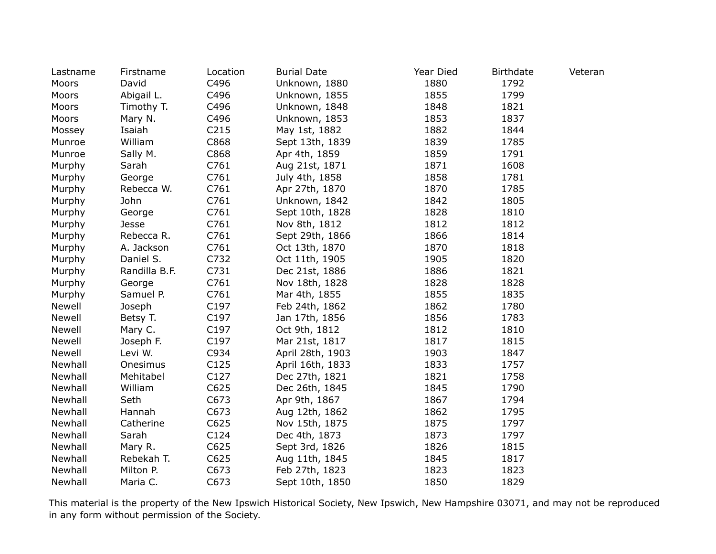| Lastname | Firstname     | Location         | <b>Burial Date</b> | Year Died | <b>Birthdate</b> | Veteran |
|----------|---------------|------------------|--------------------|-----------|------------------|---------|
| Moors    | David         | C496             | Unknown, 1880      | 1880      | 1792             |         |
| Moors    | Abigail L.    | C496             | Unknown, 1855      | 1855      | 1799             |         |
| Moors    | Timothy T.    | C496             | Unknown, 1848      | 1848      | 1821             |         |
| Moors    | Mary N.       | C496             | Unknown, 1853      | 1853      | 1837             |         |
| Mossey   | Isaiah        | C <sub>215</sub> | May 1st, 1882      | 1882      | 1844             |         |
| Munroe   | William       | C868             | Sept 13th, 1839    | 1839      | 1785             |         |
| Munroe   | Sally M.      | C868             | Apr 4th, 1859      | 1859      | 1791             |         |
| Murphy   | Sarah         | C761             | Aug 21st, 1871     | 1871      | 1608             |         |
| Murphy   | George        | C761             | July 4th, 1858     | 1858      | 1781             |         |
| Murphy   | Rebecca W.    | C761             | Apr 27th, 1870     | 1870      | 1785             |         |
| Murphy   | John          | C761             | Unknown, 1842      | 1842      | 1805             |         |
| Murphy   | George        | C761             | Sept 10th, 1828    | 1828      | 1810             |         |
| Murphy   | Jesse         | C761             | Nov 8th, 1812      | 1812      | 1812             |         |
| Murphy   | Rebecca R.    | C761             | Sept 29th, 1866    | 1866      | 1814             |         |
| Murphy   | A. Jackson    | C761             | Oct 13th, 1870     | 1870      | 1818             |         |
| Murphy   | Daniel S.     | C732             | Oct 11th, 1905     | 1905      | 1820             |         |
| Murphy   | Randilla B.F. | C731             | Dec 21st, 1886     | 1886      | 1821             |         |
| Murphy   | George        | C761             | Nov 18th, 1828     | 1828      | 1828             |         |
| Murphy   | Samuel P.     | C761             | Mar 4th, 1855      | 1855      | 1835             |         |
| Newell   | Joseph        | C197             | Feb 24th, 1862     | 1862      | 1780             |         |
| Newell   | Betsy T.      | C197             | Jan 17th, 1856     | 1856      | 1783             |         |
| Newell   | Mary C.       | C197             | Oct 9th, 1812      | 1812      | 1810             |         |
| Newell   | Joseph F.     | C197             | Mar 21st, 1817     | 1817      | 1815             |         |
| Newell   | Levi W.       | C934             | April 28th, 1903   | 1903      | 1847             |         |
| Newhall  | Onesimus      | C125             | April 16th, 1833   | 1833      | 1757             |         |
| Newhall  | Mehitabel     | C127             | Dec 27th, 1821     | 1821      | 1758             |         |
| Newhall  | William       | C625             | Dec 26th, 1845     | 1845      | 1790             |         |
| Newhall  | Seth          | C673             | Apr 9th, 1867      | 1867      | 1794             |         |
| Newhall  | Hannah        | C673             | Aug 12th, 1862     | 1862      | 1795             |         |
| Newhall  | Catherine     | C625             | Nov 15th, 1875     | 1875      | 1797             |         |
| Newhall  | Sarah         | C124             | Dec 4th, 1873      | 1873      | 1797             |         |
| Newhall  | Mary R.       | C625             | Sept 3rd, 1826     | 1826      | 1815             |         |
| Newhall  | Rebekah T.    | C625             | Aug 11th, 1845     | 1845      | 1817             |         |
| Newhall  | Milton P.     | C673             | Feb 27th, 1823     | 1823      | 1823             |         |
| Newhall  | Maria C.      | C673             | Sept 10th, 1850    | 1850      | 1829             |         |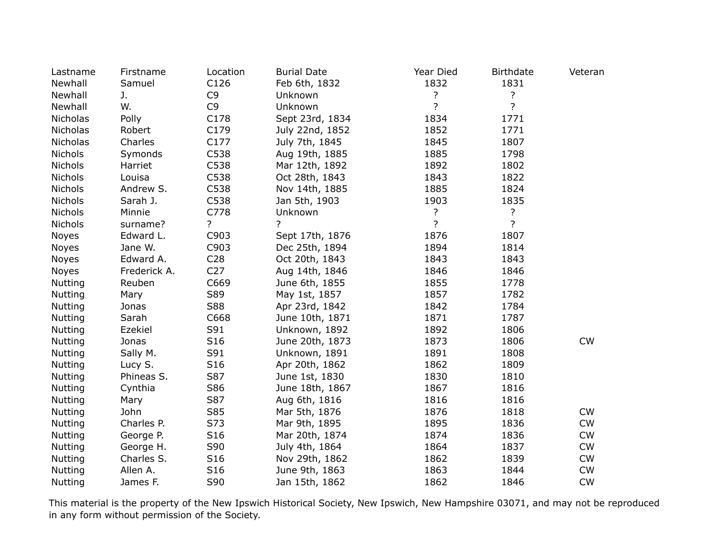| Lastname        | Firstname    | Location        | <b>Burial Date</b> | Year Died      | <b>Birthdate</b> | Veteran   |
|-----------------|--------------|-----------------|--------------------|----------------|------------------|-----------|
| Newhall         | Samuel       | C126            | Feb 6th, 1832      | 1832           | 1831             |           |
| Newhall         | J.           | C <sub>9</sub>  | Unknown            | ?              | ?                |           |
| Newhall         | W.           | C <sub>9</sub>  | Unknown            | $\overline{?}$ | ?                |           |
| Nicholas        | Polly        | C178            | Sept 23rd, 1834    | 1834           | 1771             |           |
| <b>Nicholas</b> | Robert       | C179            | July 22nd, 1852    | 1852           | 1771             |           |
| Nicholas        | Charles      | C177            | July 7th, 1845     | 1845           | 1807             |           |
| Nichols         | Symonds      | C538            | Aug 19th, 1885     | 1885           | 1798             |           |
| Nichols         | Harriet      | C538            | Mar 12th, 1892     | 1892           | 1802             |           |
| Nichols         | Louisa       | C538            | Oct 28th, 1843     | 1843           | 1822             |           |
| Nichols         | Andrew S.    | C538            | Nov 14th, 1885     | 1885           | 1824             |           |
| Nichols         | Sarah J.     | C538            | Jan 5th, 1903      | 1903           | 1835             |           |
| Nichols         | Minnie       | C778            | Unknown            | ?              | $\overline{?}$   |           |
| <b>Nichols</b>  | surname?     | ?               | ?                  | $\overline{?}$ | $\overline{?}$   |           |
| Noyes           | Edward L.    | C903            | Sept 17th, 1876    | 1876           | 1807             |           |
| <b>Noyes</b>    | Jane W.      | C903            | Dec 25th, 1894     | 1894           | 1814             |           |
| <b>Noyes</b>    | Edward A.    | C <sub>28</sub> | Oct 20th, 1843     | 1843           | 1843             |           |
| <b>Noyes</b>    | Frederick A. | C <sub>27</sub> | Aug 14th, 1846     | 1846           | 1846             |           |
| <b>Nutting</b>  | Reuben       | C669            | June 6th, 1855     | 1855           | 1778             |           |
| <b>Nutting</b>  | Mary         | S89             | May 1st, 1857      | 1857           | 1782             |           |
| Nutting         | Jonas        | S88             | Apr 23rd, 1842     | 1842           | 1784             |           |
| <b>Nutting</b>  | Sarah        | C668            | June 10th, 1871    | 1871           | 1787             |           |
| Nutting         | Ezekiel      | S91             | Unknown, 1892      | 1892           | 1806             |           |
| <b>Nutting</b>  | Jonas        | S16             | June 20th, 1873    | 1873           | 1806             | CW        |
| <b>Nutting</b>  | Sally M.     | S91             | Unknown, 1891      | 1891           | 1808             |           |
| <b>Nutting</b>  | Lucy S.      | S16             | Apr 20th, 1862     | 1862           | 1809             |           |
| <b>Nutting</b>  | Phineas S.   | S87             | June 1st, 1830     | 1830           | 1810             |           |
| <b>Nutting</b>  | Cynthia      | S86             | June 18th, 1867    | 1867           | 1816             |           |
| <b>Nutting</b>  | Mary         | S87             | Aug 6th, 1816      | 1816           | 1816             |           |
| <b>Nutting</b>  | John         | S85             | Mar 5th, 1876      | 1876           | 1818             | <b>CW</b> |
| <b>Nutting</b>  | Charles P.   | S73             | Mar 9th, 1895      | 1895           | 1836             | <b>CW</b> |
| <b>Nutting</b>  | George P.    | S16             | Mar 20th, 1874     | 1874           | 1836             | <b>CW</b> |
| <b>Nutting</b>  | George H.    | S90             | July 4th, 1864     | 1864           | 1837             | <b>CW</b> |
| <b>Nutting</b>  | Charles S.   | S <sub>16</sub> | Nov 29th, 1862     | 1862           | 1839             | <b>CW</b> |
| Nutting         | Allen A.     | S16             | June 9th, 1863     | 1863           | 1844             | <b>CW</b> |
| Nutting         | James F.     | S90             | Jan 15th, 1862     | 1862           | 1846             | CW        |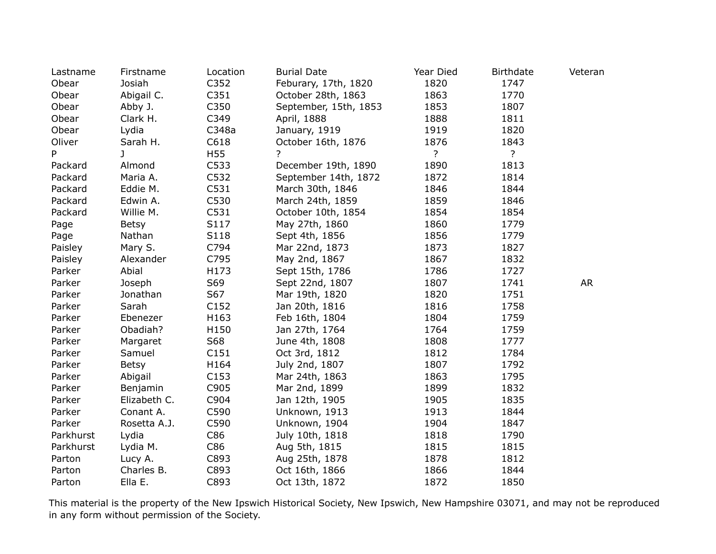| Lastname  | Firstname    | Location         | <b>Burial Date</b>    | Year Died      | <b>Birthdate</b> | Veteran   |
|-----------|--------------|------------------|-----------------------|----------------|------------------|-----------|
| Obear     | Josiah       | C352             | Feburary, 17th, 1820  | 1820           | 1747             |           |
| Obear     | Abigail C.   | C351             | October 28th, 1863    | 1863           | 1770             |           |
| Obear     | Abby J.      | C350             | September, 15th, 1853 | 1853           | 1807             |           |
| Obear     | Clark H.     | C349             | April, 1888           | 1888           | 1811             |           |
| Obear     | Lydia        | C348a            | January, 1919         | 1919           | 1820             |           |
| Oliver    | Sarah H.     | C618             | October 16th, 1876    | 1876           | 1843             |           |
| P         | J            | H55              | ?                     | $\overline{?}$ | $\overline{?}$   |           |
| Packard   | Almond       | C533             | December 19th, 1890   | 1890           | 1813             |           |
| Packard   | Maria A.     | C532             | September 14th, 1872  | 1872           | 1814             |           |
| Packard   | Eddie M.     | C531             | March 30th, 1846      | 1846           | 1844             |           |
| Packard   | Edwin A.     | C530             | March 24th, 1859      | 1859           | 1846             |           |
| Packard   | Willie M.    | C531             | October 10th, 1854    | 1854           | 1854             |           |
| Page      | Betsy        | S117             | May 27th, 1860        | 1860           | 1779             |           |
| Page      | Nathan       | S118             | Sept 4th, 1856        | 1856           | 1779             |           |
| Paisley   | Mary S.      | C794             | Mar 22nd, 1873        | 1873           | 1827             |           |
| Paisley   | Alexander    | C795             | May 2nd, 1867         | 1867           | 1832             |           |
| Parker    | Abial        | H173             | Sept 15th, 1786       | 1786           | 1727             |           |
| Parker    | Joseph       | S69              | Sept 22nd, 1807       | 1807           | 1741             | <b>AR</b> |
| Parker    | Jonathan     | S67              | Mar 19th, 1820        | 1820           | 1751             |           |
| Parker    | Sarah        | C <sub>152</sub> | Jan 20th, 1816        | 1816           | 1758             |           |
| Parker    | Ebenezer     | H163             | Feb 16th, 1804        | 1804           | 1759             |           |
| Parker    | Obadiah?     | H150             | Jan 27th, 1764        | 1764           | 1759             |           |
| Parker    | Margaret     | S68              | June 4th, 1808        | 1808           | 1777             |           |
| Parker    | Samuel       | C151             | Oct 3rd, 1812         | 1812           | 1784             |           |
| Parker    | Betsy        | H164             | July 2nd, 1807        | 1807           | 1792             |           |
| Parker    | Abigail      | C153             | Mar 24th, 1863        | 1863           | 1795             |           |
| Parker    | Benjamin     | C905             | Mar 2nd, 1899         | 1899           | 1832             |           |
| Parker    | Elizabeth C. | C904             | Jan 12th, 1905        | 1905           | 1835             |           |
| Parker    | Conant A.    | C590             | Unknown, 1913         | 1913           | 1844             |           |
| Parker    | Rosetta A.J. | C590             | Unknown, 1904         | 1904           | 1847             |           |
| Parkhurst | Lydia        | C86              | July 10th, 1818       | 1818           | 1790             |           |
| Parkhurst | Lydia M.     | C86              | Aug 5th, 1815         | 1815           | 1815             |           |
| Parton    | Lucy A.      | C893             | Aug 25th, 1878        | 1878           | 1812             |           |
| Parton    | Charles B.   | C893             | Oct 16th, 1866        | 1866           | 1844             |           |
| Parton    | Ella E.      | C893             | Oct 13th, 1872        | 1872           | 1850             |           |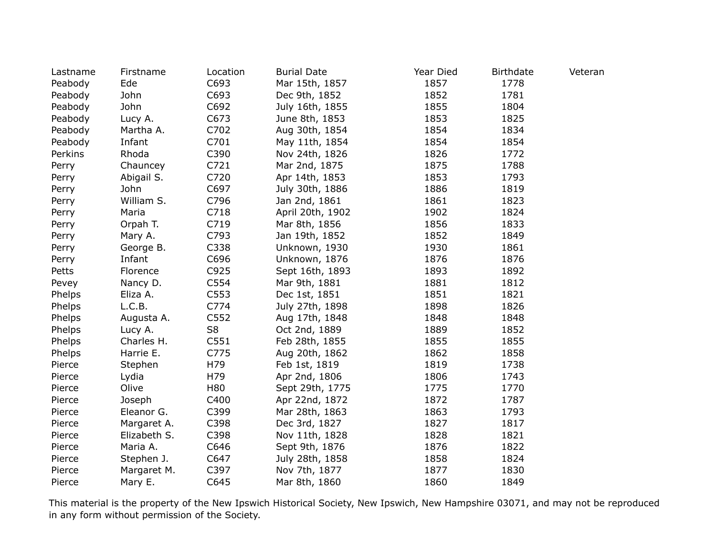| Lastname | Firstname    | Location       | <b>Burial Date</b> | Year Died | <b>Birthdate</b> | Veteran |
|----------|--------------|----------------|--------------------|-----------|------------------|---------|
| Peabody  | Ede          | C693           | Mar 15th, 1857     | 1857      | 1778             |         |
| Peabody  | John         | C693           | Dec 9th, 1852      | 1852      | 1781             |         |
| Peabody  | John         | C692           | July 16th, 1855    | 1855      | 1804             |         |
| Peabody  | Lucy A.      | C673           | June 8th, 1853     | 1853      | 1825             |         |
| Peabody  | Martha A.    | C702           | Aug 30th, 1854     | 1854      | 1834             |         |
| Peabody  | Infant       | C701           | May 11th, 1854     | 1854      | 1854             |         |
| Perkins  | Rhoda        | C390           | Nov 24th, 1826     | 1826      | 1772             |         |
| Perry    | Chauncey     | C721           | Mar 2nd, 1875      | 1875      | 1788             |         |
| Perry    | Abigail S.   | C720           | Apr 14th, 1853     | 1853      | 1793             |         |
| Perry    | John         | C697           | July 30th, 1886    | 1886      | 1819             |         |
| Perry    | William S.   | C796           | Jan 2nd, 1861      | 1861      | 1823             |         |
| Perry    | Maria        | C718           | April 20th, 1902   | 1902      | 1824             |         |
| Perry    | Orpah T.     | C719           | Mar 8th, 1856      | 1856      | 1833             |         |
| Perry    | Mary A.      | C793           | Jan 19th, 1852     | 1852      | 1849             |         |
| Perry    | George B.    | C338           | Unknown, 1930      | 1930      | 1861             |         |
| Perry    | Infant       | C696           | Unknown, 1876      | 1876      | 1876             |         |
| Petts    | Florence     | C925           | Sept 16th, 1893    | 1893      | 1892             |         |
| Pevey    | Nancy D.     | C554           | Mar 9th, 1881      | 1881      | 1812             |         |
| Phelps   | Eliza A.     | C553           | Dec 1st, 1851      | 1851      | 1821             |         |
| Phelps   | L.C.B.       | C774           | July 27th, 1898    | 1898      | 1826             |         |
| Phelps   | Augusta A.   | C552           | Aug 17th, 1848     | 1848      | 1848             |         |
| Phelps   | Lucy A.      | S <sub>8</sub> | Oct 2nd, 1889      | 1889      | 1852             |         |
| Phelps   | Charles H.   | C551           | Feb 28th, 1855     | 1855      | 1855             |         |
| Phelps   | Harrie E.    | C775           | Aug 20th, 1862     | 1862      | 1858             |         |
| Pierce   | Stephen      | H79            | Feb 1st, 1819      | 1819      | 1738             |         |
| Pierce   | Lydia        | H79            | Apr 2nd, 1806      | 1806      | 1743             |         |
| Pierce   | Olive        | H80            | Sept 29th, 1775    | 1775      | 1770             |         |
| Pierce   | Joseph       | C400           | Apr 22nd, 1872     | 1872      | 1787             |         |
| Pierce   | Eleanor G.   | C399           | Mar 28th, 1863     | 1863      | 1793             |         |
| Pierce   | Margaret A.  | C398           | Dec 3rd, 1827      | 1827      | 1817             |         |
| Pierce   | Elizabeth S. | C398           | Nov 11th, 1828     | 1828      | 1821             |         |
| Pierce   | Maria A.     | C646           | Sept 9th, 1876     | 1876      | 1822             |         |
| Pierce   | Stephen J.   | C647           | July 28th, 1858    | 1858      | 1824             |         |
| Pierce   | Margaret M.  | C397           | Nov 7th, 1877      | 1877      | 1830             |         |
| Pierce   | Mary E.      | C645           | Mar 8th, 1860      | 1860      | 1849             |         |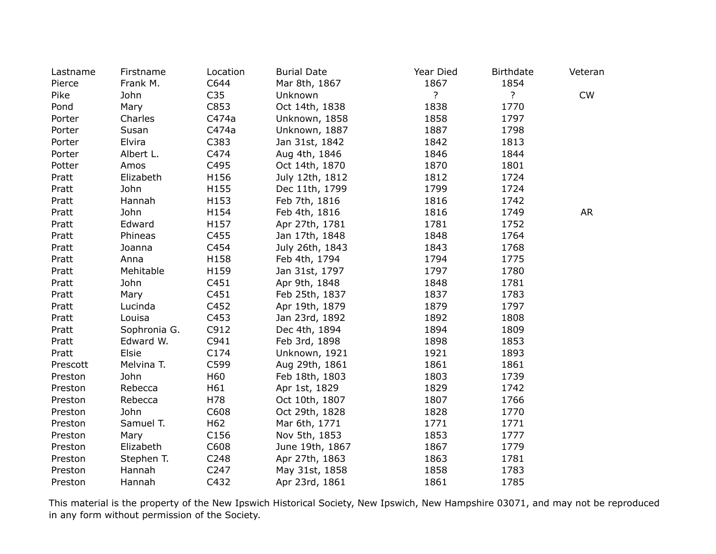| Lastname | Firstname    | Location        | <b>Burial Date</b> | Year Died      | <b>Birthdate</b> | Veteran   |
|----------|--------------|-----------------|--------------------|----------------|------------------|-----------|
| Pierce   | Frank M.     | C644            | Mar 8th, 1867      | 1867           | 1854             |           |
| Pike     | John         | C <sub>35</sub> | Unknown            | $\overline{?}$ | $\overline{?}$   | CW        |
| Pond     | Mary         | C853            | Oct 14th, 1838     | 1838           | 1770             |           |
| Porter   | Charles      | C474a           | Unknown, 1858      | 1858           | 1797             |           |
| Porter   | Susan        | C474a           | Unknown, 1887      | 1887           | 1798             |           |
| Porter   | Elvira       | C383            | Jan 31st, 1842     | 1842           | 1813             |           |
| Porter   | Albert L.    | C474            | Aug 4th, 1846      | 1846           | 1844             |           |
| Potter   | Amos         | C495            | Oct 14th, 1870     | 1870           | 1801             |           |
| Pratt    | Elizabeth    | H156            | July 12th, 1812    | 1812           | 1724             |           |
| Pratt    | John         | H155            | Dec 11th, 1799     | 1799           | 1724             |           |
| Pratt    | Hannah       | H153            | Feb 7th, 1816      | 1816           | 1742             |           |
| Pratt    | John         | H154            | Feb 4th, 1816      | 1816           | 1749             | <b>AR</b> |
| Pratt    | Edward       | H157            | Apr 27th, 1781     | 1781           | 1752             |           |
| Pratt    | Phineas      | C455            | Jan 17th, 1848     | 1848           | 1764             |           |
| Pratt    | Joanna       | C454            | July 26th, 1843    | 1843           | 1768             |           |
| Pratt    | Anna         | H158            | Feb 4th, 1794      | 1794           | 1775             |           |
| Pratt    | Mehitable    | H159            | Jan 31st, 1797     | 1797           | 1780             |           |
| Pratt    | John         | C451            | Apr 9th, 1848      | 1848           | 1781             |           |
| Pratt    | Mary         | C451            | Feb 25th, 1837     | 1837           | 1783             |           |
| Pratt    | Lucinda      | C452            | Apr 19th, 1879     | 1879           | 1797             |           |
| Pratt    | Louisa       | C453            | Jan 23rd, 1892     | 1892           | 1808             |           |
| Pratt    | Sophronia G. | C912            | Dec 4th, 1894      | 1894           | 1809             |           |
| Pratt    | Edward W.    | C941            | Feb 3rd, 1898      | 1898           | 1853             |           |
| Pratt    | Elsie        | C174            | Unknown, 1921      | 1921           | 1893             |           |
| Prescott | Melvina T.   | C599            | Aug 29th, 1861     | 1861           | 1861             |           |
| Preston  | John         | H60             | Feb 18th, 1803     | 1803           | 1739             |           |
| Preston  | Rebecca      | H61             | Apr 1st, 1829      | 1829           | 1742             |           |
| Preston  | Rebecca      | H78             | Oct 10th, 1807     | 1807           | 1766             |           |
| Preston  | John         | C608            | Oct 29th, 1828     | 1828           | 1770             |           |
| Preston  | Samuel T.    | H62             | Mar 6th, 1771      | 1771           | 1771             |           |
| Preston  | Mary         | C156            | Nov 5th, 1853      | 1853           | 1777             |           |
| Preston  | Elizabeth    | C608            | June 19th, 1867    | 1867           | 1779             |           |
| Preston  | Stephen T.   | C248            | Apr 27th, 1863     | 1863           | 1781             |           |
| Preston  | Hannah       | C247            | May 31st, 1858     | 1858           | 1783             |           |
| Preston  | Hannah       | C432            | Apr 23rd, 1861     | 1861           | 1785             |           |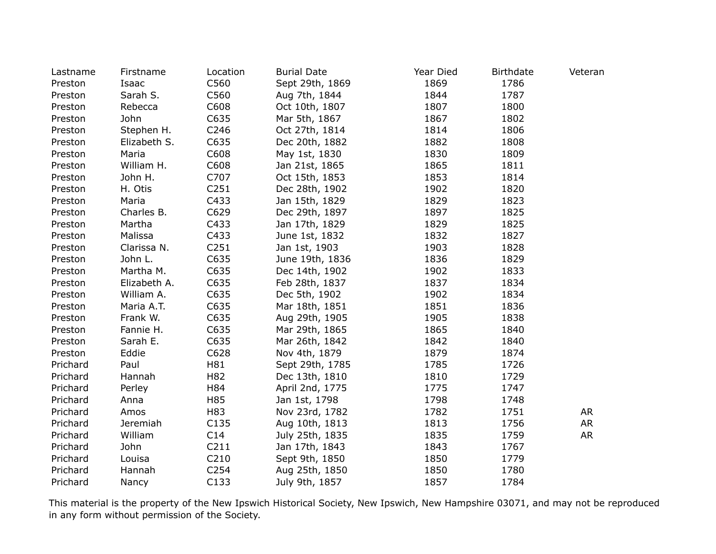| Lastname | Firstname    | Location         | <b>Burial Date</b> | Year Died | <b>Birthdate</b> | Veteran   |
|----------|--------------|------------------|--------------------|-----------|------------------|-----------|
| Preston  | Isaac        | C560             | Sept 29th, 1869    | 1869      | 1786             |           |
| Preston  | Sarah S.     | C560             | Aug 7th, 1844      | 1844      | 1787             |           |
| Preston  | Rebecca      | C608             | Oct 10th, 1807     | 1807      | 1800             |           |
| Preston  | John         | C635             | Mar 5th, 1867      | 1867      | 1802             |           |
| Preston  | Stephen H.   | C246             | Oct 27th, 1814     | 1814      | 1806             |           |
| Preston  | Elizabeth S. | C635             | Dec 20th, 1882     | 1882      | 1808             |           |
| Preston  | Maria        | C608             | May 1st, 1830      | 1830      | 1809             |           |
| Preston  | William H.   | C608             | Jan 21st, 1865     | 1865      | 1811             |           |
| Preston  | John H.      | C707             | Oct 15th, 1853     | 1853      | 1814             |           |
| Preston  | H. Otis      | C <sub>251</sub> | Dec 28th, 1902     | 1902      | 1820             |           |
| Preston  | Maria        | C433             | Jan 15th, 1829     | 1829      | 1823             |           |
| Preston  | Charles B.   | C629             | Dec 29th, 1897     | 1897      | 1825             |           |
| Preston  | Martha       | C433             | Jan 17th, 1829     | 1829      | 1825             |           |
| Preston  | Malissa      | C433             | June 1st, 1832     | 1832      | 1827             |           |
| Preston  | Clarissa N.  | C <sub>251</sub> | Jan 1st, 1903      | 1903      | 1828             |           |
| Preston  | John L.      | C635             | June 19th, 1836    | 1836      | 1829             |           |
| Preston  | Martha M.    | C635             | Dec 14th, 1902     | 1902      | 1833             |           |
| Preston  | Elizabeth A. | C635             | Feb 28th, 1837     | 1837      | 1834             |           |
| Preston  | William A.   | C635             | Dec 5th, 1902      | 1902      | 1834             |           |
| Preston  | Maria A.T.   | C635             | Mar 18th, 1851     | 1851      | 1836             |           |
| Preston  | Frank W.     | C635             | Aug 29th, 1905     | 1905      | 1838             |           |
| Preston  | Fannie H.    | C635             | Mar 29th, 1865     | 1865      | 1840             |           |
| Preston  | Sarah E.     | C635             | Mar 26th, 1842     | 1842      | 1840             |           |
| Preston  | Eddie        | C628             | Nov 4th, 1879      | 1879      | 1874             |           |
| Prichard | Paul         | H81              | Sept 29th, 1785    | 1785      | 1726             |           |
| Prichard | Hannah       | H82              | Dec 13th, 1810     | 1810      | 1729             |           |
| Prichard | Perley       | H84              | April 2nd, 1775    | 1775      | 1747             |           |
| Prichard | Anna         | H85              | Jan 1st, 1798      | 1798      | 1748             |           |
| Prichard | Amos         | H83              | Nov 23rd, 1782     | 1782      | 1751             | AR        |
| Prichard | Jeremiah     | C135             | Aug 10th, 1813     | 1813      | 1756             | <b>AR</b> |
| Prichard | William      | C14              | July 25th, 1835    | 1835      | 1759             | <b>AR</b> |
| Prichard | John         | C <sub>211</sub> | Jan 17th, 1843     | 1843      | 1767             |           |
| Prichard | Louisa       | C210             | Sept 9th, 1850     | 1850      | 1779             |           |
| Prichard | Hannah       | C <sub>254</sub> | Aug 25th, 1850     | 1850      | 1780             |           |
| Prichard | Nancy        | C133             | July 9th, 1857     | 1857      | 1784             |           |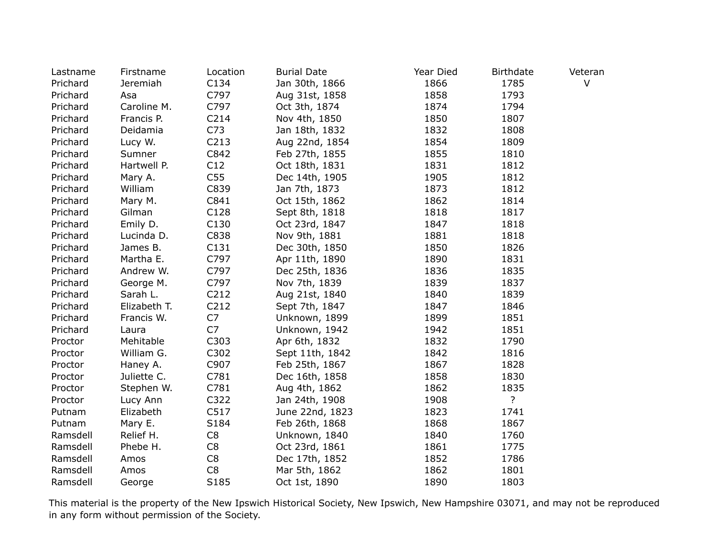| Lastname | Firstname    | Location         | <b>Burial Date</b> | Year Died | <b>Birthdate</b> | Veteran |
|----------|--------------|------------------|--------------------|-----------|------------------|---------|
| Prichard | Jeremiah     | C134             | Jan 30th, 1866     | 1866      | 1785             | $\vee$  |
| Prichard | Asa          | C797             | Aug 31st, 1858     | 1858      | 1793             |         |
| Prichard | Caroline M.  | C797             | Oct 3th, 1874      | 1874      | 1794             |         |
| Prichard | Francis P.   | C214             | Nov 4th, 1850      | 1850      | 1807             |         |
| Prichard | Deidamia     | C73              | Jan 18th, 1832     | 1832      | 1808             |         |
| Prichard | Lucy W.      | C <sub>213</sub> | Aug 22nd, 1854     | 1854      | 1809             |         |
| Prichard | Sumner       | C842             | Feb 27th, 1855     | 1855      | 1810             |         |
| Prichard | Hartwell P.  | C12              | Oct 18th, 1831     | 1831      | 1812             |         |
| Prichard | Mary A.      | C55              | Dec 14th, 1905     | 1905      | 1812             |         |
| Prichard | William      | C839             | Jan 7th, 1873      | 1873      | 1812             |         |
| Prichard | Mary M.      | C841             | Oct 15th, 1862     | 1862      | 1814             |         |
| Prichard | Gilman       | C128             | Sept 8th, 1818     | 1818      | 1817             |         |
| Prichard | Emily D.     | C130             | Oct 23rd, 1847     | 1847      | 1818             |         |
| Prichard | Lucinda D.   | C838             | Nov 9th, 1881      | 1881      | 1818             |         |
| Prichard | James B.     | C131             | Dec 30th, 1850     | 1850      | 1826             |         |
| Prichard | Martha E.    | C797             | Apr 11th, 1890     | 1890      | 1831             |         |
| Prichard | Andrew W.    | C797             | Dec 25th, 1836     | 1836      | 1835             |         |
| Prichard | George M.    | C797             | Nov 7th, 1839      | 1839      | 1837             |         |
| Prichard | Sarah L.     | C212             | Aug 21st, 1840     | 1840      | 1839             |         |
| Prichard | Elizabeth T. | C212             | Sept 7th, 1847     | 1847      | 1846             |         |
| Prichard | Francis W.   | C7               | Unknown, 1899      | 1899      | 1851             |         |
| Prichard | Laura        | C7               | Unknown, 1942      | 1942      | 1851             |         |
| Proctor  | Mehitable    | C303             | Apr 6th, 1832      | 1832      | 1790             |         |
| Proctor  | William G.   | C302             | Sept 11th, 1842    | 1842      | 1816             |         |
| Proctor  | Haney A.     | C907             | Feb 25th, 1867     | 1867      | 1828             |         |
| Proctor  | Juliette C.  | C781             | Dec 16th, 1858     | 1858      | 1830             |         |
| Proctor  | Stephen W.   | C781             | Aug 4th, 1862      | 1862      | 1835             |         |
| Proctor  | Lucy Ann     | C322             | Jan 24th, 1908     | 1908      | ?                |         |
| Putnam   | Elizabeth    | C517             | June 22nd, 1823    | 1823      | 1741             |         |
| Putnam   | Mary E.      | S184             | Feb 26th, 1868     | 1868      | 1867             |         |
| Ramsdell | Relief H.    | C8               | Unknown, 1840      | 1840      | 1760             |         |
| Ramsdell | Phebe H.     | C <sub>8</sub>   | Oct 23rd, 1861     | 1861      | 1775             |         |
| Ramsdell | Amos         | C8               | Dec 17th, 1852     | 1852      | 1786             |         |
| Ramsdell | Amos         | C <sub>8</sub>   | Mar 5th, 1862      | 1862      | 1801             |         |
| Ramsdell | George       | S185             | Oct 1st, 1890      | 1890      | 1803             |         |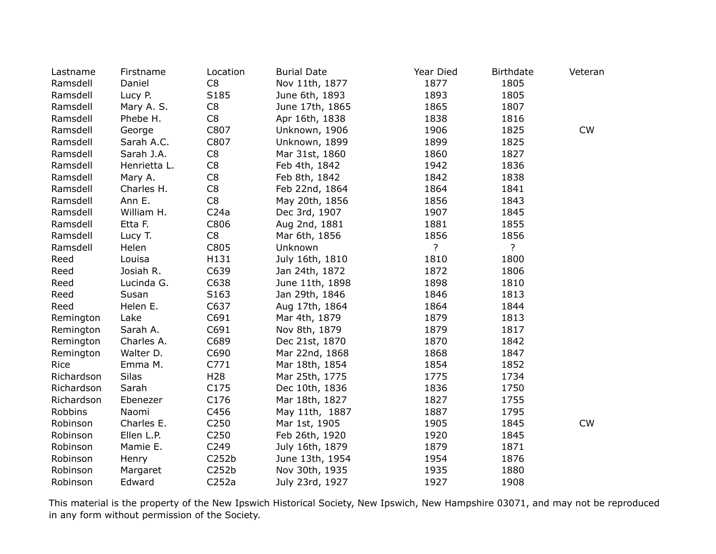| Lastname   | Firstname    | Location         | <b>Burial Date</b> | Year Died | <b>Birthdate</b> | Veteran   |
|------------|--------------|------------------|--------------------|-----------|------------------|-----------|
| Ramsdell   | Daniel       | C <sub>8</sub>   | Nov 11th, 1877     | 1877      | 1805             |           |
| Ramsdell   | Lucy P.      | S185             | June 6th, 1893     | 1893      | 1805             |           |
| Ramsdell   | Mary A. S.   | C <sub>8</sub>   | June 17th, 1865    | 1865      | 1807             |           |
| Ramsdell   | Phebe H.     | C <sub>8</sub>   | Apr 16th, 1838     | 1838      | 1816             |           |
| Ramsdell   | George       | C807             | Unknown, 1906      | 1906      | 1825             | CW        |
| Ramsdell   | Sarah A.C.   | C807             | Unknown, 1899      | 1899      | 1825             |           |
| Ramsdell   | Sarah J.A.   | C <sub>8</sub>   | Mar 31st, 1860     | 1860      | 1827             |           |
| Ramsdell   | Henrietta L. | C <sub>8</sub>   | Feb 4th, 1842      | 1942      | 1836             |           |
| Ramsdell   | Mary A.      | C <sub>8</sub>   | Feb 8th, 1842      | 1842      | 1838             |           |
| Ramsdell   | Charles H.   | C <sub>8</sub>   | Feb 22nd, 1864     | 1864      | 1841             |           |
| Ramsdell   | Ann E.       | C <sub>8</sub>   | May 20th, 1856     | 1856      | 1843             |           |
| Ramsdell   | William H.   | C <sub>24a</sub> | Dec 3rd, 1907      | 1907      | 1845             |           |
| Ramsdell   | Etta F.      | C806             | Aug 2nd, 1881      | 1881      | 1855             |           |
| Ramsdell   | Lucy T.      | C <sub>8</sub>   | Mar 6th, 1856      | 1856      | 1856             |           |
| Ramsdell   | Helen        | C805             | Unknown            | ?         | ?                |           |
| Reed       | Louisa       | H131             | July 16th, 1810    | 1810      | 1800             |           |
| Reed       | Josiah R.    | C639             | Jan 24th, 1872     | 1872      | 1806             |           |
| Reed       | Lucinda G.   | C638             | June 11th, 1898    | 1898      | 1810             |           |
| Reed       | Susan        | S163             | Jan 29th, 1846     | 1846      | 1813             |           |
| Reed       | Helen E.     | C637             | Aug 17th, 1864     | 1864      | 1844             |           |
| Remington  | Lake         | C691             | Mar 4th, 1879      | 1879      | 1813             |           |
| Remington  | Sarah A.     | C691             | Nov 8th, 1879      | 1879      | 1817             |           |
| Remington  | Charles A.   | C689             | Dec 21st, 1870     | 1870      | 1842             |           |
| Remington  | Walter D.    | C690             | Mar 22nd, 1868     | 1868      | 1847             |           |
| Rice       | Emma M.      | C771             | Mar 18th, 1854     | 1854      | 1852             |           |
| Richardson | <b>Silas</b> | H <sub>28</sub>  | Mar 25th, 1775     | 1775      | 1734             |           |
| Richardson | Sarah        | C175             | Dec 10th, 1836     | 1836      | 1750             |           |
| Richardson | Ebenezer     | C176             | Mar 18th, 1827     | 1827      | 1755             |           |
| Robbins    | Naomi        | C456             | May 11th, 1887     | 1887      | 1795             |           |
| Robinson   | Charles E.   | C <sub>250</sub> | Mar 1st, 1905      | 1905      | 1845             | <b>CW</b> |
| Robinson   | Ellen L.P.   | C <sub>250</sub> | Feb 26th, 1920     | 1920      | 1845             |           |
| Robinson   | Mamie E.     | C249             | July 16th, 1879    | 1879      | 1871             |           |
| Robinson   | Henry        | C252b            | June 13th, 1954    | 1954      | 1876             |           |
| Robinson   | Margaret     | C252b            | Nov 30th, 1935     | 1935      | 1880             |           |
| Robinson   | Edward       | C252a            | July 23rd, 1927    | 1927      | 1908             |           |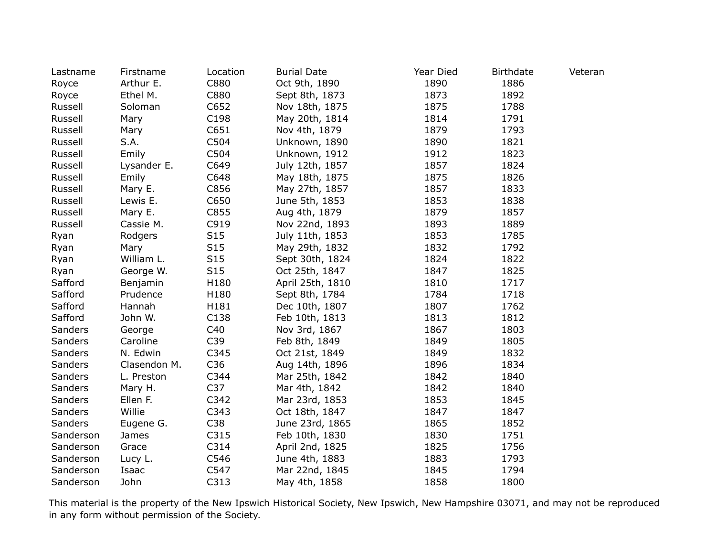| Lastname  | Firstname    | Location        | <b>Burial Date</b> | Year Died | <b>Birthdate</b> | Veteran |
|-----------|--------------|-----------------|--------------------|-----------|------------------|---------|
| Royce     | Arthur E.    | C880            | Oct 9th, 1890      | 1890      | 1886             |         |
| Royce     | Ethel M.     | C880            | Sept 8th, 1873     | 1873      | 1892             |         |
| Russell   | Soloman      | C652            | Nov 18th, 1875     | 1875      | 1788             |         |
| Russell   | Mary         | C198            | May 20th, 1814     | 1814      | 1791             |         |
| Russell   | Mary         | C651            | Nov 4th, 1879      | 1879      | 1793             |         |
| Russell   | S.A.         | C504            | Unknown, 1890      | 1890      | 1821             |         |
| Russell   | Emily        | C504            | Unknown, 1912      | 1912      | 1823             |         |
| Russell   | Lysander E.  | C649            | July 12th, 1857    | 1857      | 1824             |         |
| Russell   | Emily        | C648            | May 18th, 1875     | 1875      | 1826             |         |
| Russell   | Mary E.      | C856            | May 27th, 1857     | 1857      | 1833             |         |
| Russell   | Lewis E.     | C650            | June 5th, 1853     | 1853      | 1838             |         |
| Russell   | Mary E.      | C855            | Aug 4th, 1879      | 1879      | 1857             |         |
| Russell   | Cassie M.    | C919            | Nov 22nd, 1893     | 1893      | 1889             |         |
| Ryan      | Rodgers      | S <sub>15</sub> | July 11th, 1853    | 1853      | 1785             |         |
| Ryan      | Mary         | S15             | May 29th, 1832     | 1832      | 1792             |         |
| Ryan      | William L.   | S15             | Sept 30th, 1824    | 1824      | 1822             |         |
| Ryan      | George W.    | S15             | Oct 25th, 1847     | 1847      | 1825             |         |
| Safford   | Benjamin     | H180            | April 25th, 1810   | 1810      | 1717             |         |
| Safford   | Prudence     | H180            | Sept 8th, 1784     | 1784      | 1718             |         |
| Safford   | Hannah       | H181            | Dec 10th, 1807     | 1807      | 1762             |         |
| Safford   | John W.      | C138            | Feb 10th, 1813     | 1813      | 1812             |         |
| Sanders   | George       | C40             | Nov 3rd, 1867      | 1867      | 1803             |         |
| Sanders   | Caroline     | C39             | Feb 8th, 1849      | 1849      | 1805             |         |
| Sanders   | N. Edwin     | C345            | Oct 21st, 1849     | 1849      | 1832             |         |
| Sanders   | Clasendon M. | C36             | Aug 14th, 1896     | 1896      | 1834             |         |
| Sanders   | L. Preston   | C344            | Mar 25th, 1842     | 1842      | 1840             |         |
| Sanders   | Mary H.      | C37             | Mar 4th, 1842      | 1842      | 1840             |         |
| Sanders   | Ellen F.     | C342            | Mar 23rd, 1853     | 1853      | 1845             |         |
| Sanders   | Willie       | C343            | Oct 18th, 1847     | 1847      | 1847             |         |
| Sanders   | Eugene G.    | C38             | June 23rd, 1865    | 1865      | 1852             |         |
| Sanderson | James        | C315            | Feb 10th, 1830     | 1830      | 1751             |         |
| Sanderson | Grace        | C314            | April 2nd, 1825    | 1825      | 1756             |         |
| Sanderson | Lucy L.      | C546            | June 4th, 1883     | 1883      | 1793             |         |
| Sanderson | Isaac        | C547            | Mar 22nd, 1845     | 1845      | 1794             |         |
| Sanderson | John         | C313            | May 4th, 1858      | 1858      | 1800             |         |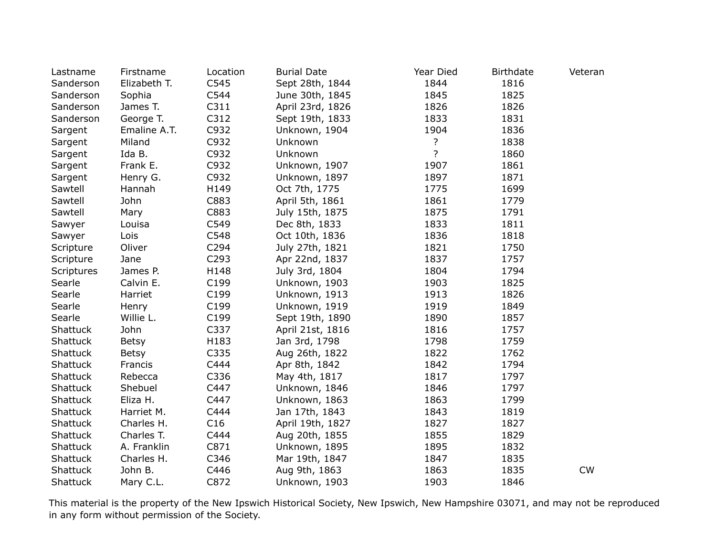| Lastname          | Firstname    | Location | <b>Burial Date</b> | Year Died      | <b>Birthdate</b> | Veteran |
|-------------------|--------------|----------|--------------------|----------------|------------------|---------|
| Sanderson         | Elizabeth T. | C545     | Sept 28th, 1844    | 1844           | 1816             |         |
| Sanderson         | Sophia       | C544     | June 30th, 1845    | 1845           | 1825             |         |
| Sanderson         | James T.     | C311     | April 23rd, 1826   | 1826           | 1826             |         |
| Sanderson         | George T.    | C312     | Sept 19th, 1833    | 1833           | 1831             |         |
| Sargent           | Emaline A.T. | C932     | Unknown, 1904      | 1904           | 1836             |         |
| Sargent           | Miland       | C932     | Unknown            | ?              | 1838             |         |
| Sargent           | Ida B.       | C932     | Unknown            | $\overline{?}$ | 1860             |         |
| Sargent           | Frank E.     | C932     | Unknown, 1907      | 1907           | 1861             |         |
| Sargent           | Henry G.     | C932     | Unknown, 1897      | 1897           | 1871             |         |
| Sawtell           | Hannah       | H149     | Oct 7th, 1775      | 1775           | 1699             |         |
| Sawtell           | John         | C883     | April 5th, 1861    | 1861           | 1779             |         |
| Sawtell           | Mary         | C883     | July 15th, 1875    | 1875           | 1791             |         |
| Sawyer            | Louisa       | C549     | Dec 8th, 1833      | 1833           | 1811             |         |
| Sawyer            | Lois         | C548     | Oct 10th, 1836     | 1836           | 1818             |         |
| Scripture         | Oliver       | C294     | July 27th, 1821    | 1821           | 1750             |         |
| Scripture         | Jane         | C293     | Apr 22nd, 1837     | 1837           | 1757             |         |
| <b>Scriptures</b> | James P.     | H148     | July 3rd, 1804     | 1804           | 1794             |         |
| Searle            | Calvin E.    | C199     | Unknown, 1903      | 1903           | 1825             |         |
| Searle            | Harriet      | C199     | Unknown, 1913      | 1913           | 1826             |         |
| Searle            | Henry        | C199     | Unknown, 1919      | 1919           | 1849             |         |
| Searle            | Willie L.    | C199     | Sept 19th, 1890    | 1890           | 1857             |         |
| Shattuck          | John         | C337     | April 21st, 1816   | 1816           | 1757             |         |
| Shattuck          | <b>Betsy</b> | H183     | Jan 3rd, 1798      | 1798           | 1759             |         |
| Shattuck          | <b>Betsy</b> | C335     | Aug 26th, 1822     | 1822           | 1762             |         |
| Shattuck          | Francis      | C444     | Apr 8th, 1842      | 1842           | 1794             |         |
| Shattuck          | Rebecca      | C336     | May 4th, 1817      | 1817           | 1797             |         |
| Shattuck          | Shebuel      | C447     | Unknown, 1846      | 1846           | 1797             |         |
| Shattuck          | Eliza H.     | C447     | Unknown, 1863      | 1863           | 1799             |         |
| <b>Shattuck</b>   | Harriet M.   | C444     | Jan 17th, 1843     | 1843           | 1819             |         |
| Shattuck          | Charles H.   | C16      | April 19th, 1827   | 1827           | 1827             |         |
| Shattuck          | Charles T.   | C444     | Aug 20th, 1855     | 1855           | 1829             |         |
| Shattuck          | A. Franklin  | C871     | Unknown, 1895      | 1895           | 1832             |         |
| Shattuck          | Charles H.   | C346     | Mar 19th, 1847     | 1847           | 1835             |         |
| Shattuck          | John B.      | C446     | Aug 9th, 1863      | 1863           | 1835             | CW      |
| Shattuck          | Mary C.L.    | C872     | Unknown, 1903      | 1903           | 1846             |         |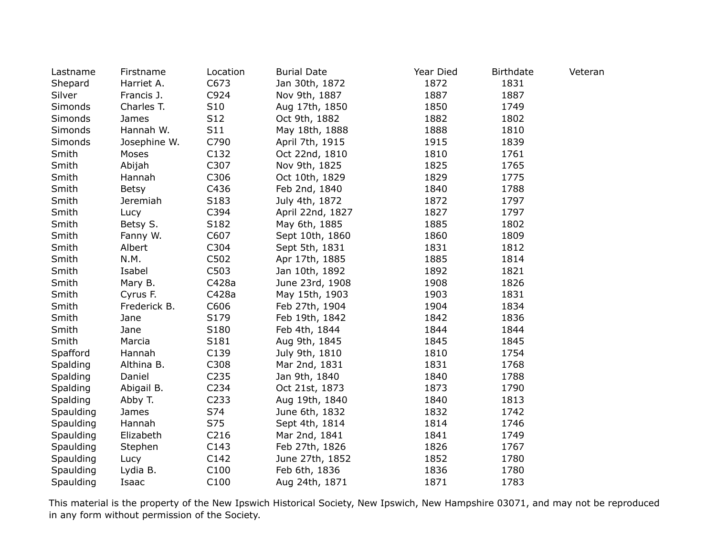| Lastname  | Firstname    | Location         | <b>Burial Date</b> | Year Died | <b>Birthdate</b> | Veteran |
|-----------|--------------|------------------|--------------------|-----------|------------------|---------|
| Shepard   | Harriet A.   | C673             | Jan 30th, 1872     | 1872      | 1831             |         |
| Silver    | Francis J.   | C924             | Nov 9th, 1887      | 1887      | 1887             |         |
| Simonds   | Charles T.   | S10              | Aug 17th, 1850     | 1850      | 1749             |         |
| Simonds   | James        | S12              | Oct 9th, 1882      | 1882      | 1802             |         |
| Simonds   | Hannah W.    | S11              | May 18th, 1888     | 1888      | 1810             |         |
| Simonds   | Josephine W. | C790             | April 7th, 1915    | 1915      | 1839             |         |
| Smith     | Moses        | C132             | Oct 22nd, 1810     | 1810      | 1761             |         |
| Smith     | Abijah       | C307             | Nov 9th, 1825      | 1825      | 1765             |         |
| Smith     | Hannah       | C306             | Oct 10th, 1829     | 1829      | 1775             |         |
| Smith     | Betsy        | C436             | Feb 2nd, 1840      | 1840      | 1788             |         |
| Smith     | Jeremiah     | S183             | July 4th, 1872     | 1872      | 1797             |         |
| Smith     | Lucy         | C394             | April 22nd, 1827   | 1827      | 1797             |         |
| Smith     | Betsy S.     | S182             | May 6th, 1885      | 1885      | 1802             |         |
| Smith     | Fanny W.     | C607             | Sept 10th, 1860    | 1860      | 1809             |         |
| Smith     | Albert       | C304             | Sept 5th, 1831     | 1831      | 1812             |         |
| Smith     | N.M.         | C502             | Apr 17th, 1885     | 1885      | 1814             |         |
| Smith     | Isabel       | C503             | Jan 10th, 1892     | 1892      | 1821             |         |
| Smith     | Mary B.      | C428a            | June 23rd, 1908    | 1908      | 1826             |         |
| Smith     | Cyrus F.     | C428a            | May 15th, 1903     | 1903      | 1831             |         |
| Smith     | Frederick B. | C606             | Feb 27th, 1904     | 1904      | 1834             |         |
| Smith     | Jane         | S179             | Feb 19th, 1842     | 1842      | 1836             |         |
| Smith     | Jane         | S180             | Feb 4th, 1844      | 1844      | 1844             |         |
| Smith     | Marcia       | S181             | Aug 9th, 1845      | 1845      | 1845             |         |
| Spafford  | Hannah       | C139             | July 9th, 1810     | 1810      | 1754             |         |
| Spalding  | Althina B.   | C308             | Mar 2nd, 1831      | 1831      | 1768             |         |
| Spalding  | Daniel       | C <sub>235</sub> | Jan 9th, 1840      | 1840      | 1788             |         |
| Spalding  | Abigail B.   | C234             | Oct 21st, 1873     | 1873      | 1790             |         |
| Spalding  | Abby T.      | C <sub>233</sub> | Aug 19th, 1840     | 1840      | 1813             |         |
| Spaulding | James        | S74              | June 6th, 1832     | 1832      | 1742             |         |
| Spaulding | Hannah       | S75              | Sept 4th, 1814     | 1814      | 1746             |         |
| Spaulding | Elizabeth    | C216             | Mar 2nd, 1841      | 1841      | 1749             |         |
| Spaulding | Stephen      | C143             | Feb 27th, 1826     | 1826      | 1767             |         |
| Spaulding | Lucy         | C142             | June 27th, 1852    | 1852      | 1780             |         |
| Spaulding | Lydia B.     | C100             | Feb 6th, 1836      | 1836      | 1780             |         |
| Spaulding | Isaac        | C100             | Aug 24th, 1871     | 1871      | 1783             |         |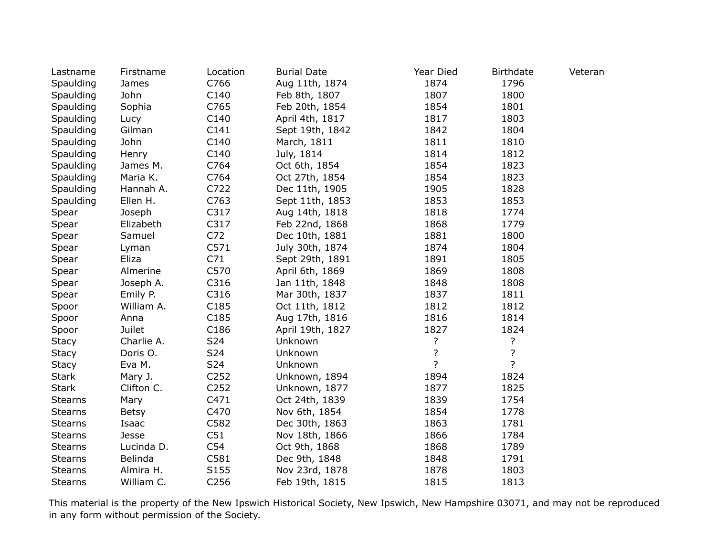| Lastname       | Firstname    | Location          | <b>Burial Date</b> | Year Died      | <b>Birthdate</b> | Veteran |
|----------------|--------------|-------------------|--------------------|----------------|------------------|---------|
| Spaulding      | James        | C766              | Aug 11th, 1874     | 1874           | 1796             |         |
| Spaulding      | John         | C140              | Feb 8th, 1807      | 1807           | 1800             |         |
| Spaulding      | Sophia       | C765              | Feb 20th, 1854     | 1854           | 1801             |         |
| Spaulding      | Lucy         | C140              | April 4th, 1817    | 1817           | 1803             |         |
| Spaulding      | Gilman       | C141              | Sept 19th, 1842    | 1842           | 1804             |         |
| Spaulding      | John         | C140              | March, 1811        | 1811           | 1810             |         |
| Spaulding      | Henry        | C140              | July, 1814         | 1814           | 1812             |         |
| Spaulding      | James M.     | C764              | Oct 6th, 1854      | 1854           | 1823             |         |
| Spaulding      | Maria K.     | C764              | Oct 27th, 1854     | 1854           | 1823             |         |
| Spaulding      | Hannah A.    | C722              | Dec 11th, 1905     | 1905           | 1828             |         |
| Spaulding      | Ellen H.     | C763              | Sept 11th, 1853    | 1853           | 1853             |         |
| Spear          | Joseph       | C317              | Aug 14th, 1818     | 1818           | 1774             |         |
| Spear          | Elizabeth    | C317              | Feb 22nd, 1868     | 1868           | 1779             |         |
| Spear          | Samuel       | C72               | Dec 10th, 1881     | 1881           | 1800             |         |
| Spear          | Lyman        | C571              | July 30th, 1874    | 1874           | 1804             |         |
| Spear          | Eliza        | C71               | Sept 29th, 1891    | 1891           | 1805             |         |
| Spear          | Almerine     | C570              | April 6th, 1869    | 1869           | 1808             |         |
| Spear          | Joseph A.    | C316              | Jan 11th, 1848     | 1848           | 1808             |         |
| Spear          | Emily P.     | C316              | Mar 30th, 1837     | 1837           | 1811             |         |
| Spoor          | William A.   | C185              | Oct 11th, 1812     | 1812           | 1812             |         |
| Spoor          | Anna         | C <sub>1</sub> 85 | Aug 17th, 1816     | 1816           | 1814             |         |
| Spoor          | Juilet       | C186              | April 19th, 1827   | 1827           | 1824             |         |
| <b>Stacy</b>   | Charlie A.   | S24               | Unknown            | $\overline{?}$ | ?                |         |
| <b>Stacy</b>   | Doris O.     | S24               | Unknown            | ?              | ?                |         |
| <b>Stacy</b>   | Eva M.       | S24               | Unknown            | $\overline{?}$ | $\overline{?}$   |         |
| <b>Stark</b>   | Mary J.      | C <sub>252</sub>  | Unknown, 1894      | 1894           | 1824             |         |
| <b>Stark</b>   | Clifton C.   | C <sub>252</sub>  | Unknown, 1877      | 1877           | 1825             |         |
| <b>Stearns</b> | Mary         | C471              | Oct 24th, 1839     | 1839           | 1754             |         |
| <b>Stearns</b> | <b>Betsy</b> | C470              | Nov 6th, 1854      | 1854           | 1778             |         |
| <b>Stearns</b> | Isaac        | C582              | Dec 30th, 1863     | 1863           | 1781             |         |
| <b>Stearns</b> | Jesse        | C51               | Nov 18th, 1866     | 1866           | 1784             |         |
| <b>Stearns</b> | Lucinda D.   | C54               | Oct 9th, 1868      | 1868           | 1789             |         |
| <b>Stearns</b> | Belinda      | C581              | Dec 9th, 1848      | 1848           | 1791             |         |
| <b>Stearns</b> | Almira H.    | S <sub>155</sub>  | Nov 23rd, 1878     | 1878           | 1803             |         |
| <b>Stearns</b> | William C.   | C256              | Feb 19th, 1815     | 1815           | 1813             |         |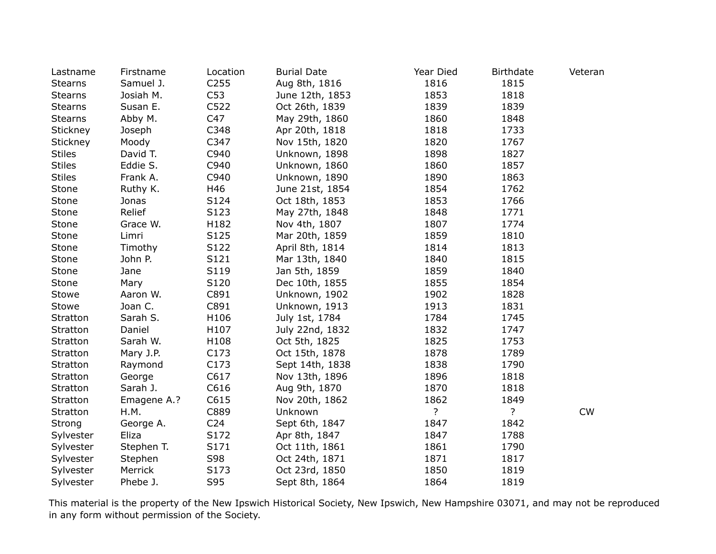| Lastname       | Firstname   | Location        | <b>Burial Date</b> | Year Died      | <b>Birthdate</b> | Veteran |
|----------------|-------------|-----------------|--------------------|----------------|------------------|---------|
| <b>Stearns</b> | Samuel J.   | C255            | Aug 8th, 1816      | 1816           | 1815             |         |
| <b>Stearns</b> | Josiah M.   | C53             | June 12th, 1853    | 1853           | 1818             |         |
| <b>Stearns</b> | Susan E.    | C522            | Oct 26th, 1839     | 1839           | 1839             |         |
| <b>Stearns</b> | Abby M.     | C47             | May 29th, 1860     | 1860           | 1848             |         |
| Stickney       | Joseph      | C348            | Apr 20th, 1818     | 1818           | 1733             |         |
| Stickney       | Moody       | C347            | Nov 15th, 1820     | 1820           | 1767             |         |
| <b>Stiles</b>  | David T.    | C940            | Unknown, 1898      | 1898           | 1827             |         |
| <b>Stiles</b>  | Eddie S.    | C940            | Unknown, 1860      | 1860           | 1857             |         |
| <b>Stiles</b>  | Frank A.    | C940            | Unknown, 1890      | 1890           | 1863             |         |
| Stone          | Ruthy K.    | H46             | June 21st, 1854    | 1854           | 1762             |         |
| Stone          | Jonas       | S124            | Oct 18th, 1853     | 1853           | 1766             |         |
| Stone          | Relief      | S123            | May 27th, 1848     | 1848           | 1771             |         |
| Stone          | Grace W.    | H182            | Nov 4th, 1807      | 1807           | 1774             |         |
| Stone          | Limri       | S125            | Mar 20th, 1859     | 1859           | 1810             |         |
| Stone          | Timothy     | S122            | April 8th, 1814    | 1814           | 1813             |         |
| Stone          | John P.     | S121            | Mar 13th, 1840     | 1840           | 1815             |         |
| Stone          | Jane        | S119            | Jan 5th, 1859      | 1859           | 1840             |         |
| Stone          | Mary        | S120            | Dec 10th, 1855     | 1855           | 1854             |         |
| Stowe          | Aaron W.    | C891            | Unknown, 1902      | 1902           | 1828             |         |
| Stowe          | Joan C.     | C891            | Unknown, 1913      | 1913           | 1831             |         |
| Stratton       | Sarah S.    | H106            | July 1st, 1784     | 1784           | 1745             |         |
| Stratton       | Daniel      | H107            | July 22nd, 1832    | 1832           | 1747             |         |
| Stratton       | Sarah W.    | H108            | Oct 5th, 1825      | 1825           | 1753             |         |
| Stratton       | Mary J.P.   | C173            | Oct 15th, 1878     | 1878           | 1789             |         |
| Stratton       | Raymond     | C173            | Sept 14th, 1838    | 1838           | 1790             |         |
| Stratton       | George      | C617            | Nov 13th, 1896     | 1896           | 1818             |         |
| Stratton       | Sarah J.    | C616            | Aug 9th, 1870      | 1870           | 1818             |         |
| Stratton       | Emagene A.? | C615            | Nov 20th, 1862     | 1862           | 1849             |         |
| Stratton       | H.M.        | C889            | Unknown            | $\overline{?}$ | $\overline{?}$   | CW      |
| Strong         | George A.   | C <sub>24</sub> | Sept 6th, 1847     | 1847           | 1842             |         |
| Sylvester      | Eliza       | S172            | Apr 8th, 1847      | 1847           | 1788             |         |
| Sylvester      | Stephen T.  | S171            | Oct 11th, 1861     | 1861           | 1790             |         |
| Sylvester      | Stephen     | S98             | Oct 24th, 1871     | 1871           | 1817             |         |
| Sylvester      | Merrick     | S173            | Oct 23rd, 1850     | 1850           | 1819             |         |
| Sylvester      | Phebe J.    | S95             | Sept 8th, 1864     | 1864           | 1819             |         |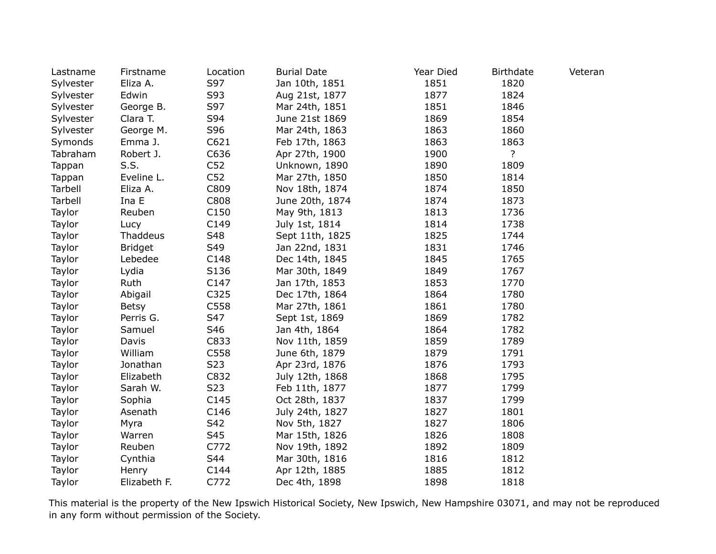| Lastname  | Firstname      | Location         | <b>Burial Date</b> | Year Died | <b>Birthdate</b> | Veteran |
|-----------|----------------|------------------|--------------------|-----------|------------------|---------|
| Sylvester | Eliza A.       | S97              | Jan 10th, 1851     | 1851      | 1820             |         |
| Sylvester | Edwin          | S93              | Aug 21st, 1877     | 1877      | 1824             |         |
| Sylvester | George B.      | S97              | Mar 24th, 1851     | 1851      | 1846             |         |
| Sylvester | Clara T.       | S94              | June 21st 1869     | 1869      | 1854             |         |
| Sylvester | George M.      | S96              | Mar 24th, 1863     | 1863      | 1860             |         |
| Symonds   | Emma J.        | C621             | Feb 17th, 1863     | 1863      | 1863             |         |
| Tabraham  | Robert J.      | C636             | Apr 27th, 1900     | 1900      | $\overline{?}$   |         |
| Tappan    | S.S.           | C <sub>52</sub>  | Unknown, 1890      | 1890      | 1809             |         |
| Tappan    | Eveline L.     | C <sub>52</sub>  | Mar 27th, 1850     | 1850      | 1814             |         |
| Tarbell   | Eliza A.       | C809             | Nov 18th, 1874     | 1874      | 1850             |         |
| Tarbell   | Ina E          | C808             | June 20th, 1874    | 1874      | 1873             |         |
| Taylor    | Reuben         | C <sub>150</sub> | May 9th, 1813      | 1813      | 1736             |         |
| Taylor    | Lucy           | C149             | July 1st, 1814     | 1814      | 1738             |         |
| Taylor    | Thaddeus       | S48              | Sept 11th, 1825    | 1825      | 1744             |         |
| Taylor    | <b>Bridget</b> | S49              | Jan 22nd, 1831     | 1831      | 1746             |         |
| Taylor    | Lebedee        | C148             | Dec 14th, 1845     | 1845      | 1765             |         |
| Taylor    | Lydia          | S136             | Mar 30th, 1849     | 1849      | 1767             |         |
| Taylor    | Ruth           | C147             | Jan 17th, 1853     | 1853      | 1770             |         |
| Taylor    | Abigail        | C325             | Dec 17th, 1864     | 1864      | 1780             |         |
| Taylor    | <b>Betsy</b>   | C558             | Mar 27th, 1861     | 1861      | 1780             |         |
| Taylor    | Perris G.      | S47              | Sept 1st, 1869     | 1869      | 1782             |         |
| Taylor    | Samuel         | S46              | Jan 4th, 1864      | 1864      | 1782             |         |
| Taylor    | Davis          | C833             | Nov 11th, 1859     | 1859      | 1789             |         |
| Taylor    | William        | C558             | June 6th, 1879     | 1879      | 1791             |         |
| Taylor    | Jonathan       | S <sub>2</sub> 3 | Apr 23rd, 1876     | 1876      | 1793             |         |
| Taylor    | Elizabeth      | C832             | July 12th, 1868    | 1868      | 1795             |         |
| Taylor    | Sarah W.       | S23              | Feb 11th, 1877     | 1877      | 1799             |         |
| Taylor    | Sophia         | C145             | Oct 28th, 1837     | 1837      | 1799             |         |
| Taylor    | Asenath        | C146             | July 24th, 1827    | 1827      | 1801             |         |
| Taylor    | Myra           | S42              | Nov 5th, 1827      | 1827      | 1806             |         |
| Taylor    | Warren         | S45              | Mar 15th, 1826     | 1826      | 1808             |         |
| Taylor    | Reuben         | C772             | Nov 19th, 1892     | 1892      | 1809             |         |
| Taylor    | Cynthia        | S44              | Mar 30th, 1816     | 1816      | 1812             |         |
| Taylor    | Henry          | C144             | Apr 12th, 1885     | 1885      | 1812             |         |
| Taylor    | Elizabeth F.   | C772             | Dec 4th, 1898      | 1898      | 1818             |         |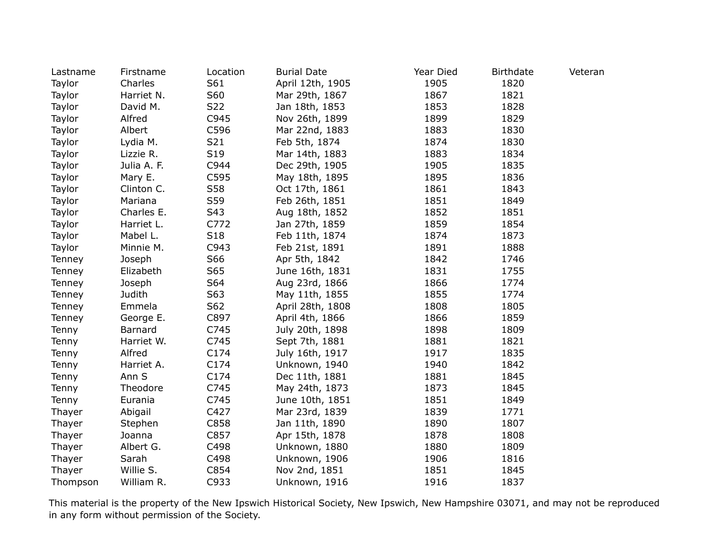| Lastname | Firstname        | Location | <b>Burial Date</b> | Year Died | <b>Birthdate</b> | Veteran |
|----------|------------------|----------|--------------------|-----------|------------------|---------|
| Taylor   | Charles          | S61      | April 12th, 1905   | 1905      | 1820             |         |
| Taylor   | Harriet N.       | S60      | Mar 29th, 1867     | 1867      | 1821             |         |
| Taylor   | David M.         | S22      | Jan 18th, 1853     | 1853      | 1828             |         |
| Taylor   | Alfred           | C945     | Nov 26th, 1899     | 1899      | 1829             |         |
| Taylor   | Albert           | C596     | Mar 22nd, 1883     | 1883      | 1830             |         |
| Taylor   | Lydia M.         | S21      | Feb 5th, 1874      | 1874      | 1830             |         |
| Taylor   | Lizzie R.        | S19      | Mar 14th, 1883     | 1883      | 1834             |         |
| Taylor   | Julia A. F.      | C944     | Dec 29th, 1905     | 1905      | 1835             |         |
| Taylor   | Mary E.          | C595     | May 18th, 1895     | 1895      | 1836             |         |
| Taylor   | Clinton C.       | S58      | Oct 17th, 1861     | 1861      | 1843             |         |
| Taylor   | Mariana          | S59      | Feb 26th, 1851     | 1851      | 1849             |         |
| Taylor   | Charles E.       | S43      | Aug 18th, 1852     | 1852      | 1851             |         |
| Taylor   | Harriet L.       | C772     | Jan 27th, 1859     | 1859      | 1854             |         |
| Taylor   | Mabel L.         | S18      | Feb 11th, 1874     | 1874      | 1873             |         |
| Taylor   | Minnie M.        | C943     | Feb 21st, 1891     | 1891      | 1888             |         |
| Tenney   | Joseph           | S66      | Apr 5th, 1842      | 1842      | 1746             |         |
| Tenney   | Elizabeth        | S65      | June 16th, 1831    | 1831      | 1755             |         |
| Tenney   | Joseph           | S64      | Aug 23rd, 1866     | 1866      | 1774             |         |
| Tenney   | Judith           | S63      | May 11th, 1855     | 1855      | 1774             |         |
| Tenney   | Emmela           | S62      | April 28th, 1808   | 1808      | 1805             |         |
| Tenney   | George E.        | C897     | April 4th, 1866    | 1866      | 1859             |         |
| Tenny    | Barnard          | C745     | July 20th, 1898    | 1898      | 1809             |         |
| Tenny    | Harriet W.       | C745     | Sept 7th, 1881     | 1881      | 1821             |         |
| Tenny    | Alfred           | C174     | July 16th, 1917    | 1917      | 1835             |         |
| Tenny    | Harriet A.       | C174     | Unknown, 1940      | 1940      | 1842             |         |
| Tenny    | Ann <sub>S</sub> | C174     | Dec 11th, 1881     | 1881      | 1845             |         |
| Tenny    | Theodore         | C745     | May 24th, 1873     | 1873      | 1845             |         |
| Tenny    | Eurania          | C745     | June 10th, 1851    | 1851      | 1849             |         |
| Thayer   | Abigail          | C427     | Mar 23rd, 1839     | 1839      | 1771             |         |
| Thayer   | Stephen          | C858     | Jan 11th, 1890     | 1890      | 1807             |         |
| Thayer   | Joanna           | C857     | Apr 15th, 1878     | 1878      | 1808             |         |
| Thayer   | Albert G.        | C498     | Unknown, 1880      | 1880      | 1809             |         |
| Thayer   | Sarah            | C498     | Unknown, 1906      | 1906      | 1816             |         |
| Thayer   | Willie S.        | C854     | Nov 2nd, 1851      | 1851      | 1845             |         |
| Thompson | William R.       | C933     | Unknown, 1916      | 1916      | 1837             |         |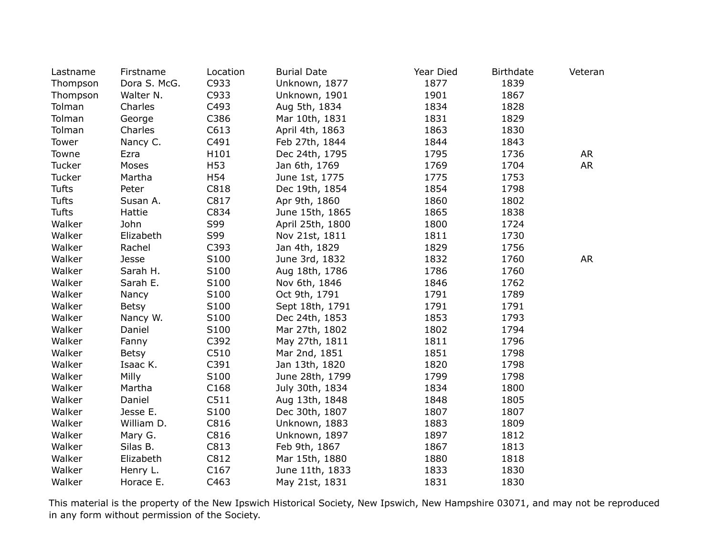| Lastname     | Firstname    | Location | <b>Burial Date</b> | Year Died | <b>Birthdate</b> | Veteran   |
|--------------|--------------|----------|--------------------|-----------|------------------|-----------|
| Thompson     | Dora S. McG. | C933     | Unknown, 1877      | 1877      | 1839             |           |
| Thompson     | Walter N.    | C933     | Unknown, 1901      | 1901      | 1867             |           |
| Tolman       | Charles      | C493     | Aug 5th, 1834      | 1834      | 1828             |           |
| Tolman       | George       | C386     | Mar 10th, 1831     | 1831      | 1829             |           |
| Tolman       | Charles      | C613     | April 4th, 1863    | 1863      | 1830             |           |
| Tower        | Nancy C.     | C491     | Feb 27th, 1844     | 1844      | 1843             |           |
| Towne        | Ezra         | H101     | Dec 24th, 1795     | 1795      | 1736             | <b>AR</b> |
| Tucker       | Moses        | H53      | Jan 6th, 1769      | 1769      | 1704             | <b>AR</b> |
| Tucker       | Martha       | H54      | June 1st, 1775     | 1775      | 1753             |           |
| <b>Tufts</b> | Peter        | C818     | Dec 19th, 1854     | 1854      | 1798             |           |
| <b>Tufts</b> | Susan A.     | C817     | Apr 9th, 1860      | 1860      | 1802             |           |
| Tufts        | Hattie       | C834     | June 15th, 1865    | 1865      | 1838             |           |
| Walker       | John         | S99      | April 25th, 1800   | 1800      | 1724             |           |
| Walker       | Elizabeth    | S99      | Nov 21st, 1811     | 1811      | 1730             |           |
| Walker       | Rachel       | C393     | Jan 4th, 1829      | 1829      | 1756             |           |
| Walker       | Jesse        | S100     | June 3rd, 1832     | 1832      | 1760             | <b>AR</b> |
| Walker       | Sarah H.     | S100     | Aug 18th, 1786     | 1786      | 1760             |           |
| Walker       | Sarah E.     | S100     | Nov 6th, 1846      | 1846      | 1762             |           |
| Walker       | Nancy        | S100     | Oct 9th, 1791      | 1791      | 1789             |           |
| Walker       | <b>Betsy</b> | S100     | Sept 18th, 1791    | 1791      | 1791             |           |
| Walker       | Nancy W.     | S100     | Dec 24th, 1853     | 1853      | 1793             |           |
| Walker       | Daniel       | S100     | Mar 27th, 1802     | 1802      | 1794             |           |
| Walker       | Fanny        | C392     | May 27th, 1811     | 1811      | 1796             |           |
| Walker       | <b>Betsy</b> | C510     | Mar 2nd, 1851      | 1851      | 1798             |           |
| Walker       | Isaac K.     | C391     | Jan 13th, 1820     | 1820      | 1798             |           |
| Walker       | Milly        | S100     | June 28th, 1799    | 1799      | 1798             |           |
| Walker       | Martha       | C168     | July 30th, 1834    | 1834      | 1800             |           |
| Walker       | Daniel       | C511     | Aug 13th, 1848     | 1848      | 1805             |           |
| Walker       | Jesse E.     | S100     | Dec 30th, 1807     | 1807      | 1807             |           |
| Walker       | William D.   | C816     | Unknown, 1883      | 1883      | 1809             |           |
| Walker       | Mary G.      | C816     | Unknown, 1897      | 1897      | 1812             |           |
| Walker       | Silas B.     | C813     | Feb 9th, 1867      | 1867      | 1813             |           |
| Walker       | Elizabeth    | C812     | Mar 15th, 1880     | 1880      | 1818             |           |
| Walker       | Henry L.     | C167     | June 11th, 1833    | 1833      | 1830             |           |
| Walker       | Horace E.    | C463     | May 21st, 1831     | 1831      | 1830             |           |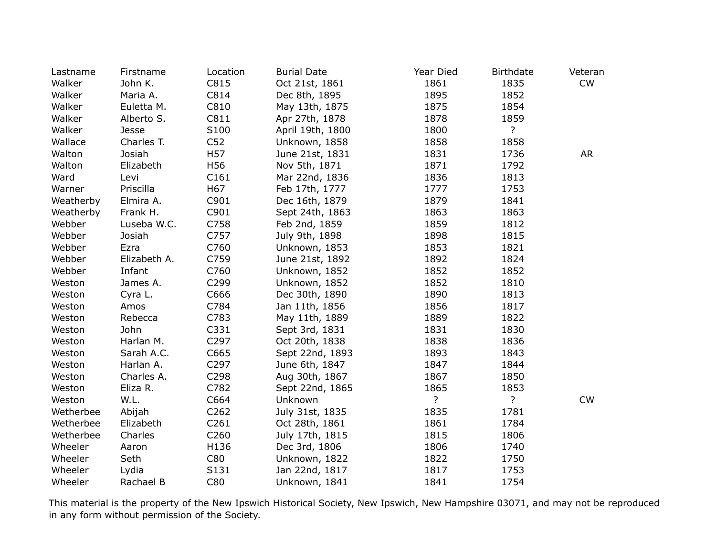| Lastname  | Firstname    | Location         | <b>Burial Date</b> | Year Died      | <b>Birthdate</b> | Veteran   |
|-----------|--------------|------------------|--------------------|----------------|------------------|-----------|
| Walker    | John K.      | C815             | Oct 21st, 1861     | 1861           | 1835             | CW        |
| Walker    | Maria A.     | C814             | Dec 8th, 1895      | 1895           | 1852             |           |
| Walker    | Euletta M.   | C810             | May 13th, 1875     | 1875           | 1854             |           |
| Walker    | Alberto S.   | C811             | Apr 27th, 1878     | 1878           | 1859             |           |
| Walker    | Jesse        | S100             | April 19th, 1800   | 1800           | $\overline{?}$   |           |
| Wallace   | Charles T.   | C <sub>52</sub>  | Unknown, 1858      | 1858           | 1858             |           |
| Walton    | Josiah       | H <sub>57</sub>  | June 21st, 1831    | 1831           | 1736             | <b>AR</b> |
| Walton    | Elizabeth    | H56              | Nov 5th, 1871      | 1871           | 1792             |           |
| Ward      | Levi         | C161             | Mar 22nd, 1836     | 1836           | 1813             |           |
| Warner    | Priscilla    | H67              | Feb 17th, 1777     | 1777           | 1753             |           |
| Weatherby | Elmira A.    | C901             | Dec 16th, 1879     | 1879           | 1841             |           |
| Weatherby | Frank H.     | C901             | Sept 24th, 1863    | 1863           | 1863             |           |
| Webber    | Luseba W.C.  | C758             | Feb 2nd, 1859      | 1859           | 1812             |           |
| Webber    | Josiah       | C757             | July 9th, 1898     | 1898           | 1815             |           |
| Webber    | Ezra         | C760             | Unknown, 1853      | 1853           | 1821             |           |
| Webber    | Elizabeth A. | C759             | June 21st, 1892    | 1892           | 1824             |           |
| Webber    | Infant       | C760             | Unknown, 1852      | 1852           | 1852             |           |
| Weston    | James A.     | C299             | Unknown, 1852      | 1852           | 1810             |           |
| Weston    | Cyra L.      | C666             | Dec 30th, 1890     | 1890           | 1813             |           |
| Weston    | Amos         | C784             | Jan 11th, 1856     | 1856           | 1817             |           |
| Weston    | Rebecca      | C783             | May 11th, 1889     | 1889           | 1822             |           |
| Weston    | John         | C331             | Sept 3rd, 1831     | 1831           | 1830             |           |
| Weston    | Harlan M.    | C297             | Oct 20th, 1838     | 1838           | 1836             |           |
| Weston    | Sarah A.C.   | C665             | Sept 22nd, 1893    | 1893           | 1843             |           |
| Weston    | Harlan A.    | C297             | June 6th, 1847     | 1847           | 1844             |           |
| Weston    | Charles A.   | C298             | Aug 30th, 1867     | 1867           | 1850             |           |
| Weston    | Eliza R.     | C782             | Sept 22nd, 1865    | 1865           | 1853             |           |
| Weston    | W.L.         | C664             | Unknown            | $\overline{?}$ | $\overline{?}$   | <b>CW</b> |
| Wetherbee | Abijah       | C262             | July 31st, 1835    | 1835           | 1781             |           |
| Wetherbee | Elizabeth    | C <sub>261</sub> | Oct 28th, 1861     | 1861           | 1784             |           |
| Wetherbee | Charles      | C260             | July 17th, 1815    | 1815           | 1806             |           |
| Wheeler   | Aaron        | H136             | Dec 3rd, 1806      | 1806           | 1740             |           |
| Wheeler   | Seth         | C80              | Unknown, 1822      | 1822           | 1750             |           |
| Wheeler   | Lydia        | S131             | Jan 22nd, 1817     | 1817           | 1753             |           |
| Wheeler   | Rachael B    | C80              | Unknown, 1841      | 1841           | 1754             |           |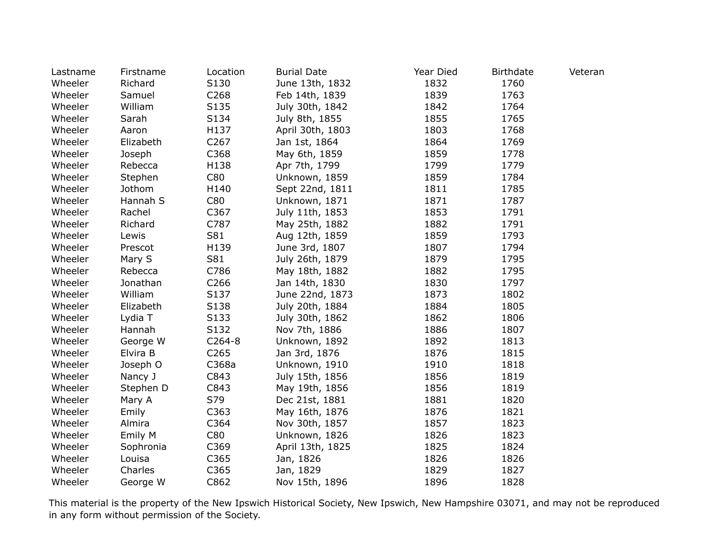| Lastname | Firstname | Location         | <b>Burial Date</b> | Year Died | <b>Birthdate</b> | Veteran |
|----------|-----------|------------------|--------------------|-----------|------------------|---------|
| Wheeler  | Richard   | S130             | June 13th, 1832    | 1832      | 1760             |         |
| Wheeler  | Samuel    | C <sub>268</sub> | Feb 14th, 1839     | 1839      | 1763             |         |
| Wheeler  | William   | S135             | July 30th, 1842    | 1842      | 1764             |         |
| Wheeler  | Sarah     | S134             | July 8th, 1855     | 1855      | 1765             |         |
| Wheeler  | Aaron     | H137             | April 30th, 1803   | 1803      | 1768             |         |
| Wheeler  | Elizabeth | C <sub>267</sub> | Jan 1st, 1864      | 1864      | 1769             |         |
| Wheeler  | Joseph    | C368             | May 6th, 1859      | 1859      | 1778             |         |
| Wheeler  | Rebecca   | H138             | Apr 7th, 1799      | 1799      | 1779             |         |
| Wheeler  | Stephen   | C80              | Unknown, 1859      | 1859      | 1784             |         |
| Wheeler  | Jothom    | H140             | Sept 22nd, 1811    | 1811      | 1785             |         |
| Wheeler  | Hannah S  | C80              | Unknown, 1871      | 1871      | 1787             |         |
| Wheeler  | Rachel    | C367             | July 11th, 1853    | 1853      | 1791             |         |
| Wheeler  | Richard   | C787             | May 25th, 1882     | 1882      | 1791             |         |
| Wheeler  | Lewis     | S81              | Aug 12th, 1859     | 1859      | 1793             |         |
| Wheeler  | Prescot   | H139             | June 3rd, 1807     | 1807      | 1794             |         |
| Wheeler  | Mary S    | S81              | July 26th, 1879    | 1879      | 1795             |         |
| Wheeler  | Rebecca   | C786             | May 18th, 1882     | 1882      | 1795             |         |
| Wheeler  | Jonathan  | C <sub>266</sub> | Jan 14th, 1830     | 1830      | 1797             |         |
| Wheeler  | William   | S137             | June 22nd, 1873    | 1873      | 1802             |         |
| Wheeler  | Elizabeth | S138             | July 20th, 1884    | 1884      | 1805             |         |
| Wheeler  | Lydia T   | S133             | July 30th, 1862    | 1862      | 1806             |         |
| Wheeler  | Hannah    | S132             | Nov 7th, 1886      | 1886      | 1807             |         |
| Wheeler  | George W  | $C264-8$         | Unknown, 1892      | 1892      | 1813             |         |
| Wheeler  | Elvira B  | C265             | Jan 3rd, 1876      | 1876      | 1815             |         |
| Wheeler  | Joseph O  | C368a            | Unknown, 1910      | 1910      | 1818             |         |
| Wheeler  | Nancy J   | C843             | July 15th, 1856    | 1856      | 1819             |         |
| Wheeler  | Stephen D | C843             | May 19th, 1856     | 1856      | 1819             |         |
| Wheeler  | Mary A    | S79              | Dec 21st, 1881     | 1881      | 1820             |         |
| Wheeler  | Emily     | C363             | May 16th, 1876     | 1876      | 1821             |         |
| Wheeler  | Almira    | C364             | Nov 30th, 1857     | 1857      | 1823             |         |
| Wheeler  | Emily M   | C80              | Unknown, 1826      | 1826      | 1823             |         |
| Wheeler  | Sophronia | C369             | April 13th, 1825   | 1825      | 1824             |         |
| Wheeler  | Louisa    | C365             | Jan, 1826          | 1826      | 1826             |         |
| Wheeler  | Charles   | C365             | Jan, 1829          | 1829      | 1827             |         |
| Wheeler  | George W  | C862             | Nov 15th, 1896     | 1896      | 1828             |         |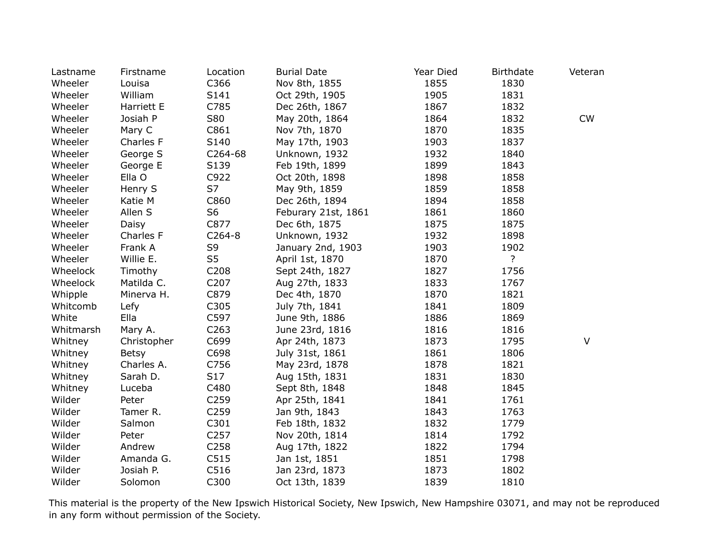| Lastname  | Firstname    | Location         | <b>Burial Date</b>  | Year Died | <b>Birthdate</b> | Veteran   |
|-----------|--------------|------------------|---------------------|-----------|------------------|-----------|
| Wheeler   | Louisa       | C366             | Nov 8th, 1855       | 1855      | 1830             |           |
| Wheeler   | William      | S141             | Oct 29th, 1905      | 1905      | 1831             |           |
| Wheeler   | Harriett E   | C785             | Dec 26th, 1867      | 1867      | 1832             |           |
| Wheeler   | Josiah P     | S80              | May 20th, 1864      | 1864      | 1832             | <b>CW</b> |
| Wheeler   | Mary C       | C861             | Nov 7th, 1870       | 1870      | 1835             |           |
| Wheeler   | Charles F    | S140             | May 17th, 1903      | 1903      | 1837             |           |
| Wheeler   | George S     | C264-68          | Unknown, 1932       | 1932      | 1840             |           |
| Wheeler   | George E     | S139             | Feb 19th, 1899      | 1899      | 1843             |           |
| Wheeler   | Ella O       | C922             | Oct 20th, 1898      | 1898      | 1858             |           |
| Wheeler   | Henry S      | S7               | May 9th, 1859       | 1859      | 1858             |           |
| Wheeler   | Katie M      | C860             | Dec 26th, 1894      | 1894      | 1858             |           |
| Wheeler   | Allen S      | S <sub>6</sub>   | Feburary 21st, 1861 | 1861      | 1860             |           |
| Wheeler   | Daisy        | C877             | Dec 6th, 1875       | 1875      | 1875             |           |
| Wheeler   | Charles F    | $C264-8$         | Unknown, 1932       | 1932      | 1898             |           |
| Wheeler   | Frank A      | S9               | January 2nd, 1903   | 1903      | 1902             |           |
| Wheeler   | Willie E.    | S <sub>5</sub>   | April 1st, 1870     | 1870      | ?                |           |
| Wheelock  | Timothy      | C208             | Sept 24th, 1827     | 1827      | 1756             |           |
| Wheelock  | Matilda C.   | C207             | Aug 27th, 1833      | 1833      | 1767             |           |
| Whipple   | Minerva H.   | C879             | Dec 4th, 1870       | 1870      | 1821             |           |
| Whitcomb  | Lefy         | C305             | July 7th, 1841      | 1841      | 1809             |           |
| White     | Ella         | C597             | June 9th, 1886      | 1886      | 1869             |           |
| Whitmarsh | Mary A.      | C263             | June 23rd, 1816     | 1816      | 1816             |           |
| Whitney   | Christopher  | C699             | Apr 24th, 1873      | 1873      | 1795             | V         |
| Whitney   | <b>Betsy</b> | C698             | July 31st, 1861     | 1861      | 1806             |           |
| Whitney   | Charles A.   | C756             | May 23rd, 1878      | 1878      | 1821             |           |
| Whitney   | Sarah D.     | S17              | Aug 15th, 1831      | 1831      | 1830             |           |
| Whitney   | Luceba       | C480             | Sept 8th, 1848      | 1848      | 1845             |           |
| Wilder    | Peter        | C259             | Apr 25th, 1841      | 1841      | 1761             |           |
| Wilder    | Tamer R.     | C <sub>259</sub> | Jan 9th, 1843       | 1843      | 1763             |           |
| Wilder    | Salmon       | C301             | Feb 18th, 1832      | 1832      | 1779             |           |
| Wilder    | Peter        | C <sub>257</sub> | Nov 20th, 1814      | 1814      | 1792             |           |
| Wilder    | Andrew       | C <sub>258</sub> | Aug 17th, 1822      | 1822      | 1794             |           |
| Wilder    | Amanda G.    | C515             | Jan 1st, 1851       | 1851      | 1798             |           |
| Wilder    | Josiah P.    | C516             | Jan 23rd, 1873      | 1873      | 1802             |           |
| Wilder    | Solomon      | C300             | Oct 13th, 1839      | 1839      | 1810             |           |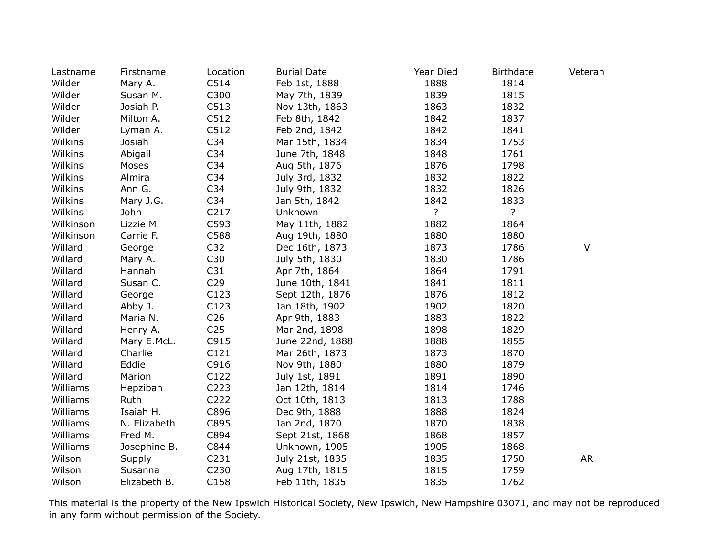| Lastname  | Firstname    | Location        | <b>Burial Date</b> | Year Died      | <b>Birthdate</b> | Veteran   |
|-----------|--------------|-----------------|--------------------|----------------|------------------|-----------|
| Wilder    | Mary A.      | C514            | Feb 1st, 1888      | 1888           | 1814             |           |
| Wilder    | Susan M.     | C300            | May 7th, 1839      | 1839           | 1815             |           |
| Wilder    | Josiah P.    | C513            | Nov 13th, 1863     | 1863           | 1832             |           |
| Wilder    | Milton A.    | C512            | Feb 8th, 1842      | 1842           | 1837             |           |
| Wilder    | Lyman A.     | C512            | Feb 2nd, 1842      | 1842           | 1841             |           |
| Wilkins   | Josiah       | C <sub>34</sub> | Mar 15th, 1834     | 1834           | 1753             |           |
| Wilkins   | Abigail      | C <sub>34</sub> | June 7th, 1848     | 1848           | 1761             |           |
| Wilkins   | Moses        | C34             | Aug 5th, 1876      | 1876           | 1798             |           |
| Wilkins   | Almira       | C34             | July 3rd, 1832     | 1832           | 1822             |           |
| Wilkins   | Ann G.       | C <sub>34</sub> | July 9th, 1832     | 1832           | 1826             |           |
| Wilkins   | Mary J.G.    | C34             | Jan 5th, 1842      | 1842           | 1833             |           |
| Wilkins   | John         | C217            | Unknown            | $\overline{?}$ | ?                |           |
| Wilkinson | Lizzie M.    | C593            | May 11th, 1882     | 1882           | 1864             |           |
| Wilkinson | Carrie F.    | C588            | Aug 19th, 1880     | 1880           | 1880             |           |
| Willard   | George       | C <sub>32</sub> | Dec 16th, 1873     | 1873           | 1786             | $\vee$    |
| Willard   | Mary A.      | C30             | July 5th, 1830     | 1830           | 1786             |           |
| Willard   | Hannah       | C <sub>31</sub> | Apr 7th, 1864      | 1864           | 1791             |           |
| Willard   | Susan C.     | C29             | June 10th, 1841    | 1841           | 1811             |           |
| Willard   | George       | C123            | Sept 12th, 1876    | 1876           | 1812             |           |
| Willard   | Abby J.      | C123            | Jan 18th, 1902     | 1902           | 1820             |           |
| Willard   | Maria N.     | C <sub>26</sub> | Apr 9th, 1883      | 1883           | 1822             |           |
| Willard   | Henry A.     | C <sub>25</sub> | Mar 2nd, 1898      | 1898           | 1829             |           |
| Willard   | Mary E.McL.  | C915            | June 22nd, 1888    | 1888           | 1855             |           |
| Willard   | Charlie      | C121            | Mar 26th, 1873     | 1873           | 1870             |           |
| Willard   | Eddie        | C916            | Nov 9th, 1880      | 1880           | 1879             |           |
| Willard   | Marion       | C122            | July 1st, 1891     | 1891           | 1890             |           |
| Williams  | Hepzibah     | C223            | Jan 12th, 1814     | 1814           | 1746             |           |
| Williams  | Ruth         | C222            | Oct 10th, 1813     | 1813           | 1788             |           |
| Williams  | Isaiah H.    | C896            | Dec 9th, 1888      | 1888           | 1824             |           |
| Williams  | N. Elizabeth | C895            | Jan 2nd, 1870      | 1870           | 1838             |           |
| Williams  | Fred M.      | C894            | Sept 21st, 1868    | 1868           | 1857             |           |
| Williams  | Josephine B. | C844            | Unknown, 1905      | 1905           | 1868             |           |
| Wilson    | Supply       | C231            | July 21st, 1835    | 1835           | 1750             | <b>AR</b> |
| Wilson    | Susanna      | C230            | Aug 17th, 1815     | 1815           | 1759             |           |
| Wilson    | Elizabeth B. | C158            | Feb 11th, 1835     | 1835           | 1762             |           |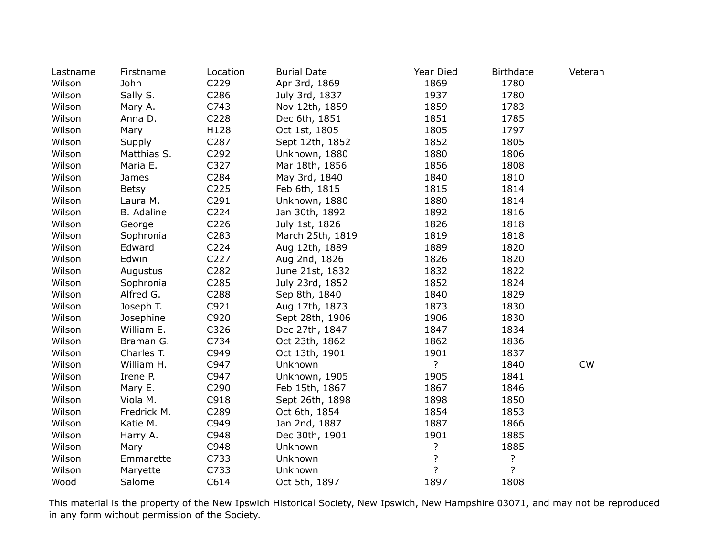| Lastname | Firstname    | Location | <b>Burial Date</b> | Year Died      | <b>Birthdate</b> | Veteran |
|----------|--------------|----------|--------------------|----------------|------------------|---------|
| Wilson   | John         | C229     | Apr 3rd, 1869      | 1869           | 1780             |         |
| Wilson   | Sally S.     | C286     | July 3rd, 1837     | 1937           | 1780             |         |
| Wilson   | Mary A.      | C743     | Nov 12th, 1859     | 1859           | 1783             |         |
| Wilson   | Anna D.      | C228     | Dec 6th, 1851      | 1851           | 1785             |         |
| Wilson   | Mary         | H128     | Oct 1st, 1805      | 1805           | 1797             |         |
| Wilson   | Supply       | C287     | Sept 12th, 1852    | 1852           | 1805             |         |
| Wilson   | Matthias S.  | C292     | Unknown, 1880      | 1880           | 1806             |         |
| Wilson   | Maria E.     | C327     | Mar 18th, 1856     | 1856           | 1808             |         |
| Wilson   | James        | C284     | May 3rd, 1840      | 1840           | 1810             |         |
| Wilson   | <b>Betsy</b> | C225     | Feb 6th, 1815      | 1815           | 1814             |         |
| Wilson   | Laura M.     | C291     | Unknown, 1880      | 1880           | 1814             |         |
| Wilson   | B. Adaline   | C224     | Jan 30th, 1892     | 1892           | 1816             |         |
| Wilson   | George       | C226     | July 1st, 1826     | 1826           | 1818             |         |
| Wilson   | Sophronia    | C283     | March 25th, 1819   | 1819           | 1818             |         |
| Wilson   | Edward       | C224     | Aug 12th, 1889     | 1889           | 1820             |         |
| Wilson   | Edwin        | C227     | Aug 2nd, 1826      | 1826           | 1820             |         |
| Wilson   | Augustus     | C282     | June 21st, 1832    | 1832           | 1822             |         |
| Wilson   | Sophronia    | C285     | July 23rd, 1852    | 1852           | 1824             |         |
| Wilson   | Alfred G.    | C288     | Sep 8th, 1840      | 1840           | 1829             |         |
| Wilson   | Joseph T.    | C921     | Aug 17th, 1873     | 1873           | 1830             |         |
| Wilson   | Josephine    | C920     | Sept 28th, 1906    | 1906           | 1830             |         |
| Wilson   | William E.   | C326     | Dec 27th, 1847     | 1847           | 1834             |         |
| Wilson   | Braman G.    | C734     | Oct 23th, 1862     | 1862           | 1836             |         |
| Wilson   | Charles T.   | C949     | Oct 13th, 1901     | 1901           | 1837             |         |
| Wilson   | William H.   | C947     | Unknown            | $\overline{?}$ | 1840             | CW      |
| Wilson   | Irene P.     | C947     | Unknown, 1905      | 1905           | 1841             |         |
| Wilson   | Mary E.      | C290     | Feb 15th, 1867     | 1867           | 1846             |         |
| Wilson   | Viola M.     | C918     | Sept 26th, 1898    | 1898           | 1850             |         |
| Wilson   | Fredrick M.  | C289     | Oct 6th, 1854      | 1854           | 1853             |         |
| Wilson   | Katie M.     | C949     | Jan 2nd, 1887      | 1887           | 1866             |         |
| Wilson   | Harry A.     | C948     | Dec 30th, 1901     | 1901           | 1885             |         |
| Wilson   | Mary         | C948     | Unknown            | ?              | 1885             |         |
| Wilson   | Emmarette    | C733     | Unknown            | $\overline{?}$ | ?                |         |
| Wilson   | Maryette     | C733     | Unknown            | ?              | ?                |         |
| Wood     | Salome       | C614     | Oct 5th, 1897      | 1897           | 1808             |         |